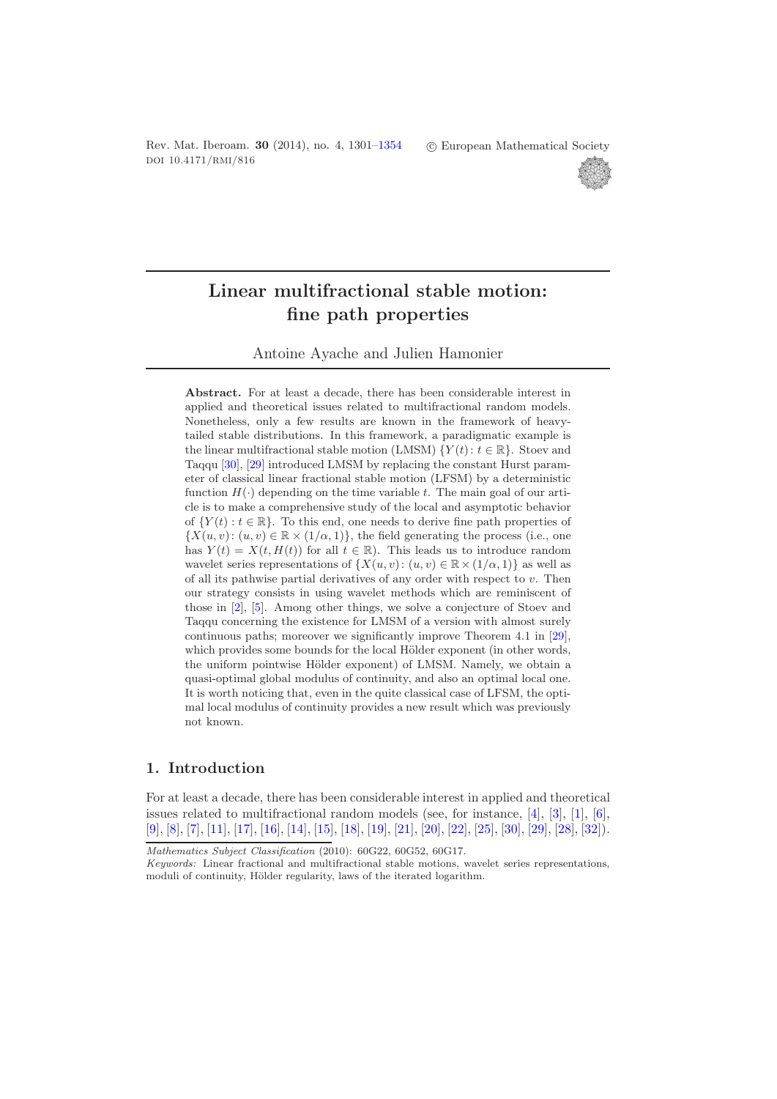Rev. Mat. Iberoam. **30** (2014), no. 4, 1301[–1354](#page-53-0) doi 10.4171/rmi/816

-c European Mathematical Society



# **Linear multifractional stable motion: fine path properties**

Antoine Ayache and Julien Hamonier

**Abstract.** For at least a decade, there has been considerable interest in applied and theoretical issues related to multifractional random models. Nonetheless, only a few results are known in the framework of heavytailed stable distributions. In this framework, a paradigmatic example is the linear multifractional stable motion (LMSM)  $\{Y(t): t \in \mathbb{R}\}$ . Stoev and Taqqu [\[30\]](#page-53-1), [\[29\]](#page-53-2) introduced LMSM by replacing the constant Hurst parameter of classical linear fractional stable motion (LFSM) by a deterministic function  $H(\cdot)$  depending on the time variable t. The main goal of our article is to make a comprehensive study of the local and asymptotic behavior of  $\{Y(t): t \in \mathbb{R}\}$ . To this end, one needs to derive fine path properties of  $\{X(u, v): (u, v) \in \mathbb{R} \times (1/\alpha, 1)\}\,$ , the field generating the process (i.e., one has  $Y(t) = X(t, H(t))$  for all  $t \in \mathbb{R}$ . This leads us to introduce random wavelet series representations of  $\{X(u, v): (u, v) \in \mathbb{R} \times (1/\alpha, 1)\}\)$  as well as of all its pathwise partial derivatives of any order with respect to  $v$ . Then our strategy consists in using wavelet methods which are reminiscent of those in [\[2\]](#page-51-0), [\[5\]](#page-51-1). Among other things, we solve a conjecture of Stoev and Taqqu concerning the existence for LMSM of a version with almost surely continuous paths; moreover we significantly improve Theorem 4.1 in [\[29\]](#page-53-2), which provides some bounds for the local Hölder exponent (in other words, the uniform pointwise Hölder exponent) of LMSM. Namely, we obtain a quasi-optimal global modulus of continuity, and also an optimal local one. It is worth noticing that, even in the quite classical case of LFSM, the optimal local modulus of continuity provides a new result which was previously not known.

# **1. Introduction**

For at least a decade, there has been considerable interest in applied and theoretical issues related to multifractional random models (see, for instance,  $[4]$ ,  $[3]$ ,  $[1]$ ,  $[6]$ , [\[9\]](#page-52-0), [\[8\]](#page-52-1), [\[7\]](#page-52-2), [\[11\]](#page-52-3), [\[17\]](#page-52-4), [\[16\]](#page-52-5), [\[14\]](#page-52-6), [\[15\]](#page-52-7), [\[18\]](#page-52-8), [\[19\]](#page-52-9), [\[21\]](#page-52-10), [\[20\]](#page-52-11), [\[22\]](#page-52-12), [\[25\]](#page-52-13), [\[30\]](#page-53-1), [\[29\]](#page-53-2), [\[28\]](#page-53-3), [\[32\]](#page-53-4)).

*Mathematics Subject Classification* (2010): 60G22, 60G52, 60G17.

*Keywords:* Linear fractional and multifractional stable motions, wavelet series representations, moduli of continuity, Hölder regularity, laws of the iterated logarithm.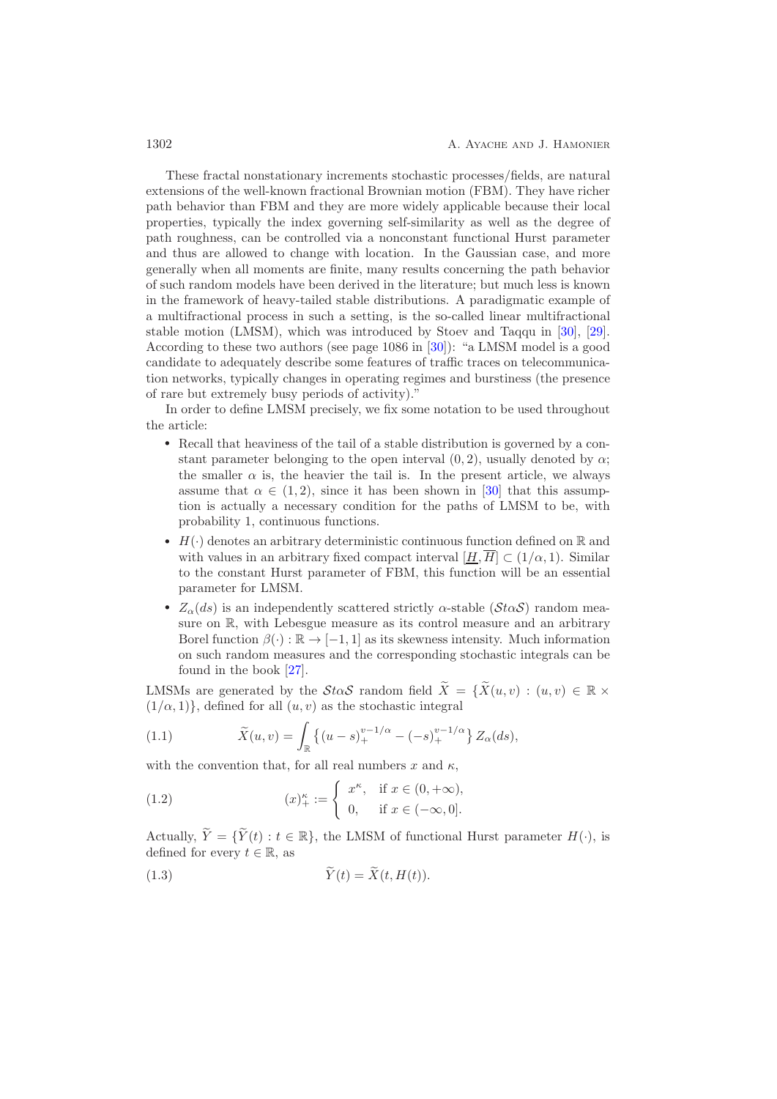These fractal nonstationary increments stochastic processes/fields, are natural extensions of the well-known fractional Brownian motion (FBM). They have richer path behavior than FBM and they are more widely applicable because their local properties, typically the index governing self-similarity as well as the degree of path roughness, can be controlled via a nonconstant functional Hurst parameter and thus are allowed to change with location. In the Gaussian case, and more generally when all moments are finite, many results concerning the path behavior of such random models have been derived in the literature; but much less is known in the framework of heavy-tailed stable distributions. A paradigmatic example of a multifractional process in such a setting, is the so-called linear multifractional stable motion (LMSM), which was introduced by Stoev and Taqqu in [\[30\]](#page-53-1), [\[29\]](#page-53-2). According to these two authors (see page 1086 in [\[30\]](#page-53-1)): "a LMSM model is a good candidate to adequately describe some features of traffic traces on telecommunication networks, typically changes in operating regimes and burstiness (the presence of rare but extremely busy periods of activity)."

In order to define LMSM precisely, we fix some notation to be used throughout the article:

- Recall that heaviness of the tail of a stable distribution is governed by a constant parameter belonging to the open interval  $(0, 2)$ , usually denoted by  $\alpha$ ; the smaller  $\alpha$  is, the heavier the tail is. In the present article, we always assume that  $\alpha \in (1, 2)$ , since it has been shown in [\[30\]](#page-53-1) that this assumption is actually a necessary condition for the paths of LMSM to be, with probability 1, continuous functions.
- $H(\cdot)$  denotes an arbitrary deterministic continuous function defined on R and with values in an arbitrary fixed compact interval  $[H, \overline{H}] \subset (1/\alpha, 1)$ . Similar to the constant Hurst parameter of FBM, this function will be an essential parameter for LMSM.
- $Z_{\alpha}(ds)$  is an independently scattered strictly  $\alpha$ -stable ( $\mathcal{S}t\alpha\mathcal{S}$ ) random measure on R, with Lebesgue measure as its control measure and an arbitrary Borel function  $\beta(\cdot): \mathbb{R} \to [-1, 1]$  as its skewness intensity. Much information on such random measures and the corresponding stochastic integrals can be found in the book [\[27\]](#page-53-5).

LMSMs are generated by the  $\mathcal{S}t\alpha\mathcal{S}$  random field  $X = \{X(u, v) : (u, v) \in \mathbb{R} \times$  $(1/\alpha, 1)$ , defined for all  $(u, v)$  as the stochastic integral

<span id="page-1-0"></span>(1.1) 
$$
\widetilde{X}(u,v) = \int_{\mathbb{R}} \left\{ (u-s)_+^{v-1/\alpha} - (-s)_+^{v-1/\alpha} \right\} Z_{\alpha}(ds),
$$

with the convention that, for all real numbers x and  $\kappa$ ,

<span id="page-1-1"></span>(1.2) 
$$
(x)_{+}^{\kappa} := \begin{cases} x^{\kappa}, & \text{if } x \in (0, +\infty), \\ 0, & \text{if } x \in (-\infty, 0]. \end{cases}
$$

Actually,  $Y = \{Y(t) : t \in \mathbb{R}\}$ , the LMSM of functional Hurst parameter  $H(\cdot)$ , is defined for every  $t \in \mathbb{R}$ , as

(1.3) 
$$
\widetilde{Y}(t) = \widetilde{X}(t, H(t)).
$$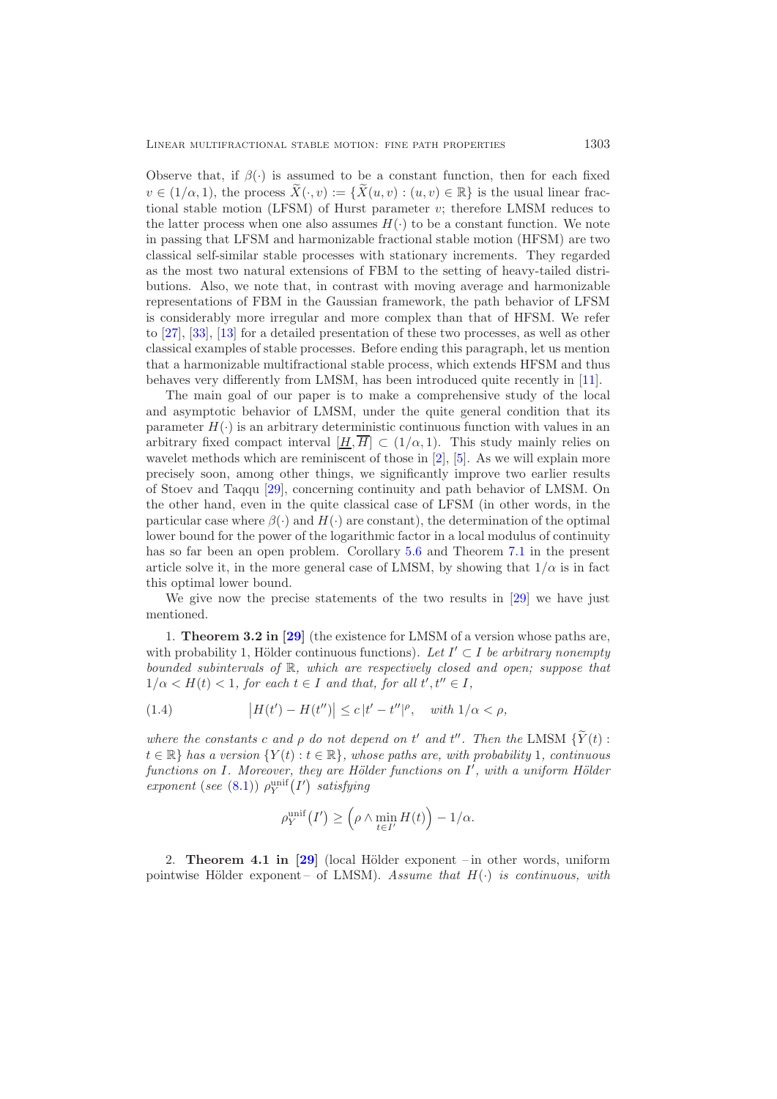Observe that, if  $\beta(\cdot)$  is assumed to be a constant function, then for each fixed  $v \in (1/\alpha, 1)$ , the process  $X(\cdot, v) := \{X(u, v) : (u, v) \in \mathbb{R}\}$  is the usual linear fractional stable motion (LFSM) of Hurst parameter  $v$ ; therefore LMSM reduces to the latter process when one also assumes  $H(\cdot)$  to be a constant function. We note in passing that LFSM and harmonizable fractional stable motion (HFSM) are two classical self-similar stable processes with stationary increments. They regarded as the most two natural extensions of FBM to the setting of heavy-tailed distributions. Also, we note that, in contrast with moving average and harmonizable representations of FBM in the Gaussian framework, the path behavior of LFSM is considerably more irregular and more complex than that of HFSM. We refer to [\[27\]](#page-53-5), [\[33\]](#page-53-6), [\[13\]](#page-52-14) for a detailed presentation of these two processes, as well as other classical examples of stable processes. Before ending this paragraph, let us mention that a harmonizable multifractional stable process, which extends HFSM and thus behaves very differently from LMSM, has been introduced quite recently in [\[11\]](#page-52-3).

The main goal of our paper is to make a comprehensive study of the local and asymptotic behavior of LMSM, under the quite general condition that its parameter  $H(\cdot)$  is an arbitrary deterministic continuous function with values in an arbitrary fixed compact interval  $[H, \overline{H}] \subset (1/\alpha, 1)$ . This study mainly relies on wavelet methods which are reminiscent of those in [\[2\]](#page-51-0), [\[5\]](#page-51-1). As we will explain more precisely soon, among other things, we significantly improve two earlier results of Stoev and Taqqu [\[29\]](#page-53-2), concerning continuity and path behavior of LMSM. On the other hand, even in the quite classical case of LFSM (in other words, in the particular case where  $\beta(\cdot)$  and  $H(\cdot)$  are constant), the determination of the optimal lower bound for the power of the logarithmic factor in a local modulus of continuity has so far been an open problem. Corollary [5.6](#page-25-0) and Theorem [7.1](#page-38-0) in the present article solve it, in the more general case of LMSM, by showing that  $1/\alpha$  is in fact this optimal lower bound.

We give now the precise statements of the two results in [\[29\]](#page-53-2) we have just mentioned.

1. **Theorem 3.2 in [\[29\]](#page-53-2)** (the existence for LMSM of a version whose paths are, with probability 1, Hölder continuous functions). Let  $I' \subset I$  be arbitrary nonempty *bounded subintervals of* R*, which are respectively closed and open; suppose that*  $1/\alpha < H(t) < 1$ , for each  $t \in I$  and that, for all  $t', t'' \in I$ ,

<span id="page-2-0"></span>(1.4) 
$$
|H(t') - H(t'')| \le c |t' - t''|^\rho, \text{ with } 1/\alpha < \rho,
$$

*where the constants* c and  $\rho$  do not depend on  $t'$  and  $t''$ . Then the LMSM  $\{Y(t) :$  $t \in \mathbb{R}$ *} has a version*  $\{Y(t) : t \in \mathbb{R}\}$ *, whose paths are, with probability* 1*, continuous functions on I. Moreover, they are Hölder functions on I', with a uniform Hölder*  $\mathit{exponent}\;(\mathit{see}\; (8.1))\;\rho^{\text{unif}}_Y\big(I'\big)\; \mathit{satisfying}$  $\mathit{exponent}\;(\mathit{see}\; (8.1))\;\rho^{\text{unif}}_Y\big(I'\big)\; \mathit{satisfying}$  $\mathit{exponent}\;(\mathit{see}\; (8.1))\;\rho^{\text{unif}}_Y\big(I'\big)\; \mathit{satisfying}$ 

$$
\rho_Y^{\text{unif}}(I') \ge \left(\rho \wedge \min_{t \in I'} H(t)\right) - 1/\alpha.
$$

2. **Theorem 4.1 in [\[29\]](#page-53-2)** (local Hölder exponent – in other words, uniform pointwise H¨older exponent – of LMSM). *Assume that* H(·) *is continuous, with*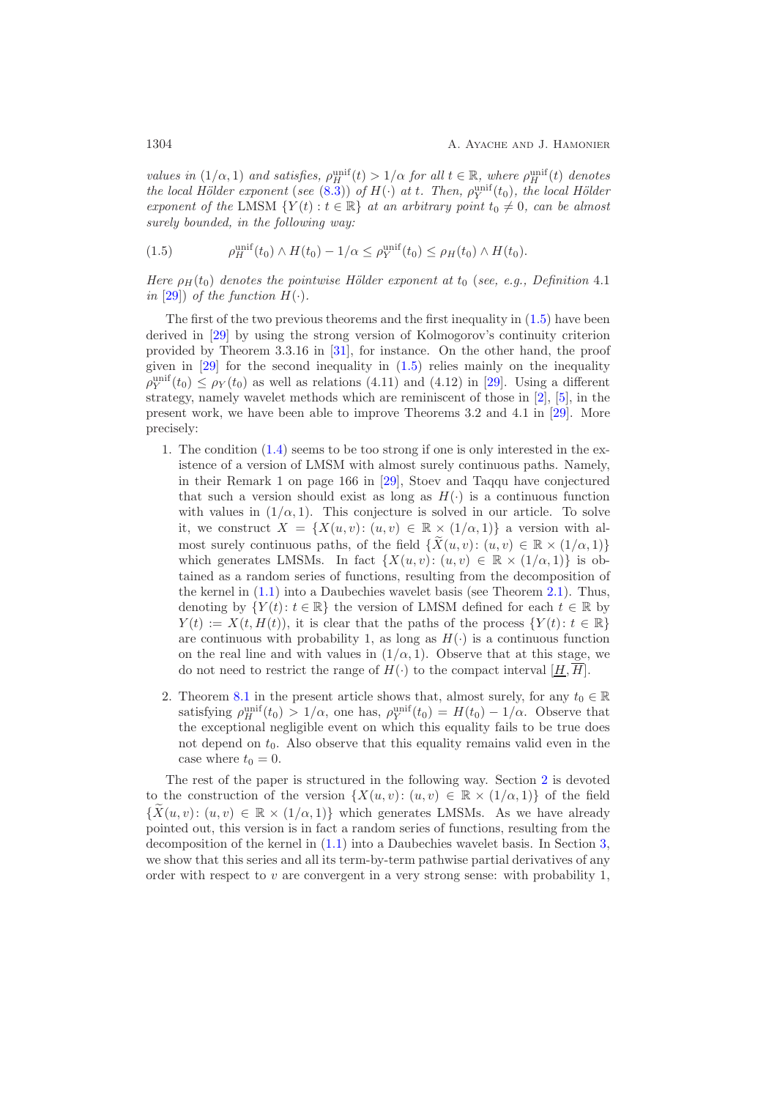*values in*  $(1/\alpha, 1)$  *and satisfies,*  $\rho_H^{\text{unit}}(t) > 1/\alpha$  *for all*  $t \in \mathbb{R}$ *, where*  $\rho_H^{\text{unit}}(t)$  *denotes the local Hölder exponent* (*see* [\(8.3\)](#page-44-0)) *of*  $H(\cdot)$  *at* t*. Then,*  $\rho_Y^{\text{unif}}(t_0)$ *, the local Hölder*<br>*exponent* of the LMSM  $\{Y(t) : t \in \mathbb{R}\}$  at an arbitrary point  $t_1 \neq 0$ , can be elmost *exponent of the* LMSM  $\{Y(t): t \in \mathbb{R}\}\$ at an arbitrary point  $t_0 \neq 0$ , can be almost *surely bounded, in the following way:*

<span id="page-3-0"></span>(1.5) 
$$
\rho_H^{\text{unif}}(t_0) \wedge H(t_0) - 1/\alpha \leq \rho_Y^{\text{unif}}(t_0) \leq \rho_H(t_0) \wedge H(t_0).
$$

*Here*  $\rho_H(t_0)$  *denotes the pointwise Hölder exponent at*  $t_0$  (*see, e.g., Definition* 4.1 *in* [\[29\]](#page-53-2)) *of the function*  $H(\cdot)$ *.* 

The first of the two previous theorems and the first inequality in [\(1.5\)](#page-3-0) have been derived in [\[29\]](#page-53-2) by using the strong version of Kolmogorov's continuity criterion provided by Theorem 3.3.16 in [\[31\]](#page-53-7), for instance. On the other hand, the proof given in  $[29]$  for the second inequality in  $(1.5)$  relies mainly on the inequality  $\rho_Y^{\text{unit}}(t_0) \leq \rho_Y(t_0)$  as well as relations (4.11) and (4.12) in [\[29\]](#page-53-2). Using a different strategy, namely wavelet methods which are reminiscent of those in [\[2\]](#page-51-0), [\[5\]](#page-51-1), in the present work, we have been able to improve Theorems 3.2 and 4.1 in [\[29\]](#page-53-2). More precisely:

- 1. The condition [\(1.4\)](#page-2-0) seems to be too strong if one is only interested in the existence of a version of LMSM with almost surely continuous paths. Namely, in their Remark 1 on page 166 in [\[29\]](#page-53-2), Stoev and Taqqu have conjectured that such a version should exist as long as  $H(\cdot)$  is a continuous function with values in  $(1/\alpha, 1)$ . This conjecture is solved in our article. To solve it, we construct  $X = \{X(u, v): (u, v) \in \mathbb{R} \times (1/\alpha, 1)\}\$ a version with almost surely continuous paths, of the field  $\{X(u, v): (u, v) \in \mathbb{R} \times (1/\alpha, 1)\}\$ which generates LMSMs. In fact  $\{X(u, v): (u, v) \in \mathbb{R} \times (1/\alpha, 1)\}\$ is obtained as a random series of functions, resulting from the decomposition of the kernel in [\(1.1\)](#page-1-0) into a Daubechies wavelet basis (see Theorem [2.1\)](#page-5-0). Thus, denoting by  $\{Y(t): t \in \mathbb{R}\}\$  the version of LMSM defined for each  $t \in \mathbb{R}$  by  $Y(t) := X(t, H(t)),$  it is clear that the paths of the process  $\{Y(t): t \in \mathbb{R}\}\$ are continuous with probability 1, as long as  $H(\cdot)$  is a continuous function on the real line and with values in  $(1/\alpha, 1)$ . Observe that at this stage, we do not need to restrict the range of  $H(\cdot)$  to the compact interval  $[\underline{H}, \overline{H}]$ .
- 2. Theorem [8.1](#page-44-1) in the present article shows that, almost surely, for any  $t_0 \in \mathbb{R}$ satisfying  $\rho_H^{\text{unit}}(t_0) > 1/\alpha$ , one has,  $\rho_Y^{\text{unit}}(t_0) = H(t_0) - 1/\alpha$ . Observe that the exceptional negligible event on which this equality fails to be true does not depend on  $t_0$ . Also observe that this equality remains valid even in the case where  $t_0 = 0$ .

The rest of the paper is structured in the following way. Section [2](#page-4-0) is devoted to the construction of the version  $\{X(u, v): (u, v) \in \mathbb{R} \times (1/\alpha, 1)\}$  of the field  $\{X(u, v): (u, v) \in \mathbb{R} \times (1/\alpha, 1)\}\$  which generates LMSMs. As we have already pointed out, this version is in fact a random series of functions, resulting from the decomposition of the kernel in [\(1.1\)](#page-1-0) into a Daubechies wavelet basis. In Section [3,](#page-10-0) we show that this series and all its term-by-term pathwise partial derivatives of any order with respect to  $v$  are convergent in a very strong sense: with probability 1,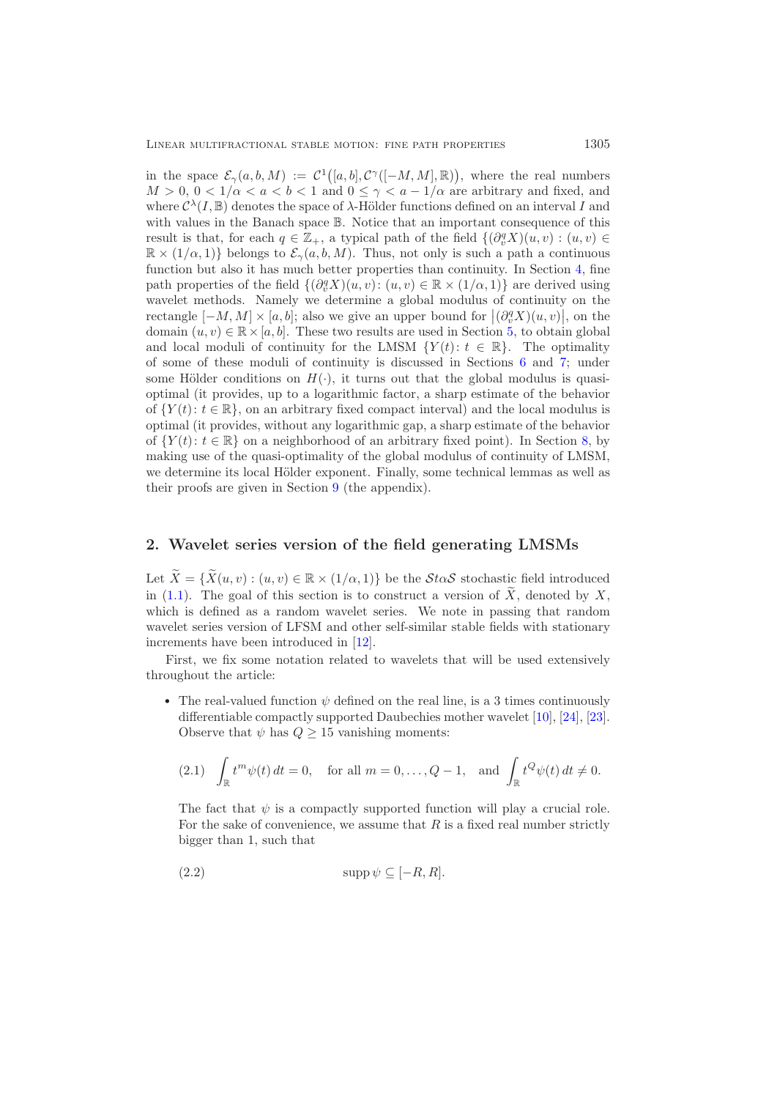in the space  $\mathcal{E}_{\gamma}(a, b, M) := \mathcal{C}^{1}([a, b], \mathcal{C}^{\gamma}([-M, M], \mathbb{R}))$ , where the real numbers  $M > 0$ ,  $0 < 1/\alpha < a < b < 1$  and  $0 \leq \gamma < a - 1/\alpha$  are arbitrary and fixed, and where  $C^{\lambda}(I, \mathbb{B})$  denotes the space of  $\lambda$ -Hölder functions defined on an interval I and with values in the Banach space B. Notice that an important consequence of this result is that, for each  $q \in \mathbb{Z}_+$ , a typical path of the field  $\{(\partial_v^q X)(u, v) : (u, v) \in$ <br> $\mathbb{R} \times (1/\alpha, 1)$  belongs to  $S$  (a, b, M). Thus, not only is such a path a continuous  $\mathbb{R} \times (1/\alpha, 1)$  belongs to  $\mathcal{E}_{\gamma}(a, b, M)$ . Thus, not only is such a path a continuous function but also it has much better properties than continuity. In Section [4,](#page-16-0) fine path properties of the field  $\{(\partial_y^q X)(u, v): (u, v) \in \mathbb{R} \times (1/\alpha, 1)\}\$  are derived using wavelet methods. Namely we determine a global modulus of continuity on the rectangle  $[-M, M] \times [a, b]$ ; also we give an upper bound for  $|(\partial_y^q X)(u, v)|$ , on the domain  $(u, v) \in \mathbb{R} \times [a, b]$ . These two results are used in Section [5,](#page-23-0) to obtain global and local moduli of continuity for the LMSM  $\{Y(t): t \in \mathbb{R}\}\.$  The optimality of some of these moduli of continuity is discussed in Sections [6](#page-25-1) and [7;](#page-38-1) under some Hölder conditions on  $H(\cdot)$ , it turns out that the global modulus is quasioptimal (it provides, up to a logarithmic factor, a sharp estimate of the behavior of  $\{Y(t): t \in \mathbb{R}\}$ , on an arbitrary fixed compact interval) and the local modulus is optimal (it provides, without any logarithmic gap, a sharp estimate of the behavior of  $\{Y(t): t \in \mathbb{R}\}\)$  on a neighborhood of an arbitrary fixed point). In Section [8,](#page-43-1) by making use of the quasi-optimality of the global modulus of continuity of LMSM, we determine its local Hölder exponent. Finally, some technical lemmas as well as their proofs are given in Section [9](#page-45-0) (the appendix).

### <span id="page-4-0"></span>**2. Wavelet series version of the field generating LMSMs**

Let  $X = \{X(u, v) : (u, v) \in \mathbb{R} \times (1/\alpha, 1)\}\$ be the  $\mathcal{S} \text{to} \mathcal{S}$  stochastic field introduced in  $(1.1)$ . The goal of this section is to construct a version of X, denoted by X, which is defined as a random wavelet series. We note in passing that random wavelet series version of LFSM and other self-similar stable fields with stationary increments have been introduced in [\[12\]](#page-52-15).

First, we fix some notation related to wavelets that will be used extensively throughout the article:

• The real-valued function  $\psi$  defined on the real line, is a 3 times continuously differentiable compactly supported Daubechies mother wavelet [\[10\]](#page-52-16), [\[24\]](#page-52-17), [\[23\]](#page-52-18). Observe that  $\psi$  has  $Q \geq 15$  vanishing moments:

<span id="page-4-2"></span>
$$
(2.1) \quad \int_{\mathbb{R}} t^m \psi(t) dt = 0, \quad \text{for all } m = 0, \dots, Q-1, \text{ and } \int_{\mathbb{R}} t^Q \psi(t) dt \neq 0.
$$

The fact that  $\psi$  is a compactly supported function will play a crucial role. For the sake of convenience, we assume that  $R$  is a fixed real number strictly bigger than 1, such that

<span id="page-4-1"></span>
$$
(2.2) \t\t supp \psi \subseteq [-R, R].
$$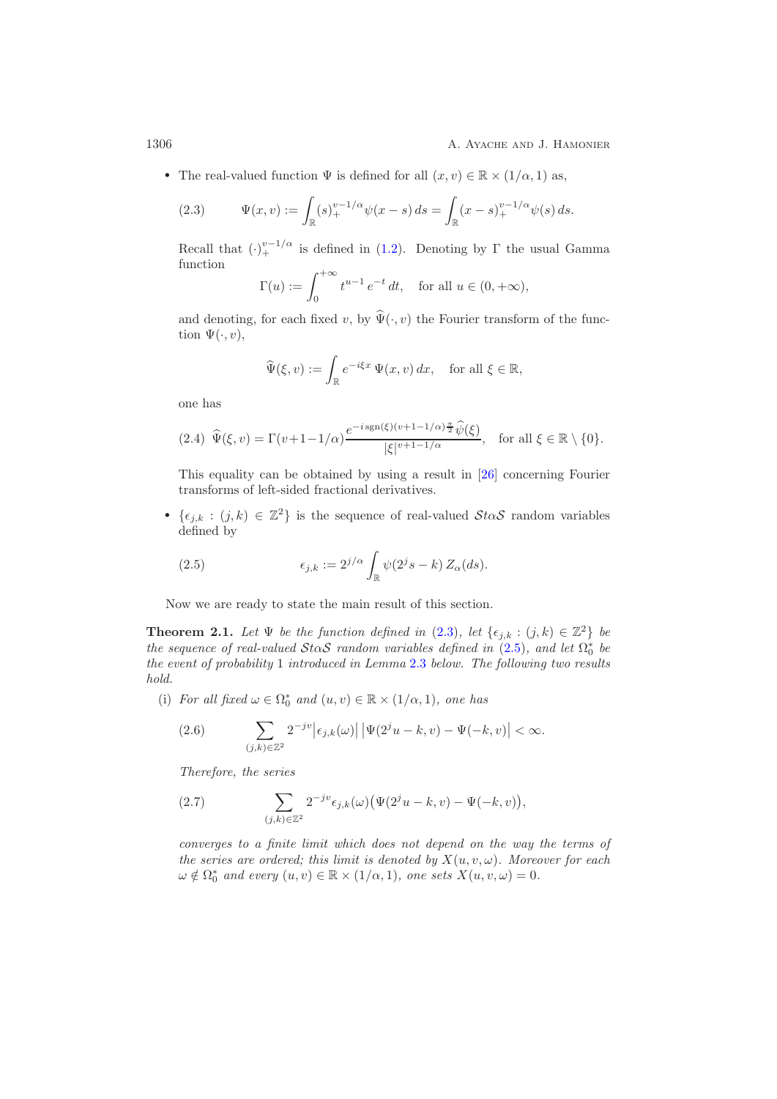1306 **A. Ayache and J. Hamonier** A. Ayache and J. Hamonier

• The real-valued function  $\Psi$  is defined for all  $(x, v) \in \mathbb{R} \times (1/\alpha, 1)$  as,

<span id="page-5-1"></span>(2.3) 
$$
\Psi(x,v) := \int_{\mathbb{R}} (s)_+^{v-1/\alpha} \psi(x-s) \, ds = \int_{\mathbb{R}} (x-s)_+^{v-1/\alpha} \psi(s) \, ds.
$$

Recall that  $(\cdot)^{v-1/\alpha}$  is defined in [\(1.2\)](#page-1-1). Denoting by  $\Gamma$  the usual Gamma function function

$$
\Gamma(u) := \int_0^{+\infty} t^{u-1} e^{-t} dt, \text{ for all } u \in (0, +\infty),
$$

and denoting, for each fixed v, by  $\Psi(\cdot,v)$  the Fourier transform of the function  $\Psi(\cdot, v)$ ,

$$
\widehat{\Psi}(\xi, v) := \int_{\mathbb{R}} e^{-i\xi x} \Psi(x, v) dx, \text{ for all } \xi \in \mathbb{R},
$$

one has

<span id="page-5-5"></span>
$$
(2.4) \ \widehat{\Psi}(\xi,v) = \Gamma(v+1-1/\alpha) \frac{e^{-i \operatorname{sgn}(\xi)(v+1-1/\alpha)\frac{\pi}{2}} \widehat{\psi}(\xi)}{|\xi|^{\nu+1-1/\alpha}}, \quad \text{for all } \xi \in \mathbb{R} \setminus \{0\}.
$$

This equality can be obtained by using a result in [\[26\]](#page-53-8) concerning Fourier transforms of left-sided fractional derivatives.

•  $\{\epsilon_{j,k} : (j,k) \in \mathbb{Z}^2\}$  is the sequence of real-valued  $\mathcal{S}t\alpha\mathcal{S}$  random variables defined by

<span id="page-5-2"></span>(2.5) 
$$
\epsilon_{j,k} := 2^{j/\alpha} \int_{\mathbb{R}} \psi(2^j s - k) Z_{\alpha}(ds).
$$

<span id="page-5-0"></span>Now we are ready to state the main result of this section.

**Theorem 2.1.** *Let*  $\Psi$  *be the function defined in* [\(2.3\)](#page-5-1)*, let*  $\{\epsilon_{j,k} : (j,k) \in \mathbb{Z}^2\}$  *be the sequence of real-valued*  $\mathcal{S}$ *ta* $\mathcal{S}$  *random variables defined in* [\(2.5\)](#page-5-2)*, and let*  $\Omega_0^*$  *be be be be be be blogger b b be blogger b b b blogger b b blogger by cycyl the event of probability* 1 *introduced in Lemma* [2.3](#page-6-0) *below. The following two results hold.*

(i) *For all fixed*  $\omega \in \Omega_0^*$  *and*  $(u, v) \in \mathbb{R} \times (1/\alpha, 1)$ *, one has* 

<span id="page-5-3"></span>(2.6) 
$$
\sum_{(j,k)\in\mathbb{Z}^2} 2^{-jv} |\epsilon_{j,k}(\omega)| |\Psi(2^j u - k, v) - \Psi(-k, v)| < \infty.
$$

*Therefore, the series*

<span id="page-5-4"></span>(2.7) 
$$
\sum_{(j,k)\in\mathbb{Z}^2} 2^{-jv} \epsilon_{j,k}(\omega) \big(\Psi(2^j u - k, v) - \Psi(-k, v)\big),
$$

*converges to a finite limit which does not depend on the way the terms of the series are ordered; this limit is denoted by*  $X(u, v, \omega)$ *. Moreover for each*  $\omega \notin \Omega_0^*$  and every  $(u, v) \in \mathbb{R} \times (1/\alpha, 1)$ , one sets  $X(u, v, \omega) = 0$ .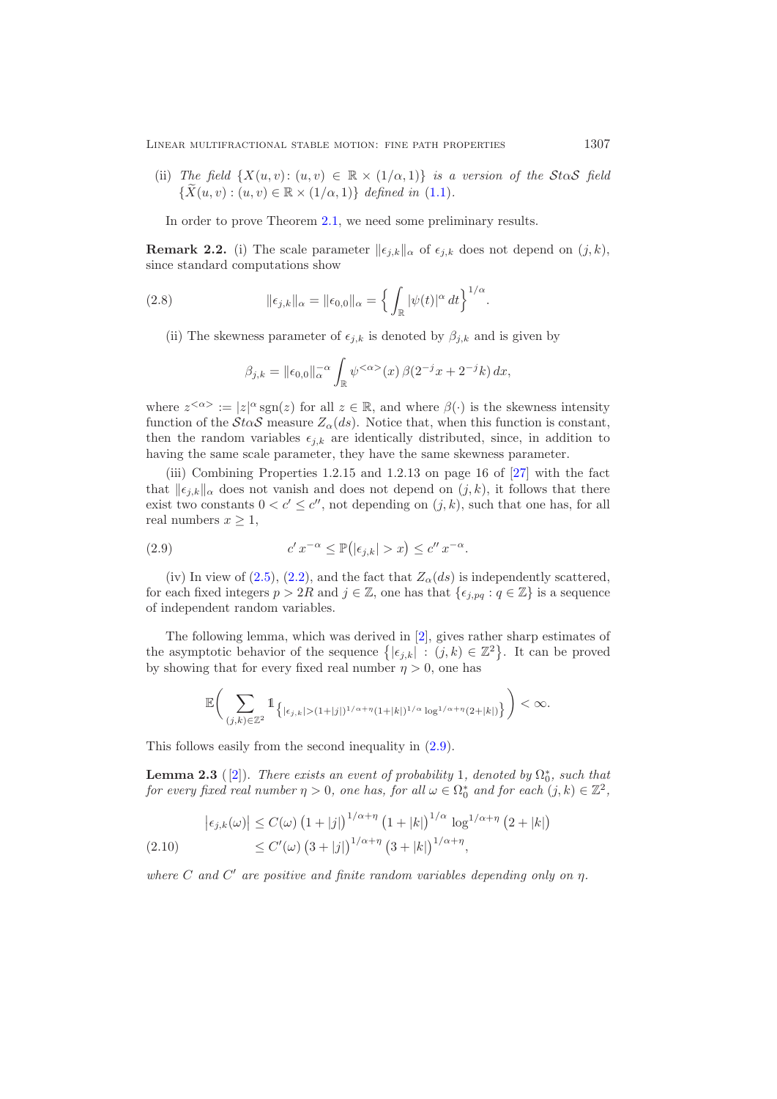(ii) *The field*  $\{X(u, v): (u, v) \in \mathbb{R} \times (1/\alpha, 1)\}$  *is a version of the StaS field*  $\{X(u, v) : (u, v) \in \mathbb{R} \times (1/\alpha, 1)\}\$  *defined in* [\(1.1\)](#page-1-0).

<span id="page-6-3"></span>In order to prove Theorem [2.1,](#page-5-0) we need some preliminary results.

**Remark 2.2.** (i) The scale parameter  $||\epsilon_{j,k}||_{\alpha}$  of  $\epsilon_{j,k}$  does not depend on  $(j,k)$ , since standard computations show

(2.8) 
$$
\|\epsilon_{j,k}\|_{\alpha} = \|\epsilon_{0,0}\|_{\alpha} = \left\{ \int_{\mathbb{R}} |\psi(t)|^{\alpha} dt \right\}^{1/\alpha}.
$$

(ii) The skewness parameter of  $\epsilon_{i,k}$  is denoted by  $\beta_{i,k}$  and is given by

<span id="page-6-4"></span>
$$
\beta_{j,k} = \|\epsilon_{0,0}\|_{\alpha}^{-\alpha} \int_{\mathbb{R}} \psi^{<\alpha>}(x) \,\beta(2^{-j}x + 2^{-j}k) \, dx,
$$

where  $z^{<\alpha>} := |z|^\alpha \operatorname{sgn}(z)$  for all  $z \in \mathbb{R}$ , and where  $\beta(\cdot)$  is the skewness intensity function of the  $St\alpha\mathcal{S}$  measure  $Z_{\alpha}(ds)$ . Notice that, when this function is constant, then the random variables  $\epsilon_{j,k}$  are identically distributed, since, in addition to having the same scale parameter, they have the same skewness parameter.

(iii) Combining Properties 1.2.15 and 1.2.13 on page 16 of [\[27\]](#page-53-5) with the fact that  $\|\epsilon_{j,k}\|_{\alpha}$  does not vanish and does not depend on  $(j, k)$ , it follows that there exist two constants  $0 < c' \leq c''$ , not depending on  $(j, k)$ , such that one has, for all real numbers  $x \geq 1$ ,

<span id="page-6-1"></span>(2.9) 
$$
c' x^{-\alpha} \leq \mathbb{P}(|\epsilon_{j,k}| > x) \leq c'' x^{-\alpha}.
$$

(iv) In view of [\(2.5\)](#page-5-2), [\(2.2\)](#page-4-1), and the fact that  $Z_{\alpha}(ds)$  is independently scattered, for each fixed integers  $p > 2R$  and  $j \in \mathbb{Z}$ , one has that  $\{\epsilon_{i,pq} : q \in \mathbb{Z}\}\$  is a sequence of independent random variables.

The following lemma, which was derived in [\[2\]](#page-51-0), gives rather sharp estimates of the asymptotic behavior of the sequence  $\{|\epsilon_{j,k}| : (j,k) \in \mathbb{Z}^2\}$ . It can be proved by showing that for every fixed real number  $\eta > 0$ , one has

$$
\mathbb{E}\bigg(\sum_{(j,k)\in\mathbb{Z}^2}1\!\!1_{\left\lbrace|\epsilon_{j,k}|>(1+|j|)^{1/\alpha+\eta}(1+|k|)^{1/\alpha}\log^{1/\alpha+\eta}(2+|k|)\right\rbrace}\bigg)<\infty.
$$

<span id="page-6-0"></span>This follows easily from the second inequality in [\(2.9\)](#page-6-1).

**Lemma 2.3** ([\[2\]](#page-51-0)). *There exists an event of probability* 1*, denoted by*  $\Omega_0^*$ *, such that* for every fixed real number  $n > 0$ , one has for all  $\omega \in \Omega^*$  and for each  $(i, k) \in \mathbb{Z}^2$ *for every fixed real number*  $\eta > 0$ , one has, for all  $\omega \in \Omega_0^*$  and for each  $(j, k) \in \mathbb{Z}^2$ ,

<span id="page-6-2"></span>
$$
\left| \epsilon_{j,k}(\omega) \right| \le C(\omega) \left( 1 + |j| \right)^{1/\alpha + \eta} \left( 1 + |k| \right)^{1/\alpha} \log^{1/\alpha + \eta} \left( 2 + |k| \right)
$$
  
(2.10) 
$$
\le C'(\omega) \left( 3 + |j| \right)^{1/\alpha + \eta} \left( 3 + |k| \right)^{1/\alpha + \eta},
$$

where C and C' are positive and finite random variables depending only on  $\eta$ .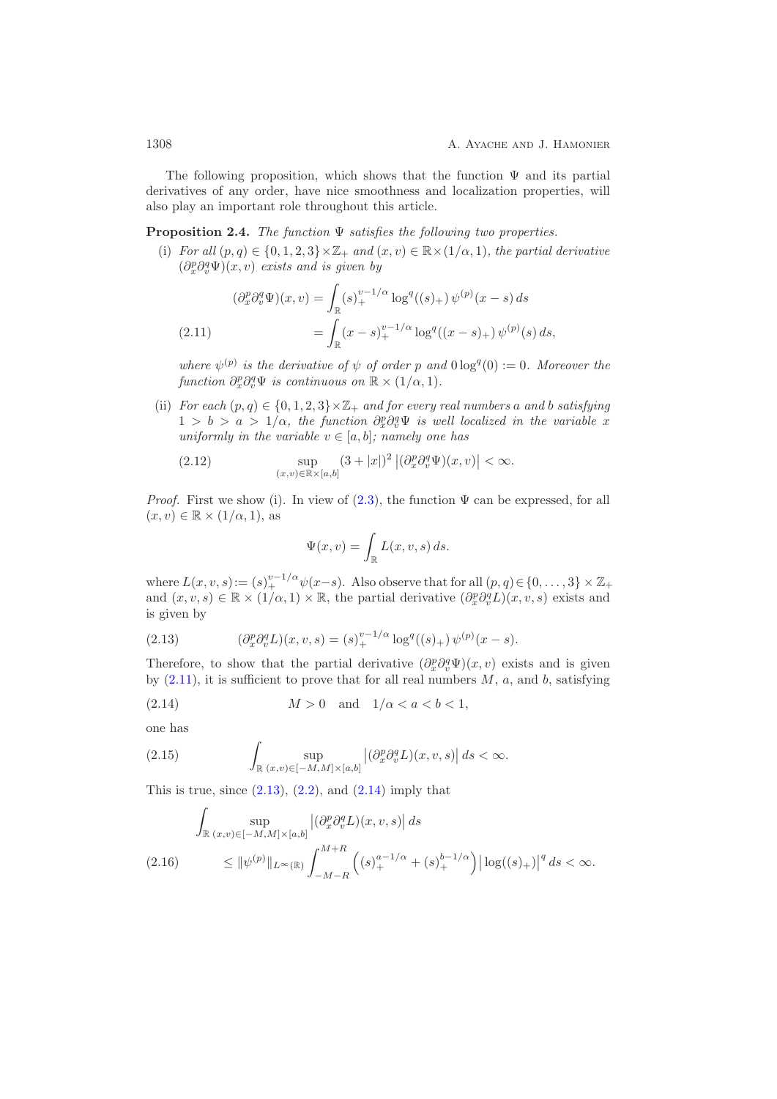The following proposition, which shows that the function  $\Psi$  and its partial derivatives of any order, have nice smoothness and localization properties, will also play an important role throughout this article.

<span id="page-7-5"></span>**Proposition 2.4.** *The function* <sup>Ψ</sup> *satisfies the following two properties.*

(i) *For all*  $(p, q) \in \{0, 1, 2, 3\} \times \mathbb{Z}_+$  *and*  $(x, v) \in \mathbb{R} \times (1/\alpha, 1)$ *, the partial derivative*  $(\partial_x^p \partial_v^q \Psi)(x, v)$  *exists and is given by* 

(2.11) 
$$
(\partial_x^p \partial_v^q \Psi)(x, v) = \int_{\mathbb{R}} (s)_+^{v-1/\alpha} \log^q((s)_+) \psi^{(p)}(x-s) ds
$$

$$
= \int_{\mathbb{R}} (x-s)_+^{v-1/\alpha} \log^q((x-s)_+) \psi^{(p)}(s) ds,
$$

<span id="page-7-0"></span>*where*  $\psi^{(p)}$  *is the derivative of*  $\psi$  *of order* p and  $0 \log^q(0) := 0$ *. Moreover the*  $function \partial_x^p \partial_v^q \Psi$  *is continuous on*  $\mathbb{R} \times (1/\alpha, 1)$ *.* 

(ii) *For each*  $(p, q) \in \{0, 1, 2, 3\} \times \mathbb{Z}_+$  *and for every real numbers* a *and* b *satisfying*  $1 > b > a > 1/\alpha$ , the function  $\partial_x^p \partial_y^q \Psi$  is well localized in the variable x *uniformly in the variable*  $v \in [a, b]$ *; namely one has* 

(2.12) 
$$
\sup_{(x,v)\in\mathbb{R}\times[a,b]}(3+|x|)^2 |(\partial_x^p\partial_v^q\Psi)(x,v)| < \infty.
$$

*Proof.* First we show (i). In view of  $(2.3)$ , the function  $\Psi$  can be expressed, for all  $(x, v) \in \mathbb{R} \times (1/\alpha, 1)$ , as

<span id="page-7-4"></span>
$$
\Psi(x,v) = \int_{\mathbb{R}} L(x,v,s) \, ds.
$$

where  $L(x, v, s) := (s)_+^{v-1/\alpha} \psi(x-s)$ . Also observe that for all  $(p, q) \in \{0, \ldots, 3\} \times \mathbb{Z}_+$ <br>and  $(x, v, s) \in \mathbb{R} \times (1/\alpha, 1) \times \mathbb{R}$ , the partial derivative  $(\partial^p \partial^q L)(x, v, s)$  exists and and  $(x, v, s) \in \mathbb{R} \times (1/\alpha, 1) \times \mathbb{R}$ , the partial derivative  $(\partial_x^p \partial_y^q L)(x, v, s)$  exists and is given by

<span id="page-7-1"></span>(2.13) 
$$
(\partial_x^p \partial_v^q L)(x, v, s) = (s)_+^{v-1/\alpha} \log^q((s)_+) \psi^{(p)}(x-s).
$$

Therefore, to show that the partial derivative  $(\partial_x^p \partial_y^q \Psi)(x, v)$  exists and is given by  $(2.11)$ , it is sufficient to prove that for all real numbers  $M$ ,  $a$ , and  $b$ , satisfying

<span id="page-7-2"></span>
$$
(2.14) \t\t M > 0 \t and \t 1/\alpha < a < b < 1,
$$

one has

<span id="page-7-3"></span>(2.15) 
$$
\int_{\mathbb{R}} \sup_{(x,v)\in[-M,M]\times[a,b]} \left|(\partial_x^p \partial_v^q L)(x,v,s)\right| ds < \infty.
$$

This is true, since  $(2.13)$ ,  $(2.2)$ , and  $(2.14)$  imply that

$$
\int_{\mathbb{R}} \sup_{(x,v)\in[-M,M]\times[a,b]} \left| \left(\partial_x^p \partial_v^q L\right)(x,v,s) \right| ds
$$
\n
$$
\leq \|\psi^{(p)}\|_{L^\infty(\mathbb{R})} \int_{-M-R}^{M+R} \left( \left(s\right)_+^{a-1/\alpha} + \left(s\right)_+^{b-1/\alpha} \right) \left| \log((s)_+)\right|^q ds < \infty.
$$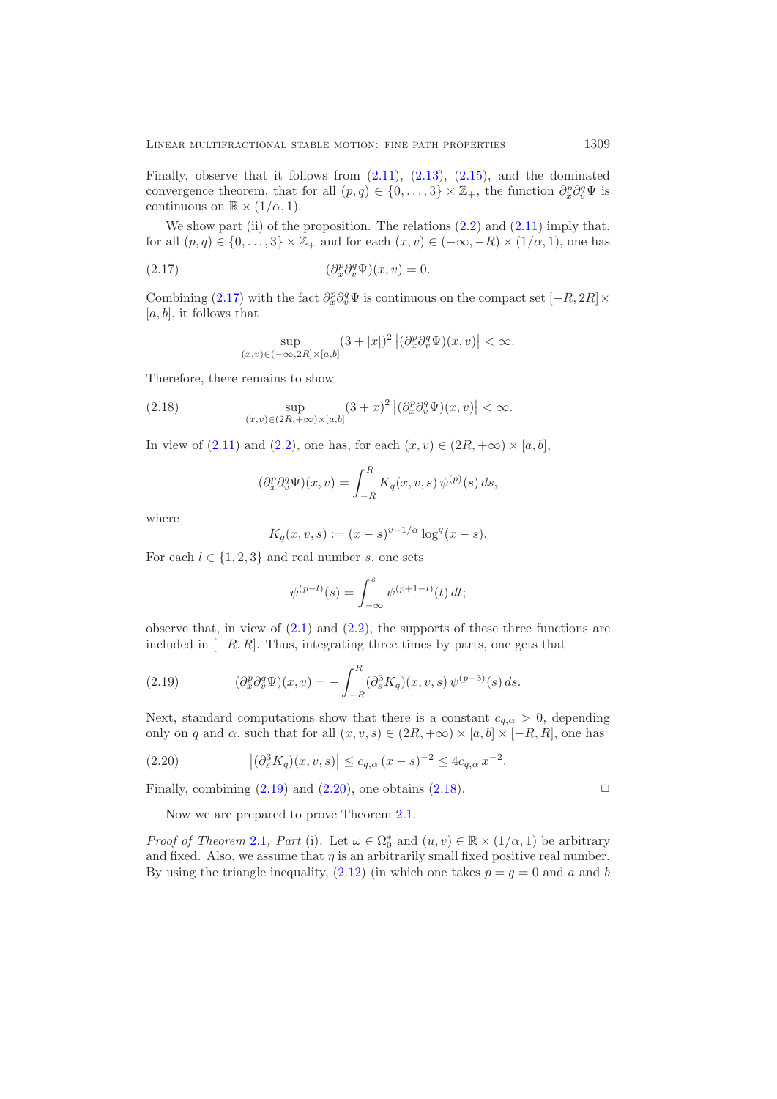Finally, observe that it follows from  $(2.11)$ ,  $(2.13)$ ,  $(2.15)$ , and the dominated convergence theorem, that for all  $(p,q) \in \{0,\ldots,3\} \times \mathbb{Z}_+$ , the function  $\partial_x^p \partial_v^q \Psi$  is continuous on  $\mathbb{R} \times (1/\alpha, 1)$ continuous on  $\mathbb{R} \times (1/\alpha, 1)$ .

We show part (ii) of the proposition. The relations  $(2.2)$  and  $(2.11)$  imply that, for all  $(p, q) \in \{0, \ldots, 3\} \times \mathbb{Z}_+$  and for each  $(x, v) \in (-\infty, -R) \times (1/\alpha, 1)$ , one has

(2.17) 
$$
(\partial_x^p \partial_v^q \Psi)(x, v) = 0.
$$

Combining [\(2.17\)](#page-8-0) with the fact  $\partial_x^p \partial_v^q \Psi$  is continuous on the compact set  $[-R, 2R] \times$  $[a, b]$ , it follows that

<span id="page-8-0"></span>
$$
\sup_{(x,v)\in(-\infty,2R]\times[a,b]} (3+|x|)^2 |(\partial_x^p \partial_v^q \Psi)(x,v)| < \infty.
$$

Therefore, there remains to show

(2.18) 
$$
\sup_{(x,v)\in(2R,+\infty)\times[a,b]}(3+x)^2 |(\partial_x^p\partial_v^q\Psi)(x,v)| < \infty.
$$

In view of  $(2.11)$  and  $(2.2)$ , one has, for each  $(x, v) \in (2R, +\infty) \times [a, b]$ ,

<span id="page-8-3"></span>
$$
(\partial_x^p \partial_v^q \Psi)(x, v) = \int_{-R}^R K_q(x, v, s) \psi^{(p)}(s) ds,
$$

where

$$
K_q(x, v, s) := (x - s)^{v - 1/\alpha} \log^q(x - s).
$$

For each  $l \in \{1, 2, 3\}$  and real number s, one sets

$$
\psi^{(p-l)}(s) = \int_{-\infty}^{s} \psi^{(p+1-l)}(t) dt;
$$

observe that, in view of  $(2.1)$  and  $(2.2)$ , the supports of these three functions are included in  $[-R, R]$ . Thus, integrating three times by parts, one gets that

<span id="page-8-1"></span>(2.19) 
$$
(\partial_x^p \partial_v^q \Psi)(x, v) = -\int_{-R}^R (\partial_s^3 K_q)(x, v, s) \psi^{(p-3)}(s) ds.
$$

Next, standard computations show that there is a constant  $c_{q,\alpha} > 0$ , depending only on q and  $\alpha$ , such that for all  $(x, v, s) \in (2R, +\infty) \times [a, b] \times [-R, R]$ , one has

(2.20) 
$$
|(\partial_s^3 K_q)(x, v, s)| \leq c_{q,\alpha} (x - s)^{-2} \leq 4c_{q,\alpha} x^{-2}.
$$

Finally, combining  $(2.19)$  and  $(2.20)$ , one obtains  $(2.18)$ .

<span id="page-8-2"></span>Now we are prepared to prove Theorem [2.1.](#page-5-0)

*Proof of Theorem* [2.1](#page-5-0)*, Part* (i). Let  $\omega \in \Omega_0^*$  and  $(u, v) \in \mathbb{R} \times (1/\alpha, 1)$  be arbitrary and fixed. Also we assume that n is an arbitrarily small fixed positive real number and fixed. Also, we assume that  $\eta$  is an arbitrarily small fixed positive real number. By using the triangle inequality,  $(2.12)$  (in which one takes  $p = q = 0$  and a and b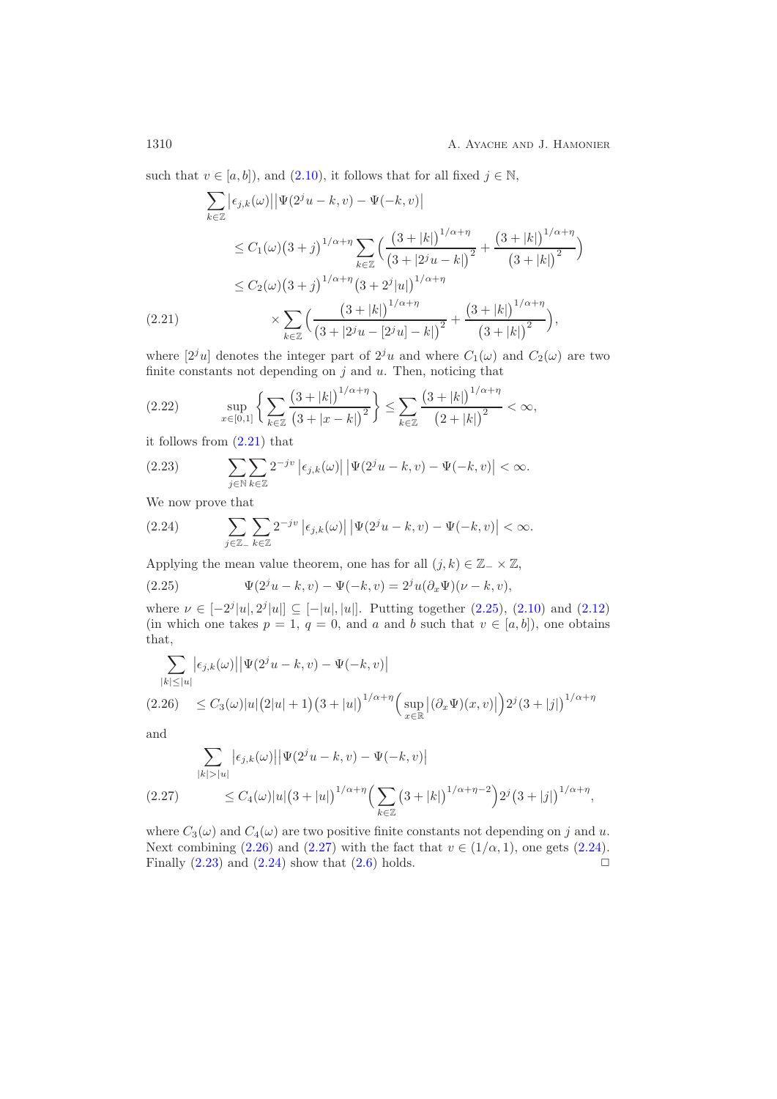such that  $v \in [a, b]$ , and  $(2.10)$ , it follows that for all fixed  $j \in \mathbb{N}$ ,

$$
\sum_{k \in \mathbb{Z}} \left| \epsilon_{j,k}(\omega) \right| \left| \Psi(2^{j}u - k, v) - \Psi(-k, v) \right|
$$
\n
$$
\leq C_1(\omega) \left( 3 + j \right)^{1/\alpha + \eta} \sum_{k \in \mathbb{Z}} \left( \frac{\left( 3 + |k| \right)^{1/\alpha + \eta}}{\left( 3 + |2^{j}u - k| \right)^{2}} + \frac{\left( 3 + |k| \right)^{1/\alpha + \eta}}{\left( 3 + |k| \right)^{2}} \right)
$$
\n
$$
\leq C_2(\omega) \left( 3 + j \right)^{1/\alpha + \eta} \left( 3 + 2^{j} |u| \right)^{1/\alpha + \eta}
$$
\n
$$
(2.21) \qquad \qquad \times \sum_{k \in \mathbb{Z}} \left( \frac{\left( 3 + |k| \right)^{1/\alpha + \eta}}{\left( 3 + |2^{j}u - [2^{j}u] - k| \right)^{2}} + \frac{\left( 3 + |k| \right)^{1/\alpha + \eta}}{\left( 3 + |k| \right)^{2}} \right),
$$

<span id="page-9-0"></span>where  $[2^j u]$  denotes the integer part of  $2^j u$  and where  $C_1(\omega)$  and  $C_2(\omega)$  are two finite constants not depending on  $j$  and  $u$ . Then, noticing that

$$
(2.22) \qquad \sup_{x \in [0,1]} \left\{ \sum_{k \in \mathbb{Z}} \frac{\left(3 + |k|\right)^{1/\alpha + \eta}}{\left(3 + |x - k|\right)^2} \right\} \le \sum_{k \in \mathbb{Z}} \frac{\left(3 + |k|\right)^{1/\alpha + \eta}}{\left(2 + |k|\right)^2} < \infty,
$$

it follows from [\(2.21\)](#page-9-0) that

<span id="page-9-5"></span>(2.23) 
$$
\sum_{j \in \mathbb{N}} \sum_{k \in \mathbb{Z}} 2^{-jv} |\epsilon_{j,k}(\omega)| |\Psi(2^{j}u - k, v) - \Psi(-k, v)| < \infty.
$$

We now prove that

<span id="page-9-4"></span>(2.24) 
$$
\sum_{j\in\mathbb{Z}_-}\sum_{k\in\mathbb{Z}} 2^{-jv} |\epsilon_{j,k}(\omega)| |\Psi(2^j u - k, v) - \Psi(-k, v)| < \infty.
$$

Applying the mean value theorem, one has for all  $(j, k) \in \mathbb{Z}_- \times \mathbb{Z}$ ,

<span id="page-9-1"></span>(2.25) 
$$
\Psi(2^{j}u - k, v) - \Psi(-k, v) = 2^{j}u(\partial_{x}\Psi)(\nu - k, v),
$$

where  $\nu \in [-2^j|u|, 2^j|u|] \subseteq [-|u|, |u|]$ . Putting together  $(2.25), (2.10)$  $(2.25), (2.10)$  $(2.25), (2.10)$  and  $(2.12)$ (in which one takes  $p = 1, q = 0$ , and a and b such that  $v \in [a, b]$ ), one obtains that,

$$
\sum_{|k| \le |u|} \left| \epsilon_{j,k}(\omega) \right| \left| \Psi(2^{j}u - k, v) - \Psi(-k, v) \right|
$$
\n(2.26) 
$$
\le C_3(\omega)|u| (2|u| + 1) (3 + |u|)^{1/\alpha + \eta} \Big( \sup_{x \in \mathbb{R}} \left| (\partial_x \Psi)(x, v) \right| \Big) 2^{j} (3 + |j|)^{1/\alpha + \eta}
$$

<span id="page-9-2"></span>and

$$
\sum_{|k|>|u|} |\epsilon_{j,k}(\omega)| |\Psi(2^{j}u - k, v) - \Psi(-k, v)|
$$
  
(2.27) 
$$
\leq C_4(\omega)|u|(3 + |u|)^{1/\alpha + \eta} \Big( \sum_{k \in \mathbb{Z}} (3 + |k|)^{1/\alpha + \eta - 2} \Big) 2^{j} (3 + |j|)^{1/\alpha + \eta},
$$

<span id="page-9-3"></span>where  $C_3(\omega)$  and  $C_4(\omega)$  are two positive finite constants not depending on j and u. Next combining [\(2.26\)](#page-9-2) and [\(2.27\)](#page-9-3) with the fact that  $v \in (1/\alpha, 1)$ , one gets [\(2.24\)](#page-9-4). Finally  $(2.23)$  and  $(2.24)$  show that  $(2.6)$  holds.  $\Box$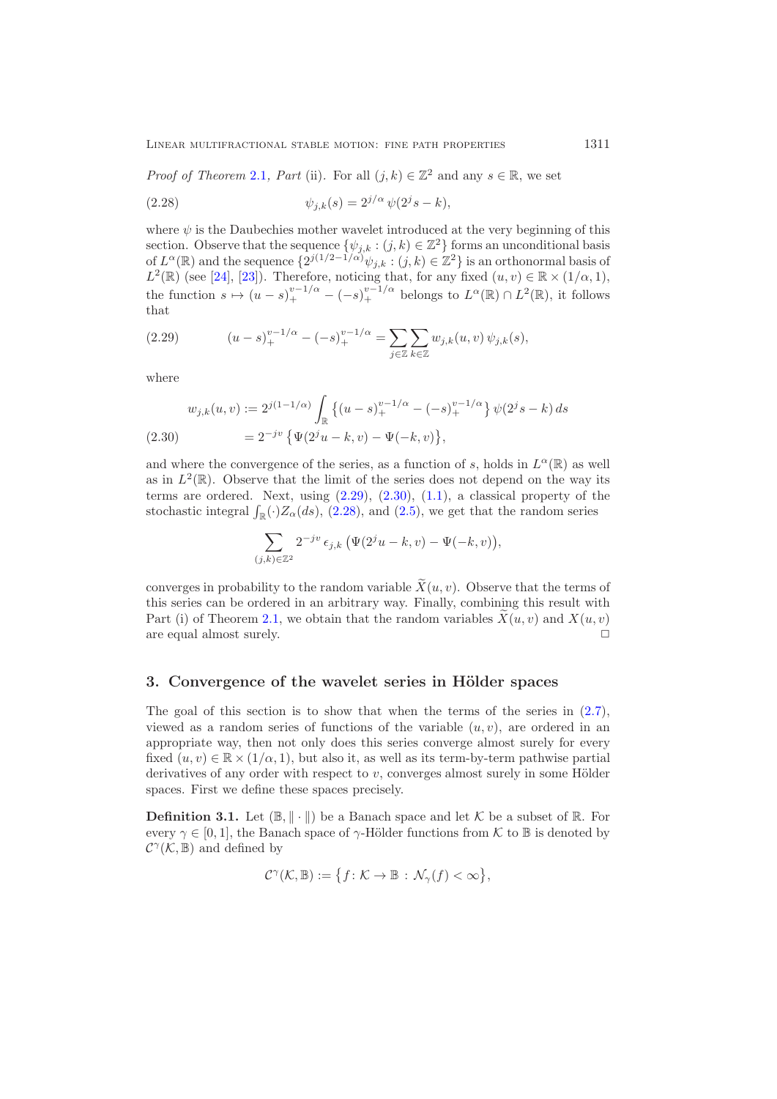*Proof of Theorem* [2.1](#page-5-0)*, Part* (ii). For all  $(j, k) \in \mathbb{Z}^2$  and any  $s \in \mathbb{R}$ , we set

<span id="page-10-3"></span>(2.28) 
$$
\psi_{j,k}(s) = 2^{j/\alpha} \psi(2^{j}s - k),
$$

where  $\psi$  is the Daubechies mother wavelet introduced at the very beginning of this section. Observe that the sequence  $\{\psi_{j,k} : (j,k) \in \mathbb{Z}^2\}$  forms an unconditional basis of  $L^{\alpha}(\mathbb{R})$  and the sequence  $\{2^{j(1/2-1/\alpha)}\psi_{j,k} : (j,k) \in \mathbb{Z}^2\}$  is an orthonormal basis of  $L^2(\mathbb{R})$  (see [\[24\]](#page-52-17), [\[23\]](#page-52-18)). Therefore, noticing that, for any fixed  $(u, v) \in \mathbb{R} \times (1/\alpha, 1)$ , the function  $s \mapsto (u-s)_+^{v-1/\alpha} - (-s)_+^{v-1/\alpha}$  belongs to  $L^{\alpha}(\mathbb{R}) \cap L^2(\mathbb{R})$ , it follows that

<span id="page-10-1"></span>(2.29) 
$$
(u-s)_+^{v-1/\alpha} - (-s)_+^{v-1/\alpha} = \sum_{j\in\mathbb{Z}} \sum_{k\in\mathbb{Z}} w_{j,k}(u,v) \psi_{j,k}(s),
$$

where

<span id="page-10-2"></span>
$$
w_{j,k}(u,v) := 2^{j(1-1/\alpha)} \int_{\mathbb{R}} \left\{ (u-s)_+^{v-1/\alpha} - (-s)_+^{v-1/\alpha} \right\} \psi(2^j s - k) ds
$$
  
(2.30) 
$$
= 2^{-jv} \left\{ \Psi(2^j u - k, v) - \Psi(-k, v) \right\},
$$

and where the convergence of the series, as a function of s, holds in  $L^{\alpha}(\mathbb{R})$  as well as in  $L^2(\mathbb{R})$ . Observe that the limit of the series does not depend on the way its terms are ordered. Next, using  $(2.29)$ ,  $(2.30)$ ,  $(1.1)$ , a classical property of the stochastic integral  $\int_{\mathbb{R}}(\cdot)Z_{\alpha}(ds)$ , [\(2.28\)](#page-10-3), and [\(2.5\)](#page-5-2), we get that the random series

$$
\sum_{(j,k)\in\mathbb{Z}^2} 2^{-jv} \,\epsilon_{j,k} \left( \Psi(2^j u - k, v) - \Psi(-k, v) \right),
$$

converges in probability to the random variable  $X(u, v)$ . Observe that the terms of this series can be ordered in an arbitrary way. Finally, combining this result with Part (i) of Theorem [2.1,](#page-5-0) we obtain that the random variables  $X(u, v)$  and  $X(u, v)$ are equal almost surely.  $\Box$ 

### <span id="page-10-0"></span>**3.** Convergence of the wavelet series in Hölder spaces

The goal of this section is to show that when the terms of the series in  $(2.7)$ , viewed as a random series of functions of the variable  $(u, v)$ , are ordered in an appropriate way, then not only does this series converge almost surely for every fixed  $(u, v) \in \mathbb{R} \times (1/\alpha, 1)$ , but also it, as well as its term-by-term pathwise partial derivatives of any order with respect to  $v$ , converges almost surely in some Hölder spaces. First we define these spaces precisely.

**Definition 3.1.** Let  $(\mathbb{B}, \|\cdot\|)$  be a Banach space and let K be a subset of R. For every  $\gamma \in [0, 1]$ , the Banach space of  $\gamma$ -Hölder functions from K to B is denoted by  $\mathcal{C}^{\gamma}(\mathcal{K},\mathbb{B})$  and defined by

$$
\mathcal{C}^{\gamma}(\mathcal{K},\mathbb{B}):=\big\{f\colon \mathcal{K}\to \mathbb{B}\,:\,\mathcal{N}_{\gamma}(f)<\infty\big\},
$$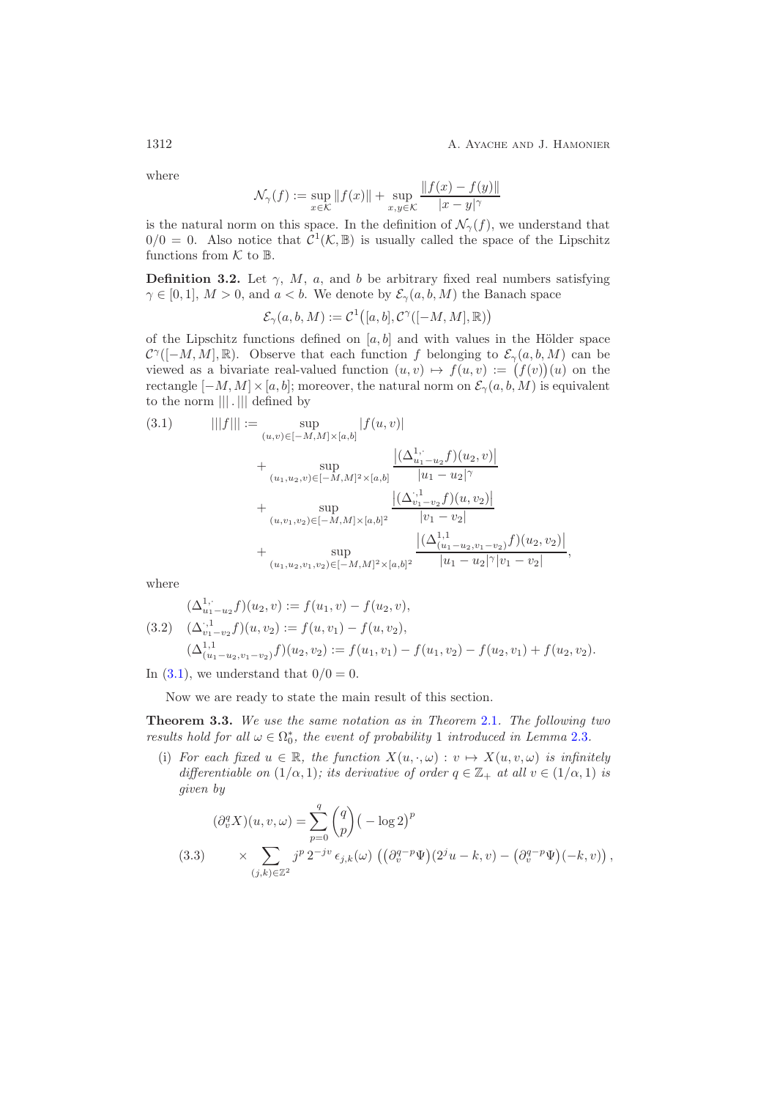where

$$
\mathcal{N}_{\gamma}(f) := \sup_{x \in \mathcal{K}} \|f(x)\| + \sup_{x, y \in \mathcal{K}} \frac{\|f(x) - f(y)\|}{|x - y|^{\gamma}}
$$

is the natural norm on this space. In the definition of  $\mathcal{N}_{\gamma}(f)$ , we understand that  $0/0 = 0$ . Also notice that  $C^1(\mathcal{K}, \mathbb{B})$  is usually called the space of the Lipschitz functions from  $K$  to  $\mathbb{B}$ .

<span id="page-11-2"></span>**Definition 3.2.** Let  $\gamma$ , M, a, and b be arbitrary fixed real numbers satisfying  $\gamma \in [0, 1], M > 0$ , and  $a < b$ . We denote by  $\mathcal{E}_{\gamma}(a, b, M)$  the Banach space

$$
\mathcal{E}_\gamma(a,b,M):=\mathcal{C}^1\big([a,b],\mathcal{C}^\gamma([-M,M],\mathbb{R})\big)
$$

of the Lipschitz functions defined on  $[a, b]$  and with values in the Hölder space  $\mathcal{C}^{\gamma}([-M,M],\mathbb{R})$ . Observe that each function f belonging to  $\mathcal{E}_{\gamma}(a,b,M)$  can be viewed as a bivariate real-valued function  $(u, v) \mapsto f(u, v) := (f(v))(u)$  on the rectangle  $[-M, M] \times [a, b]$ ; moreover, the natural norm on  $\mathcal{E}_{\gamma}(a, b, M)$  is equivalent to the norm ||| . ||| defined by

<span id="page-11-0"></span>
$$
(3.1) \qquad |||f||| := \sup_{(u,v)\in[-M,M]\times[a,b]} |f(u,v)|
$$
  
+ 
$$
\sup_{(u_1,u_2,v)\in[-M,M]^2\times[a,b]} \frac{|(\Delta_{u_1-u_2}^{1,\cdot}f)(u_2,v)|}{|u_1-u_2|^\gamma}
$$
  
+ 
$$
\sup_{(u,v_1,v_2)\in[-M,M]\times[a,b]^2} \frac{|(\Delta_{v_1-v_2}^{1,\cdot}f)(u,v_2)|}{|v_1-v_2|}
$$
  
+ 
$$
\sup_{(u_1,u_2,v_1,v_2)\in[-M,M]^2\times[a,b]^2} \frac{|(\Delta_{(u_1-u_2,v_1-v_2)}^{1,\cdot}f)(u_2,v_2)|}{|u_1-u_2|^\gamma|v_1-v_2|},
$$

where

<span id="page-11-3"></span>
$$
(\Delta_{u_1-u_2}^{1,\cdot}f)(u_2,v) := f(u_1,v) - f(u_2,v),
$$
  
(3.2) 
$$
(\Delta_{v_1-v_2}^{1,1}f)(u,v_2) := f(u,v_1) - f(u,v_2),
$$
  

$$
(\Delta_{(u_1-u_2,v_1-v_2)}^{1,1}f)(u_2,v_2) := f(u_1,v_1) - f(u_1,v_2) - f(u_2,v_1) + f(u_2,v_2).
$$

In  $(3.1)$ , we understand that  $0/0 = 0$ .

<span id="page-11-1"></span>Now we are ready to state the main result of this section.

**Theorem 3.3.** *We use the same notation as in Theorem* [2.1](#page-5-0)*. The following two results hold for all*  $\omega \in \Omega_0^*$ , the event of probability 1 *introduced in Lemma* [2.3](#page-6-0)*.* 

(i) For each fixed  $u \in \mathbb{R}$ , the function  $X(u, \cdot, \omega) : v \mapsto X(u, v, \omega)$  is infinitely *differentiable on*  $(1/\alpha, 1)$ *; its derivative of order*  $q \in \mathbb{Z}_+$  *at all*  $v \in (1/\alpha, 1)$  *is given by*

<span id="page-11-4"></span>
$$
(\partial_v^q X)(u, v, \omega) = \sum_{p=0}^q {q \choose p} \left(-\log 2\right)^p
$$
  
(3.3) 
$$
\times \sum_{(j,k) \in \mathbb{Z}^2} j^p 2^{-jv} \epsilon_{j,k}(\omega) \left(\left(\partial_v^{q-p} \Psi\right)(2^j u - k, v) - \left(\partial_v^{q-p} \Psi\right)(-k, v)\right),
$$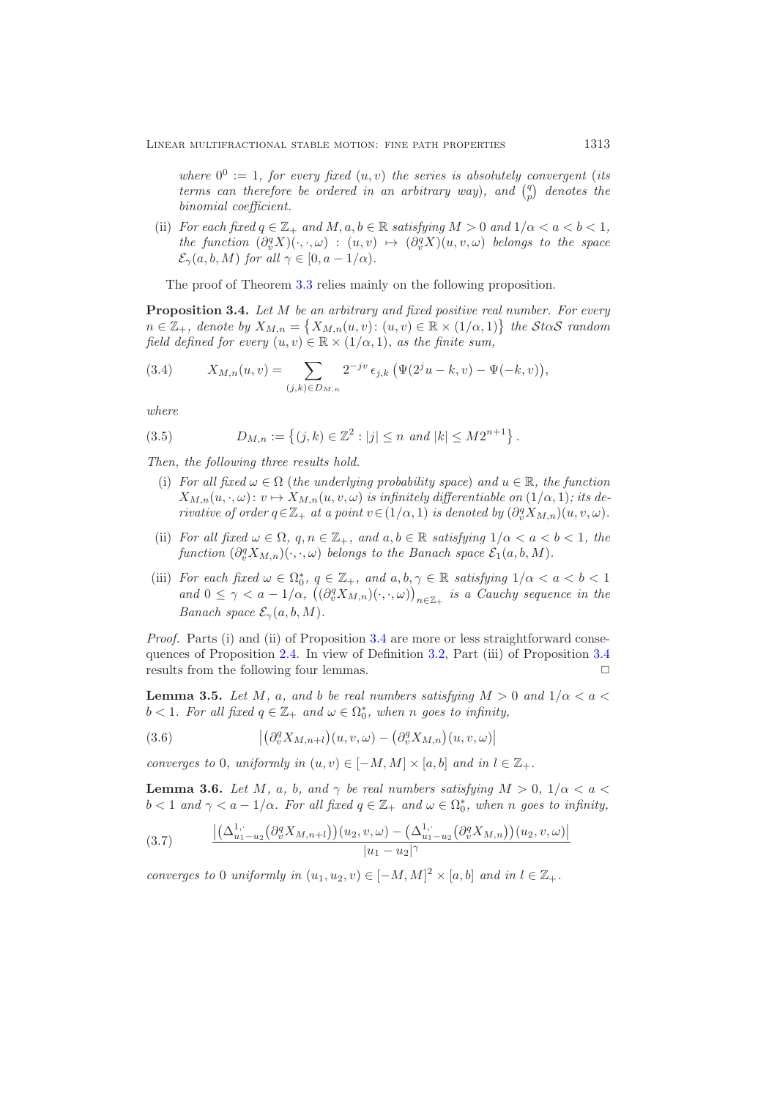*where*  $0^0 := 1$ *, for every fixed*  $(u, v)$  *the series is absolutely convergent* (*its terms can therefore be ordered in an arbitrary way*), and  $\binom{q}{p}$  denotes the *binomial coefficient.*

(ii) *For each fixed*  $q \in \mathbb{Z}_+$  *and*  $M, a, b \in \mathbb{R}$  *satisfying*  $M > 0$  *and*  $1/\alpha < a < b < 1$ ,  $the\ function\ (\partial_v^q X)(\cdot,\cdot,\omega)\ :\ (u,v)\ \mapsto\ (\partial_v^q X)(u,v,\omega)\ \ belongs\ to\ the\ space$  $\mathcal{E}_{\gamma}(a, b, M)$  *for all*  $\gamma \in [0, a - 1/\alpha)$ *.* 

<span id="page-12-0"></span>The proof of Theorem [3.3](#page-11-1) relies mainly on the following proposition.

**Proposition 3.4.** *Let* <sup>M</sup> *be an arbitrary and fixed positive real number. For every*  $n \in \mathbb{Z}_+$ , denote by  $X_{M,n} = \{X_{M,n}(u, v): (u, v) \in \mathbb{R} \times (1/\alpha, 1)\}$  the StaS random *field defined for every*  $(u, v) \in \mathbb{R} \times (1/\alpha, 1)$ *, as the finite sum,* 

<span id="page-12-1"></span>(3.4) 
$$
X_{M,n}(u,v) = \sum_{(j,k)\in D_{M,n}} 2^{-jv} \epsilon_{j,k} \left( \Psi(2^{j}u - k, v) - \Psi(-k, v) \right),
$$

*where*

<span id="page-12-2"></span>(3.5) 
$$
D_{M,n} := \left\{ (j,k) \in \mathbb{Z}^2 : |j| \le n \text{ and } |k| \le M2^{n+1} \right\}.
$$

*Then, the following three results hold.*

- (i) For all fixed  $\omega \in \Omega$  (the underlying probability space) and  $u \in \mathbb{R}$ , the function  $X_{M,n}(u, \cdot, \omega): v \mapsto X_{M,n}(u, v, \omega)$  *is infinitely differentiable on*  $(1/\alpha, 1)$ *; its derivative of order*  $q \in \mathbb{Z}_+$  *at a point*  $v \in (1/\alpha, 1)$  *is denoted by*  $(\partial_v^q X_{M,n})(u, v, \omega)$ *.*
- (ii) *For all fixed*  $\omega \in \Omega$ ,  $q, n \in \mathbb{Z}_+$ , and  $a, b \in \mathbb{R}$  *satisfying*  $1/\alpha < a < b < 1$ , the  $function \left(\partial_v^q X_{M,n}\right)(\cdot,\cdot,\omega)$  *belongs to the Banach space*  $\mathcal{E}_1(a,b,M)$ *.*
- (iii) *For each fixed*  $\omega \in \Omega_0^*$ ,  $q \in \mathbb{Z}_+$ , and  $a, b, \gamma \in \mathbb{R}$  *satisfying*  $1/\alpha < a < b < 1$ <br>and  $0 < \alpha < a 1/\alpha$  ( $(\partial^q X_{\alpha}, \beta)$ ) is a Cauchy sequence in the and  $0 \leq \gamma < a - 1/\alpha$ ,  $((\partial_v^q X_{M,n})(\cdot,\cdot,\omega))_{n \in \mathbb{Z}_+}$  *is a Cauchy sequence in the Banach space*  $\mathcal{E}_{\gamma}(a, b, M)$ *.*

*Proof.* Parts (i) and (ii) of Proposition [3.4](#page-12-0) are more or less straightforward consequences of Proposition [2.4.](#page-7-5) In view of Definition [3.2,](#page-11-2) Part (iii) of Proposition [3.4](#page-12-0) results from the following four lemmas.  $\Box$ 

**Lemma 3.5.** *Let* M, a, and b be real numbers satisfying  $M > 0$  and  $1/\alpha < a <$  $b < 1$ *. For all fixed*  $q \in \mathbb{Z}_+$  *and*  $\omega \in \Omega_0^*$ *, when n goes to infinity,* 

(3.6) 
$$
\left| \left( \partial_v^q X_{M,n+l} \right) (u,v,\omega) - \left( \partial_v^q X_{M,n} \right) (u,v,\omega) \right|
$$

*converges to* 0*, uniformly in*  $(u, v) \in [-M, M] \times [a, b]$  *and in*  $l \in \mathbb{Z}_+$ *.* 

**Lemma 3.6.** *Let* M, a, b, and  $\gamma$  be real numbers satisfying  $M > 0$ ,  $1/\alpha < a <$  $b < 1$  and  $\gamma < a - 1/\alpha$ . For all fixed  $q \in \mathbb{Z}_+$  and  $\omega \in \Omega_0^*$ , when n goes to infinity,

$$
(3.7) \qquad \frac{\left| \left( \Delta_{u_1 - u_2}^{1, \cdot} \left( \partial_v^q X_{M, n+l} \right) \right) (u_2, v, \omega) - \left( \Delta_{u_1 - u_2}^{1, \cdot} \left( \partial_v^q X_{M, n} \right) \right) (u_2, v, \omega) \right|}{|u_1 - u_2|^\gamma}
$$

*converges to* 0 *uniformly in*  $(u_1, u_2, v) \in [-M, M]^2 \times [a, b]$  *and in*  $l \in \mathbb{Z}_+$ *.*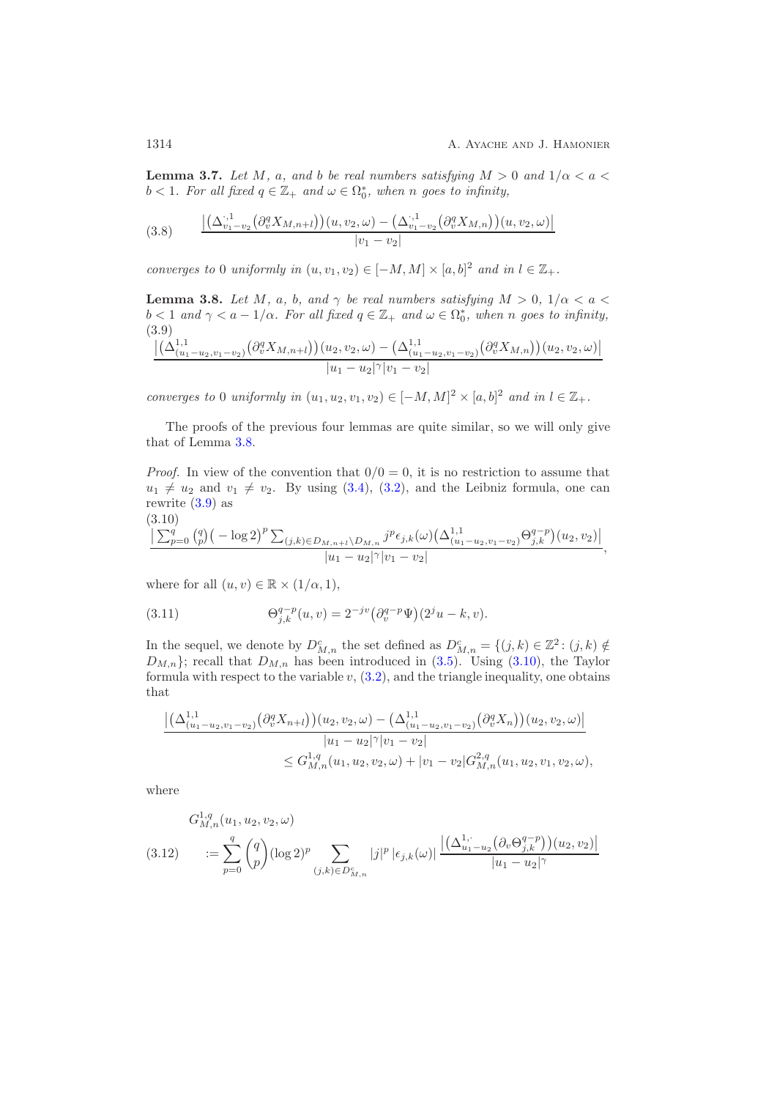**Lemma 3.7.** *Let* M, a, and b be real numbers satisfying  $M > 0$  and  $1/\alpha < a <$  $b < 1$ *. For all fixed*  $q \in \mathbb{Z}_+$  *and*  $\omega \in \Omega_0^*$ *, when n goes to infinity,* 

$$
(3.8) \qquad \frac{\left| \left( \Delta_{v_1 - v_2}^{.,1} \left( \partial_v^q X_{M, n+l} \right) \right) (u, v_2, \omega) - \left( \Delta_{v_1 - v_2}^{.,1} \left( \partial_v^q X_{M, n} \right) \right) (u, v_2, \omega) \right|}{|v_1 - v_2|}
$$

*converges to* 0 *uniformly in*  $(u, v_1, v_2) \in [-M, M] \times [a, b]^2$  *and in*  $l \in \mathbb{Z}_+$ *.* 

<span id="page-13-0"></span>**Lemma 3.8.** *Let* M, a, b, and  $\gamma$  be real numbers satisfying  $M > 0$ ,  $1/\alpha < a$  $b < 1$  and  $\gamma < a - 1/\alpha$ . For all fixed  $q \in \mathbb{Z}_+$  and  $\omega \in \Omega_0^*$ , when n goes to infinity,<br>(3.0) (3.9)  $\Big(\Delta^{1,1}_{(u)}\Big)$  $\sim$  1

<span id="page-13-1"></span>
$$
\frac{\left| \left( \Delta_{(u_1-u_2,v_1-v_2)}^{1,1}(\partial_v^q X_{M,n+l}) \right) (u_2,v_2,\omega) - \left( \Delta_{(u_1-u_2,v_1-v_2)}^{1,1}(\partial_v^q X_{M,n}) \right) (u_2,v_2,\omega) \right|}{|u_1-u_2|^\gamma |v_1-v_2|}
$$

*converges to* 0 *uniformly in*  $(u_1, u_2, v_1, v_2) \in [-M, M]^2 \times [a, b]^2$  *and in*  $l \in \mathbb{Z}_+$ *.* 

The proofs of the previous four lemmas are quite similar, so we will only give that of Lemma [3.8.](#page-13-0)

*Proof.* In view of the convention that  $0/0 = 0$ , it is no restriction to assume that  $u_1 \neq u_2$  and  $v_1 \neq v_2$ . By using [\(3.4\)](#page-12-1), [\(3.2\)](#page-11-3), and the Leibniz formula, one can rewrite [\(3.9\)](#page-13-1) as

<span id="page-13-2"></span>
$$
\frac{(3.10)}{\sum_{p=0}^{q} {q \choose p} (-\log 2)^p \sum_{(j,k)\in D_{M,n+1}\setminus D_{M,n}} j^p \epsilon_{j,k}(\omega) \left(\Delta_{(u_1-u_2,v_1-v_2)}^{1,1} \Theta_{j,k}^{q-p}\right)(u_2,v_2)|}{|u_1-u_2|^{\gamma}|v_1-v_2|},
$$

where for all  $(u, v) \in \mathbb{R} \times (1/\alpha, 1)$ ,

<span id="page-13-3"></span>(3.11) 
$$
\Theta_{j,k}^{q-p}(u,v) = 2^{-jv} \left( \partial_v^{q-p} \Psi \right) (2^j u - k, v).
$$

In the sequel, we denote by  $D_{M,n}^c$  the set defined as  $D_{M,n}^c = \{(j,k) \in \mathbb{Z}^2 : (j,k) \notin \mathbb{Z}^2\}$  $D_{M,n}$ ; recall that  $D_{M,n}$  has been introduced in [\(3.5\)](#page-12-2). Using [\(3.10\)](#page-13-2), the Taylor formula with respect to the variable  $v$ ,  $(3.2)$ , and the triangle inequality, one obtains that

$$
\frac{\left| \left( \Delta_{(u_1-u_2,v_1-v_2)}^{1,1} \left( \partial_v^q X_{n+l} \right) \right) (u_2, v_2, \omega) - \left( \Delta_{(u_1-u_2,v_1-v_2)}^{1,1} \left( \partial_v^q X_n \right) \right) (u_2, v_2, \omega) \right|}{|u_1 - u_2|^\gamma |v_1 - v_2|} \leq G_{M,n}^{1,q} (u_1, u_2, v_2, \omega) + |v_1 - v_2| G_{M,n}^{2,q} (u_1, u_2, v_1, v_2, \omega),
$$

where

<span id="page-13-4"></span>
$$
G_{M,n}^{1,q}(u_1, u_2, v_2, \omega)
$$
  
(3.12) 
$$
:= \sum_{p=0}^{q} {q \choose p} (\log 2)^p \sum_{(j,k) \in D_{M,n}^c} |j|^p |\epsilon_{j,k}(\omega)| \frac{|(\Delta_{u_1-u_2}^{1,\cdot} (\partial_v \Theta_{j,k}^{q-p})) (u_2, v_2)|}{|u_1 - u_2|^\gamma}
$$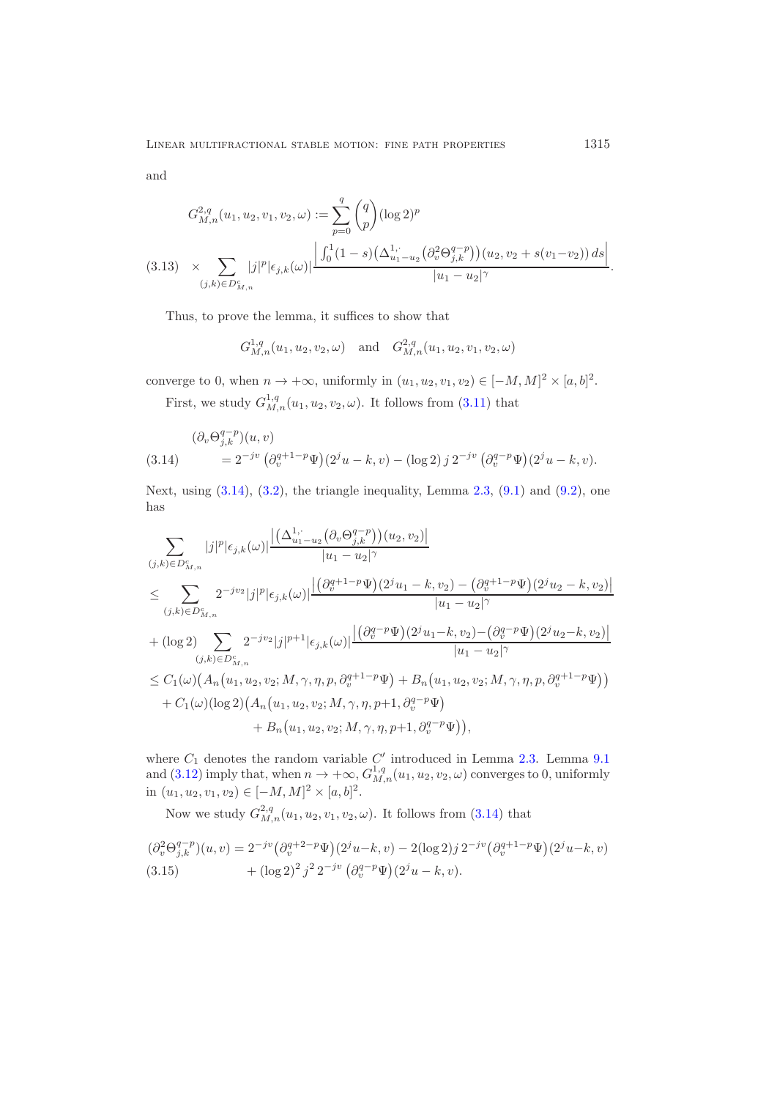and

$$
G_{M,n}^{2,q}(u_1, u_2, v_1, v_2, \omega) := \sum_{p=0}^{q} {q \choose p} (\log 2)^p
$$
  
(3.13) 
$$
\times \sum_{(j,k) \in D_{M,n}^c} |j|^p |\epsilon_{j,k}(\omega)| \frac{\left| \int_0^1 (1-s) \left(\Delta_{u_1-u_2}^{1,\cdot} \left(\partial_v^2 \Theta_{j,k}^{q-p}\right)\right)(u_2, v_2 + s(v_1-v_2)) ds \right|}{|u_1 - u_2|^\gamma}.
$$

<span id="page-14-2"></span>Thus, to prove the lemma, it suffices to show that

$$
G_{M,n}^{1,q}(u_1, u_2, v_2, \omega)
$$
 and  $G_{M,n}^{2,q}(u_1, u_2, v_1, v_2, \omega)$ 

converge to 0, when  $n \to +\infty$ , uniformly in  $(u_1, u_2, v_1, v_2) \in [-M, M]^2 \times [a, b]^2$ .

First, we study  $G_{M,n}^{1,q}(u_1, u_2, v_2, \omega)$ . It follows from [\(3.11\)](#page-13-3) that

<span id="page-14-0"></span>
$$
(\partial_v \Theta_{j,k}^{q-p})(u,v) = 2^{-jv} \left( \partial_v^{q+1-p} \Psi \right) (2^j u - k, v) - (\log 2) j 2^{-jv} \left( \partial_v^{q-p} \Psi \right) (2^j u - k, v).
$$

Next, using  $(3.14)$ ,  $(3.2)$ , the triangle inequality, Lemma [2.3,](#page-6-0)  $(9.1)$  and  $(9.2)$ , one has

$$
\sum_{(j,k)\in D_{M,n}^c} |j|^p |\epsilon_{j,k}(\omega)| \frac{|(\Delta_{u_1-u_2}^{1,\cdot}(\partial_v \Theta_{j,k}^{q-p}))(u_2, v_2)|}{|u_1 - u_2|^\gamma}
$$
\n
$$
\leq \sum_{(j,k)\in D_{M,n}^c} 2^{-jv_2} |j|^p |\epsilon_{j,k}(\omega)| \frac{|(\partial_v^{q+1-p} \Psi)(2^j u_1 - k, v_2) - (\partial_v^{q+1-p} \Psi)(2^j u_2 - k, v_2)|}{|u_1 - u_2|^\gamma}
$$
\n
$$
+ (\log 2) \sum_{(j,k)\in D_{M,n}^c} 2^{-jv_2} |j|^{p+1} |\epsilon_{j,k}(\omega)| \frac{|(\partial_v^{q-p} \Psi)(2^j u_1 - k, v_2) - (\partial_v^{q-p} \Psi)(2^j u_2 - k, v_2)|}{|u_1 - u_2|^\gamma}
$$
\n
$$
\leq C_1(\omega) (A_n(u_1, u_2, v_2; M, \gamma, \eta, p, \partial_v^{q+1-p} \Psi) + B_n(u_1, u_2, v_2; M, \gamma, \eta, p, \partial_v^{q+1-p} \Psi))
$$
\n
$$
+ C_1(\omega) (\log 2) (A_n(u_1, u_2, v_2; M, \gamma, \eta, p+1, \partial_v^{q-p} \Psi))
$$
\n
$$
+ B_n(u_1, u_2, v_2; M, \gamma, \eta, p+1, \partial_v^{q-p} \Psi)),
$$

where  $C_1$  denotes the random variable  $C'$  introduced in Lemma [2.3.](#page-6-0) Lemma [9.1](#page-45-3)<br>and [\(3.12\)](#page-13-4) imply that, when  $n \to +\infty$ ,  $G_{M,n}^{1,q}(u_1, u_2, v_2, \omega)$  converges to 0, uniformly in  $(u_1, u_2, v_1, v_2) \in [-M, M]^2 \times [a, b]^2$ .

Now we study  $G_{M,n}^{2,q}(u_1, u_2, v_1, v_2, \omega)$ . It follows from [\(3.14\)](#page-14-0) that

<span id="page-14-1"></span>
$$
(\partial_v^2 \Theta_{j,k}^{q-p})(u,v) = 2^{-jv} (\partial_v^{q+2-p} \Psi)(2^j u - k, v) - 2(\log 2)j 2^{-jv} (\partial_v^{q+1-p} \Psi)(2^j u - k, v)
$$
  
(3.15) 
$$
+ (\log 2)^2 j^2 2^{-jv} (\partial_v^{q-p} \Psi)(2^j u - k, v).
$$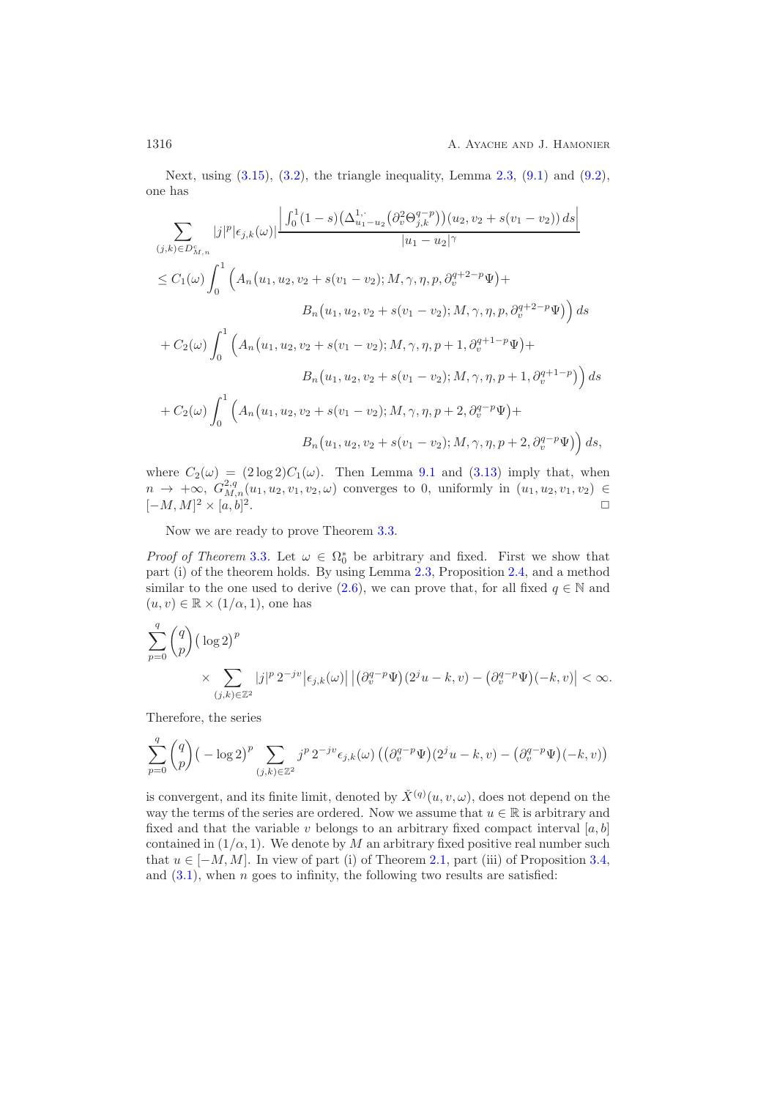Next, using  $(3.15)$ ,  $(3.2)$ , the triangle inequality, Lemma [2.3,](#page-6-0)  $(9.1)$  and  $(9.2)$ , one has

$$
\sum_{(j,k)\in D_{M,n}^c} |j|^p |\epsilon_{j,k}(\omega)| \frac{\left| \int_0^1 (1-s) \left( \Delta_{u_1-u_2}^{1,\cdot} \left( \partial_v^2 \Theta_{j,k}^{q-p} \right) \right) (u_2, v_2 + s(v_1 - v_2)) ds \right|}{|u_1 - u_2|^\gamma}
$$
\n
$$
\leq C_1(\omega) \int_0^1 \left( A_n(u_1, u_2, v_2 + s(v_1 - v_2); M, \gamma, \eta, p, \partial_v^{q+2-p} \Psi) + B_n(u_1, u_2, v_2 + s(v_1 - v_2); M, \gamma, \eta, p, \partial_v^{q+2-p} \Psi) \right) ds
$$
\n
$$
+ C_2(\omega) \int_0^1 \left( A_n(u_1, u_2, v_2 + s(v_1 - v_2); M, \gamma, \eta, p+1, \partial_v^{q+1-p} \Psi) + B_n(u_1, u_2, v_2 + s(v_1 - v_2); M, \gamma, \eta, p+1, \partial_v^{q+1-p} \Psi) \right) ds
$$
\n
$$
+ C_2(\omega) \int_0^1 \left( A_n(u_1, u_2, v_2 + s(v_1 - v_2); M, \gamma, \eta, p+2, \partial_v^{q-p} \Psi) + B_n(u_1, u_2, v_2 + s(v_1 - v_2); M, \gamma, \eta, p+2, \partial_v^{q-p} \Psi) \right) ds,
$$

where  $C_2(\omega) = (2 \log 2)C_1(\omega)$ . Then Lemma [9.1](#page-45-3) and [\(3.13\)](#page-14-2) imply that, when  $n \to +\infty$ ,  $G_{M,n}^{2,q}(u_1, u_2, v_1, v_2, \omega)$  converges to 0, uniformly in  $(u_1, u_2, v_1, v_2) \in$  $[-M, M]^2 \times [a, b]$  $\mathbb{Z}$ .

Now we are ready to prove Theorem [3.3.](#page-11-1)

*Proof of Theorem* [3.3](#page-11-1). Let  $\omega \in \Omega_0^*$  be arbitrary and fixed. First we show that part (i) of the theorem holds. By using Lemma 2.3. Proposition 2.4 and a method part (i) of the theorem holds. By using Lemma [2.3,](#page-6-0) Proposition [2.4,](#page-7-5) and a method similar to the one used to derive [\(2.6\)](#page-5-3), we can prove that, for all fixed  $q \in \mathbb{N}$  and  $(u, v) \in \mathbb{R} \times (1/\alpha, 1)$ , one has

$$
\sum_{p=0}^{q} \binom{q}{p} \left(\log 2\right)^p
$$
\n
$$
\times \sum_{(j,k)\in\mathbb{Z}^2} |j|^p \, 2^{-jv} \big|\epsilon_{j,k}(\omega)\big| \left|\left(\partial_v^{q-p} \Psi\right) (2^j u - k, v) - \left(\partial_v^{q-p} \Psi\right) (-k, v)\right| < \infty.
$$

Therefore, the series

$$
\sum_{p=0}^{q} \binom{q}{p} \left(-\log 2\right)^p \sum_{(j,k)\in \mathbb{Z}^2} j^p 2^{-jv} \epsilon_{j,k}(\omega) \left(\left(\partial_v^{q-p} \Psi\right)(2^j u - k, v) - \left(\partial_v^{q-p} \Psi\right)(-k, v)\right)
$$

is convergent, and its finite limit, denoted by  $\check{X}^{(q)}(u, v, \omega)$ , does not depend on the way the terms of the series are ordered. Now we assume that  $u \in \mathbb{R}$  is arbitrary and fixed and that the variable v belongs to an arbitrary fixed compact interval  $[a, b]$ contained in  $(1/\alpha, 1)$ . We denote by M an arbitrary fixed positive real number such that  $u \in [-M, M]$ . In view of part (i) of Theorem [2.1,](#page-5-0) part (iii) of Proposition [3.4,](#page-12-0) and  $(3.1)$ , when n goes to infinity, the following two results are satisfied: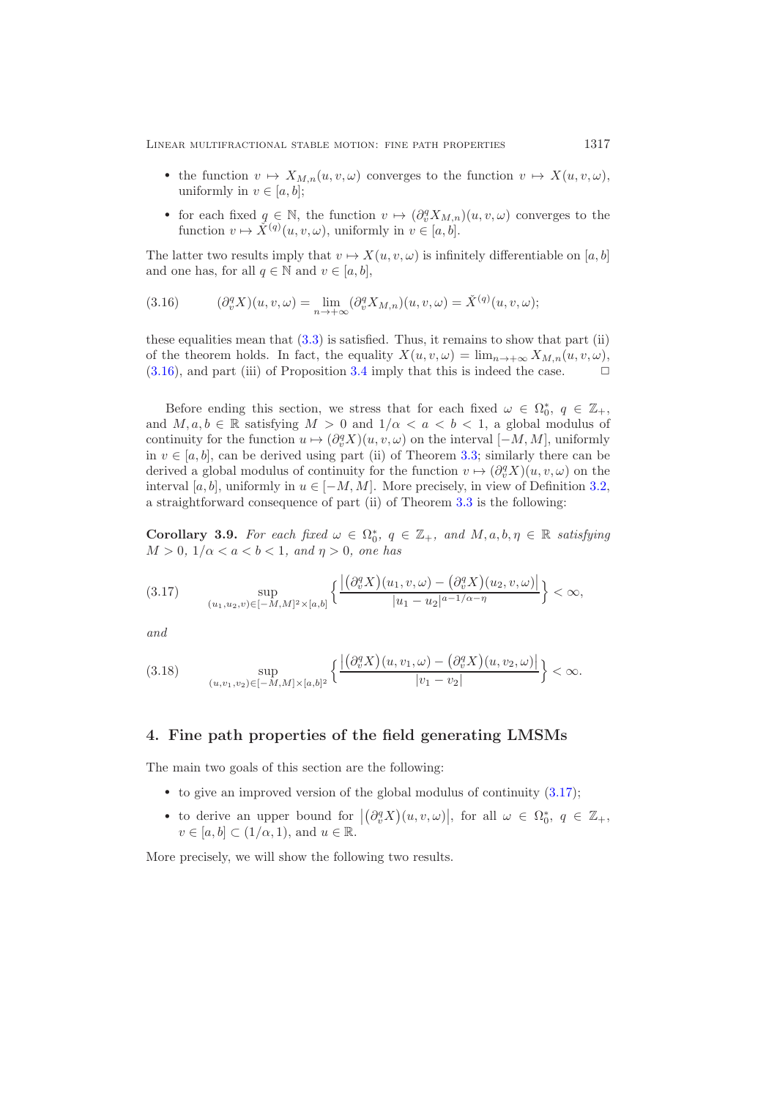- the function  $v \mapsto X_{M,n}(u,v,\omega)$  converges to the function  $v \mapsto X(u,v,\omega)$ , uniformly in  $v \in [a, b]$ ;
- for each fixed  $q \in \mathbb{N}$ , the function  $v \mapsto (\partial_y^q X_{M,n})(u,v,\omega)$  converges to the function  $v \mapsto \check{X}^{(q)}(u, v, \omega)$ , uniformly in  $v \in [a, b]$ .

The latter two results imply that  $v \mapsto X(u, v, \omega)$  is infinitely differentiable on [a, b] and one has, for all  $q \in \mathbb{N}$  and  $v \in [a, b]$ ,

<span id="page-16-1"></span>(3.16) 
$$
(\partial_v^q X)(u, v, \omega) = \lim_{n \to +\infty} (\partial_v^q X_{M,n})(u, v, \omega) = \check{X}^{(q)}(u, v, \omega);
$$

these equalities mean that [\(3.3\)](#page-11-4) is satisfied. Thus, it remains to show that part (ii) of the theorem holds. In fact, the equality  $X(u, v, \omega) = \lim_{n \to +\infty} X_{M,n}(u, v, \omega)$ , (3.16), and part (iii) of Proposition 3.4 imply that this is indeed the case.  $(3.16)$ , and part (iii) of Proposition [3.4](#page-12-0) imply that this is indeed the case.

Before ending this section, we stress that for each fixed  $\omega \in \Omega_0^*$ ,  $q \in \mathbb{Z}_+$ ,  $M, q, b \in \mathbb{R}$  satisfying  $M > 0$  and  $1/\alpha < q < b < 1$  a global modulus of and  $M, a, b \in \mathbb{R}$  satisfying  $M > 0$  and  $1/\alpha < a < b < 1$ , a global modulus of continuity for the function  $u \mapsto (\partial_v^q X)(u, v, \omega)$  on the interval  $[-M, M]$ , uniformly in  $v \in [a, b]$ , can be derived using part (ii) of Theorem [3.3;](#page-11-1) similarly there can be derived a global modulus of continuity for the function  $v \mapsto (\partial_v^q X)(u, v, \omega)$  on the interval [a, b], uniformly in  $u \in [-M, M]$ . More precisely, in view of Definition [3.2,](#page-11-2) a straightforward consequence of part (ii) of Theorem [3.3](#page-11-1) is the following:

**Corollary 3.9.** *For each fixed*  $\omega \in \Omega_0^*$ ,  $q \in \mathbb{Z}_+$ , and  $M, a, b, \eta \in \mathbb{R}$  *satisfying*  $M > 0, 1/\alpha < a < b < 1$  and  $n > 0$  are has  $M > 0, 1/\alpha < a < b < 1, and \eta > 0,$  one has

<span id="page-16-2"></span>
$$
(3.17) \qquad \sup_{(u_1, u_2, v) \in [-M, M]^2 \times [a, b]} \left\{ \frac{|(\partial_v^q X)(u_1, v, \omega) - (\partial_v^q X)(u_2, v, \omega)|}{|u_1 - u_2|^{a - 1/\alpha - \eta}} \right\} < \infty,
$$

*and*

<span id="page-16-4"></span>
$$
(3.18) \quad \sup_{(u,v_1,v_2)\in[-M,M]\times[a,b]^2} \left\{ \frac{|(\partial_v^q X)(u,v_1,\omega) - (\partial_v^q X)(u,v_2,\omega)|}{|v_1 - v_2|} \right\} < \infty.
$$

### <span id="page-16-0"></span>**4. Fine path properties of the field generating LMSMs**

The main two goals of this section are the following:

- to give an improved version of the global modulus of continuity  $(3.17)$ ;
- to derive an upper bound for  $|(\partial_v^q X)(u, v, \omega)|$ , for all  $\omega \in \Omega_0^*$ ,  $q \in \mathbb{Z}_+$ ,<br>  $v \in [q, b] \subset (1/\alpha, 1)$  and  $u \in \mathbb{R}$  $v \in [a, b] \subset (1/\alpha, 1)$ , and  $u \in \mathbb{R}$ .

<span id="page-16-3"></span>More precisely, we will show the following two results.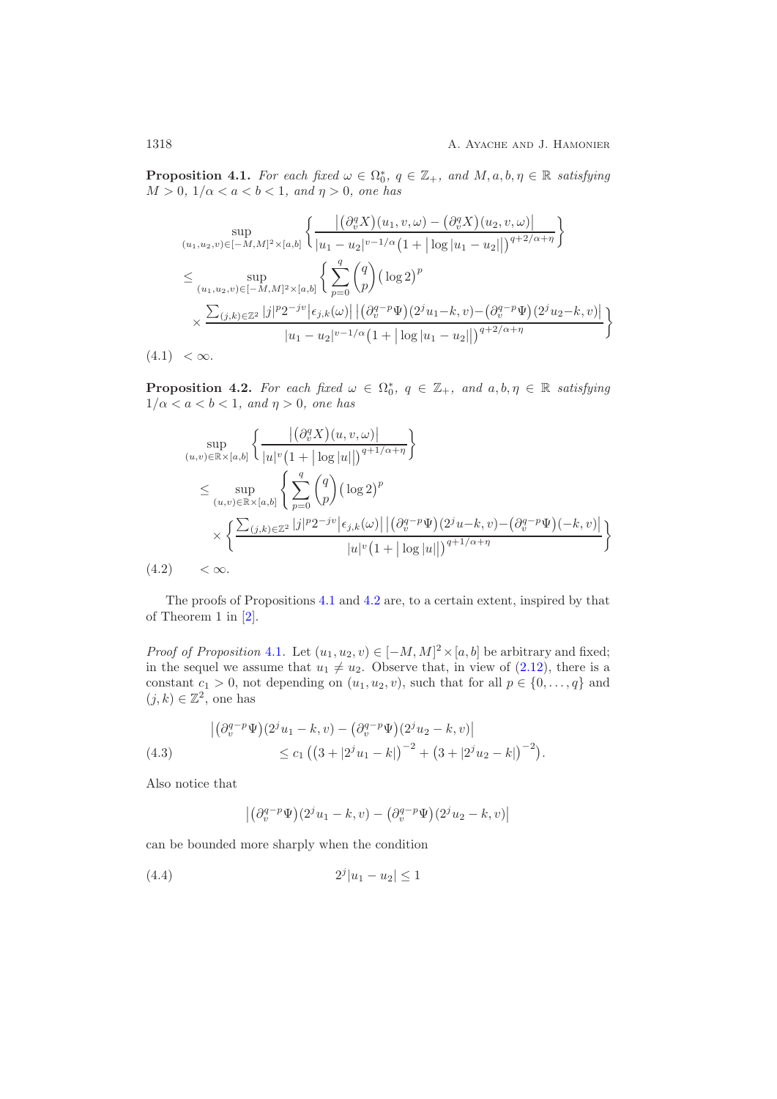**Proposition 4.1.** *For each fixed*  $\omega \in \Omega_0^*$ ,  $q \in \mathbb{Z}_+$ , and  $M, a, b, \eta \in \mathbb{R}$  *satisfying*  $M > 0, 1/\alpha < a < b < 1$  and  $n > 0$  are has  $M > 0, 1/\alpha < a < b < 1, and \eta > 0,$  one has

$$
\sup_{(u_1, u_2, v) \in [-M, M]^2 \times [a, b]} \left\{ \frac{\left| \left( \partial_v^q X \right) (u_1, v, \omega) - \left( \partial_v^q X \right) (u_2, v, \omega) \right|}{|u_1 - u_2|^{v-1/\alpha} (1 + |\log |u_1 - u_2||)^{q+2/\alpha + \eta}} \right\}
$$
\n
$$
\leq \sup_{(u_1, u_2, v) \in [-M, M]^2 \times [a, b]} \left\{ \sum_{p=0}^q {q \choose p} (\log 2)^p \right\}
$$
\n
$$
\times \frac{\sum_{(j,k) \in \mathbb{Z}^2} |j|^p 2^{-jv} |\epsilon_{j,k}(\omega)| \left| (\partial_v^{q-p} \Psi)(2^j u_1 - k, v) - (\partial_v^{q-p} \Psi)(2^j u_2 - k, v) \right|}{|u_1 - u_2|^{v-1/\alpha} (1 + |\log |u_1 - u_2|)|^{q+2/\alpha + \eta}} \right\}
$$
\n(4.1)  $\langle \infty$ .

<span id="page-17-3"></span><span id="page-17-0"></span>**Proposition 4.2.** For each fixed  $\omega \in \Omega_0^*$ ,  $q \in \mathbb{Z}_+$ , and  $a, b, \eta \in \mathbb{R}$  satisfying  $1/\alpha < a < b < 1$  and  $n > 0$  one has  $1/\alpha < a < b < 1$ *, and*  $\eta > 0$ *, one has* 

$$
\sup_{(u,v)\in\mathbb{R}\times[a,b]} \left\{ \frac{\left| \left( \partial_v^q X \right) (u,v,\omega) \right|}{|u|^v (1+|\log|u||)^{q+1/\alpha+\eta}} \right\}
$$
\n
$$
\leq \sup_{(u,v)\in\mathbb{R}\times[a,b]} \left\{ \sum_{p=0}^q {q \choose p} (\log 2)^p
$$
\n
$$
\times \left\{ \frac{\sum_{(j,k)\in\mathbb{Z}^2} |j|^p 2^{-jv} |\epsilon_{j,k}(\omega)| \left| \left( \partial_v^{q-p} \Psi \right) (2^j u-k, v) - \left( \partial_v^{q-p} \Psi \right) (-k, v) \right|}{|u|^v (1+|\log|u||)^{q+1/\alpha+\eta}} \right\}
$$
\n(4.2)  $< \infty.$ 

<span id="page-17-4"></span>The proofs of Propositions [4.1](#page-16-3) and [4.2](#page-17-0) are, to a certain extent, inspired by that of Theorem 1 in [\[2\]](#page-51-0).

*Proof of Proposition* [4.1](#page-16-3). Let  $(u_1, u_2, v) \in [-M, M]^2 \times [a, b]$  be arbitrary and fixed;<br>in the sequel we assume that  $u \neq u$ . Observe that in view of (2.12), there is a in the sequel we assume that  $u_1 \neq u_2$ . Observe that, in view of [\(2.12\)](#page-7-4), there is a constant  $c_1 > 0$ , not depending on  $(u_1, u_2, v)$ , such that for all  $p \in \{0, ..., q\}$  and  $(j, k) \in \mathbb{Z}^2$ , one has

<span id="page-17-2"></span>(4.3) 
$$
\left| \left( \partial_v^{q-p} \Psi \right) (2^j u_1 - k, v) - \left( \partial_v^{q-p} \Psi \right) (2^j u_2 - k, v) \right| \le c_1 \left( \left( 3 + |2^j u_1 - k| \right)^{-2} + \left( 3 + |2^j u_2 - k| \right)^{-2} \right).
$$

Also notice that

<span id="page-17-1"></span>
$$
\left| \left(\partial_v^{q-p} \Psi\right) (2^j u_1 - k, v) - \left(\partial_v^{q-p} \Psi\right) (2^j u_2 - k, v) \right|
$$

can be bounded more sharply when the condition

$$
(4.4) \t\t\t 2j|u1 - u2| \le 1
$$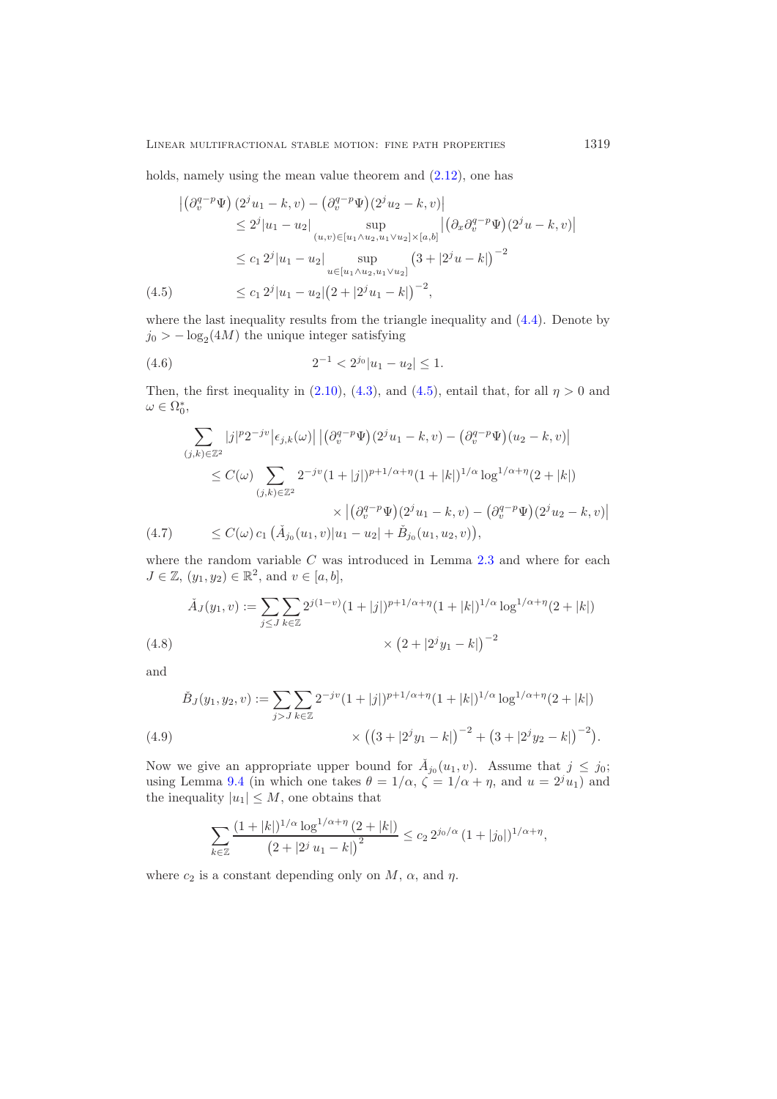holds, namely using the mean value theorem and  $(2.12)$ , one has

$$
\begin{split}\n\left| \left( \partial_v^{q-p} \Psi \right) (2^j u_1 - k, v) - \left( \partial_v^{q-p} \Psi \right) (2^j u_2 - k, v) \right| \\
&\leq 2^j |u_1 - u_2| \sup_{(u,v) \in [u_1 \wedge u_2, u_1 \vee u_2] \times [a, b]} \left| \left( \partial_x \partial_v^{q-p} \Psi \right) (2^j u - k, v) \right| \\
&\leq c_1 2^j |u_1 - u_2| \sup_{u \in [u_1 \wedge u_2, u_1 \vee u_2]} \left( 3 + |2^j u - k| \right)^{-2} \\
&\leq c_1 2^j |u_1 - u_2| \left( 2 + |2^j u_1 - k| \right)^{-2},\n\end{split}
$$

<span id="page-18-0"></span>where the last inequality results from the triangle inequality and  $(4.4)$ . Denote by  $j_0$  >  $-\log_2(4M)$  the unique integer satisfying

<span id="page-18-2"></span>(4.6) 
$$
2^{-1} < 2^{j_0} |u_1 - u_2| \leq 1.
$$

Then, the first inequality in [\(2.10\)](#page-6-2), [\(4.3\)](#page-17-2), and [\(4.5\)](#page-18-0), entail that, for all  $\eta > 0$  and  $\omega \in \Omega_0^*,$ 

$$
\sum_{(j,k)\in\mathbb{Z}^2} |j|^p 2^{-jv} |\epsilon_{j,k}(\omega)| |(\partial_v^{q-p} \Psi)(2^j u_1 - k, v) - (\partial_v^{q-p} \Psi)(u_2 - k, v)|
$$
\n
$$
\leq C(\omega) \sum_{(j,k)\in\mathbb{Z}^2} 2^{-jv} (1+|j|)^{p+1/\alpha+\eta} (1+|k|)^{1/\alpha} \log^{1/\alpha+\eta} (2+|k|)
$$
\n
$$
\times |(\partial_v^{q-p} \Psi)(2^j u_1 - k, v) - (\partial_v^{q-p} \Psi)(2^j u_2 - k, v)|
$$
\n(4.7) 
$$
\leq C(\omega) c_1 (\tilde{A}_{j_0}(u_1, v)|u_1 - u_2| + \tilde{B}_{j_0}(u_1, u_2, v)),
$$

<span id="page-18-5"></span>where the random variable  $C$  was introduced in Lemma [2.3](#page-6-0) and where for each  $J \in \mathbb{Z}$ ,  $(y_1, y_2) \in \mathbb{R}^2$ , and  $v \in [a, b]$ ,

$$
\tilde{A}_J(y_1, v) := \sum_{j \le J} \sum_{k \in \mathbb{Z}} 2^{j(1-v)} (1+|j|)^{p+1/\alpha + \eta} (1+|k|)^{1/\alpha} \log^{1/\alpha + \eta} (2+|k|)
$$
\n
$$
\times (2+|2^j y_1 - k|)^{-2}
$$
\n(4.8)

<span id="page-18-1"></span>and

$$
\tilde{B}_J(y_1, y_2, v) := \sum_{j > J} \sum_{k \in \mathbb{Z}} 2^{-jv} (1 + |j|)^{p + 1/\alpha + \eta} (1 + |k|)^{1/\alpha} \log^{1/\alpha + \eta} (2 + |k|)
$$
\n
$$
\times \left( \left( 3 + |2^j y_1 - k| \right)^{-2} + \left( 3 + |2^j y_2 - k| \right)^{-2} \right).
$$
\n(4.9)

<span id="page-18-3"></span>Now we give an appropriate upper bound for  $\check{A}_{j_0}(u_1, v)$ . Assume that  $j \leq j_0$ ; using Lemma [9.4](#page-47-0) (in which one takes  $\theta = 1/\alpha$ ,  $\zeta = 1/\alpha + \eta$ , and  $u = 2^j u_1$ ) and the inequality  $|u_1| \leq M$ , one obtains that

<span id="page-18-4"></span>
$$
\sum_{k\in\mathbb{Z}}\frac{(1+|k|)^{1/\alpha}\log^{1/\alpha+\eta}(2+|k|)}{(2+|2^j\,u_1-k|)^2}\leq c_2\,2^{j_0/\alpha}\,(1+|j_0|)^{1/\alpha+\eta},
$$

where  $c_2$  is a constant depending only on  $M$ ,  $\alpha$ , and  $\eta$ .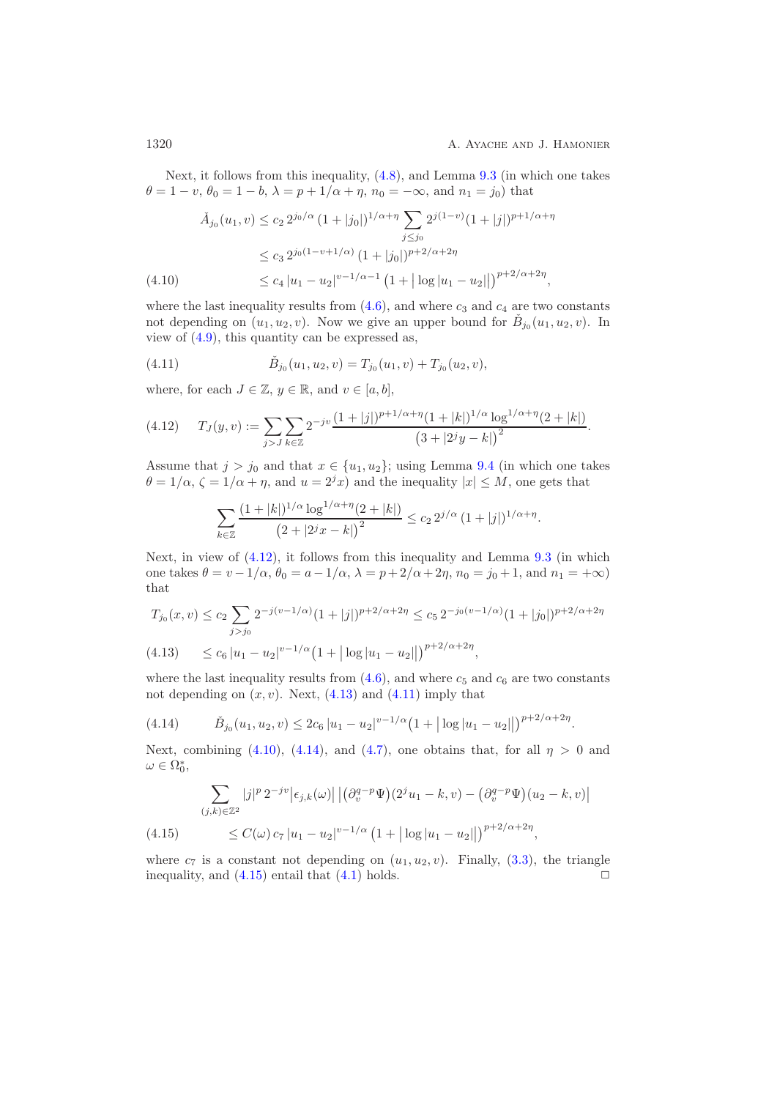Next, it follows from this inequality, [\(4.8\)](#page-18-1), and Lemma [9.3](#page-45-4) (in which one takes  $\theta = 1 - v, \theta_0 = 1 - b, \lambda = p + 1/\alpha + \eta, n_0 = -\infty$ , and  $n_1 = j_0$ ) that

$$
\tilde{A}_{j_0}(u_1, v) \le c_2 2^{j_0/\alpha} (1+|j_0|)^{1/\alpha+\eta} \sum_{j \le j_0} 2^{j(1-v)} (1+|j|)^{p+1/\alpha+\eta}
$$
\n
$$
\le c_3 2^{j_0(1-v+1/\alpha)} (1+|j_0|)^{p+2/\alpha+2\eta}
$$
\n
$$
\le c_4 |u_1 - u_2|^{v-1/\alpha-1} (1+|\log|u_1 - u_2||)^{p+2/\alpha+2\eta},
$$

where the last inequality results from  $(4.6)$ , and where  $c_3$  and  $c_4$  are two constants not depending on  $(u_1, u_2, v)$ . Now we give an upper bound for  $\tilde{B}_{j_0}(u_1, u_2, v)$ . In view of [\(4.9\)](#page-18-3), this quantity can be expressed as,

<span id="page-19-2"></span>(4.11) 
$$
\tilde{B}_{j_0}(u_1, u_2, v) = T_{j_0}(u_1, v) + T_{j_0}(u_2, v),
$$

where, for each  $J \in \mathbb{Z}$ ,  $y \in \mathbb{R}$ , and  $v \in [a, b]$ ,

<span id="page-19-0"></span>
$$
(4.12) \t T_J(y,v) := \sum_{j>J} \sum_{k \in \mathbb{Z}} 2^{-jv} \frac{(1+|j|)^{p+1/\alpha+\eta} (1+|k|)^{1/\alpha} \log^{1/\alpha+\eta} (2+|k|)}{(3+|2^j y-k|)^2}.
$$

Assume that  $j>j_0$  and that  $x \in \{u_1, u_2\}$ ; using Lemma [9.4](#page-47-0) (in which one takes  $\theta = 1/\alpha$ ,  $\zeta = 1/\alpha + \eta$ , and  $u = 2^{j}x$ ) and the inequality  $|x| \leq M$ , one gets that

<span id="page-19-1"></span>
$$
\sum_{k\in\mathbb{Z}}\frac{(1+|k|)^{1/\alpha}\log^{1/\alpha+\eta}(2+|k|)}{(2+|2^{j}x-k|)^{2}}\leq c_{2} 2^{j/\alpha} (1+|j|)^{1/\alpha+\eta}.
$$

Next, in view of [\(4.12\)](#page-19-0), it follows from this inequality and Lemma [9.3](#page-45-4) (in which one takes  $\theta = v - 1/\alpha$ ,  $\theta_0 = a - 1/\alpha$ ,  $\lambda = p + 2/\alpha + 2\eta$ ,  $n_0 = j_0 + 1$ , and  $n_1 = +\infty$ ) that

$$
T_{j_0}(x,v) \le c_2 \sum_{j>j_0} 2^{-j(v-1/\alpha)} (1+|j|)^{p+2/\alpha+2\eta} \le c_5 2^{-j_0(v-1/\alpha)} (1+|j_0|)^{p+2/\alpha+2\eta}
$$
  
(4.13) 
$$
\le c_6 |u_1 - u_2|^{v-1/\alpha} (1+|\log|u_1 - u_2||)^{p+2/\alpha+2\eta},
$$

where the last inequality results from  $(4.6)$ , and where  $c_5$  and  $c_6$  are two constants not depending on  $(x, v)$ . Next,  $(4.13)$  and  $(4.11)$  imply that

<span id="page-19-3"></span>
$$
(4.14) \qquad \tilde{B}_{j_0}(u_1, u_2, v) \leq 2c_6 |u_1 - u_2|^{v - 1/\alpha} \left(1 + |\log|u_1 - u_2|\right)^{p + 2/\alpha + 2\eta}.
$$

Next, combining [\(4.10\)](#page-18-4), [\(4.14\)](#page-19-3), and [\(4.7\)](#page-18-5), one obtains that, for all  $\eta > 0$  and  $\omega \in \Omega_0^*,$ 

$$
\sum_{(j,k)\in\mathbb{Z}^2} |j|^p 2^{-jv} |\epsilon_{j,k}(\omega)| |(\partial_v^{q-p} \Psi)(2^j u_1 - k, v) - (\partial_v^{q-p} \Psi)(u_2 - k, v)|
$$
\n
$$
\leq C(\omega) c_7 |u_1 - u_2|^{v-1/\alpha} (1 + |\log|u_1 - u_2|)^{p+2/\alpha+2\eta},
$$

<span id="page-19-4"></span>where  $c_7$  is a constant not depending on  $(u_1, u_2, v)$ . Finally, [\(3.3\)](#page-11-4), the triangle inequality, and (4.15) entail that (4.1) holds. inequality, and  $(4.15)$  entail that  $(4.1)$  holds.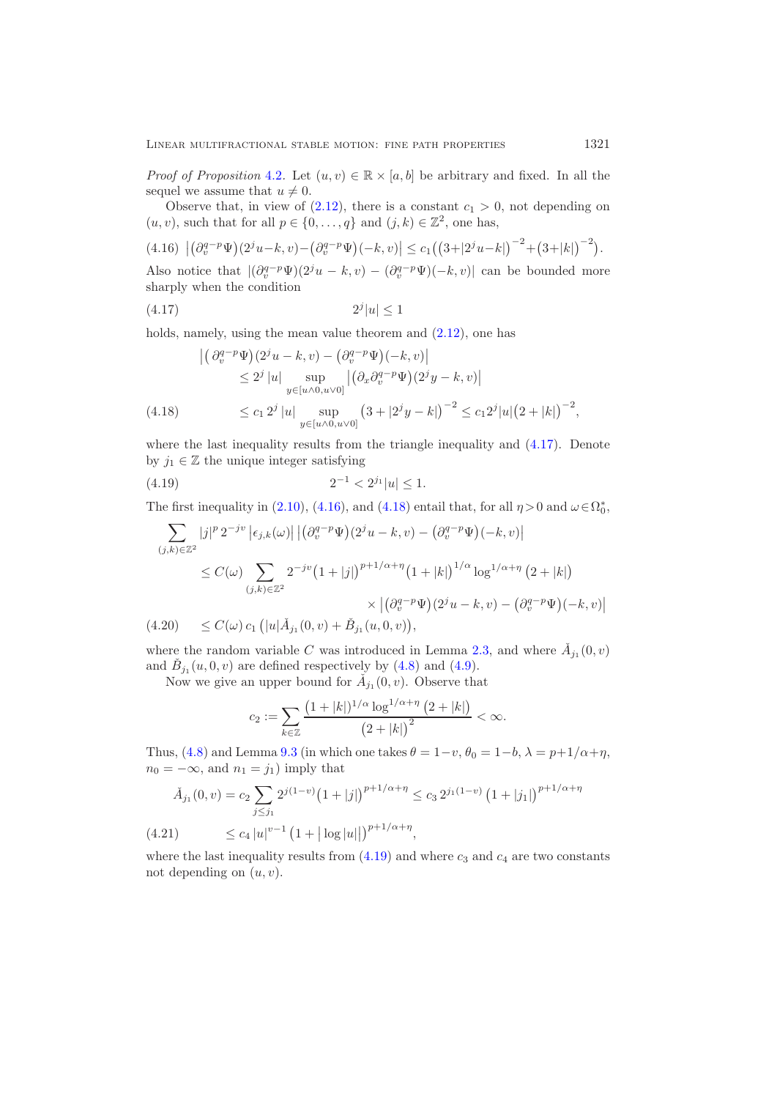*Proof of Proposition* [4.2](#page-17-0). Let  $(u, v) \in \mathbb{R} \times [a, b]$  be arbitrary and fixed. In all the sequel we assume that  $u \neq 0$ .

Observe that, in view of  $(2.12)$ , there is a constant  $c_1 > 0$ , not depending on  $(u, v)$ , such that for all  $p \in \{0, \ldots, q\}$  and  $(j, k) \in \mathbb{Z}^2$ , one has,

<span id="page-20-1"></span>
$$
(4.16)\ \left| \left( \partial_v^{q-p} \Psi \right) (2^j u - k, v) - \left( \partial_v^{q-p} \Psi \right) (-k, v) \right| \leq c_1 \left( \left( 3 + |2^j u - k| \right)^{-2} + \left( 3 + |k| \right)^{-2} \right).
$$

Also notice that  $|(\partial_v^{q-p} \Psi)(2^j u - k, v) - (\partial_v^{q-p} \Psi)(-k, v)|$  can be bounded more sharply when the condition

<span id="page-20-0"></span>
$$
(4.17)\qquad \qquad 2^j|u| \le 1
$$

holds, namely, using the mean value theorem and  $(2.12)$ , one has

$$
\begin{aligned} \left| \left( \partial_v^{q-p} \Psi \right) (2^j u - k, v) - \left( \partial_v^{q-p} \Psi \right) (-k, v) \right| \\ &\le 2^j |u| \sup_{y \in [u \wedge 0, u \vee 0]} \left| \left( \partial_x \partial_v^{q-p} \Psi \right) (2^j y - k, v) \right| \\ &\le c_1 2^j |u| \sup_{y \in [u \wedge 0, u \vee 0]} \left( 3 + |2^j y - k| \right)^{-2} \le c_1 2^j |u| \left( 2 + |k| \right)^{-2}, \end{aligned}
$$

<span id="page-20-2"></span>where the last inequality results from the triangle inequality and  $(4.17)$ . Denote by  $j_1 \in \mathbb{Z}$  the unique integer satisfying

<span id="page-20-3"></span>
$$
(4.19) \t\t\t 2^{-1} < 2^{j_1}|u| \le 1.
$$

The first inequality in [\(2.10\)](#page-6-2), [\(4.16\)](#page-20-1), and [\(4.18\)](#page-20-2) entail that, for all  $\eta > 0$  and  $\omega \in \Omega_0^*$ ,

$$
\sum_{(j,k)\in\mathbb{Z}^2} |j|^p 2^{-jv} |\epsilon_{j,k}(\omega)| |(\partial_v^{q-p} \Psi)(2^j u - k, v) - (\partial_v^{q-p} \Psi)(-k, v)|
$$
\n
$$
\leq C(\omega) \sum_{(j,k)\in\mathbb{Z}^2} 2^{-jv} (1+|j|)^{p+1/\alpha+\eta} (1+|k|)^{1/\alpha} \log^{1/\alpha+\eta} (2+|k|)
$$
\n
$$
\times |(\partial_v^{q-p} \Psi)(2^j u - k, v) - (\partial_v^{q-p} \Psi)(-k, v)|
$$
\n(4.20) 
$$
\leq C(\omega) c_1 (|u|\check{A}_{j_1}(0, v) + \check{B}_{j_1}(u, 0, v)),
$$

<span id="page-20-4"></span>where the random variable C was introduced in Lemma [2.3,](#page-6-0) and where  $A_{j_1}(0, v)$ and  $B_{j_1}(u, 0, v)$  are defined respectively by  $(4.8)$  and  $(4.9)$ .

Now we give an upper bound for  $\dot{A}_{j_1}(0, v)$ . Observe that

<span id="page-20-5"></span>
$$
c_2 := \sum_{k \in \mathbb{Z}} \frac{\left(1 + |k|\right)^{1/\alpha} \log^{1/\alpha + \eta} \left(2 + |k|\right)}{\left(2 + |k|\right)^2} < \infty.
$$

Thus, [\(4.8\)](#page-18-1) and Lemma [9.3](#page-45-4) (in which one takes  $\theta = 1-v$ ,  $\theta_0 = 1-b$ ,  $\lambda = p+1/\alpha+\eta$ ,  $n_0 = -\infty$ , and  $n_1 = j_1$ ) imply that

$$
\tilde{A}_{j_1}(0, v) = c_2 \sum_{j \le j_1} 2^{j(1-v)} \left(1 + |j|\right)^{p+1/\alpha + \eta} \le c_3 2^{j_1(1-v)} \left(1 + |j_1|\right)^{p+1/\alpha + \eta}
$$
\n
$$
(4.21) \qquad \le c_4 |u|^{v-1} \left(1 + |\log|u||\right)^{p+1/\alpha + \eta},
$$

where the last inequality results from  $(4.19)$  and where  $c_3$  and  $c_4$  are two constants not depending on  $(u, v)$ .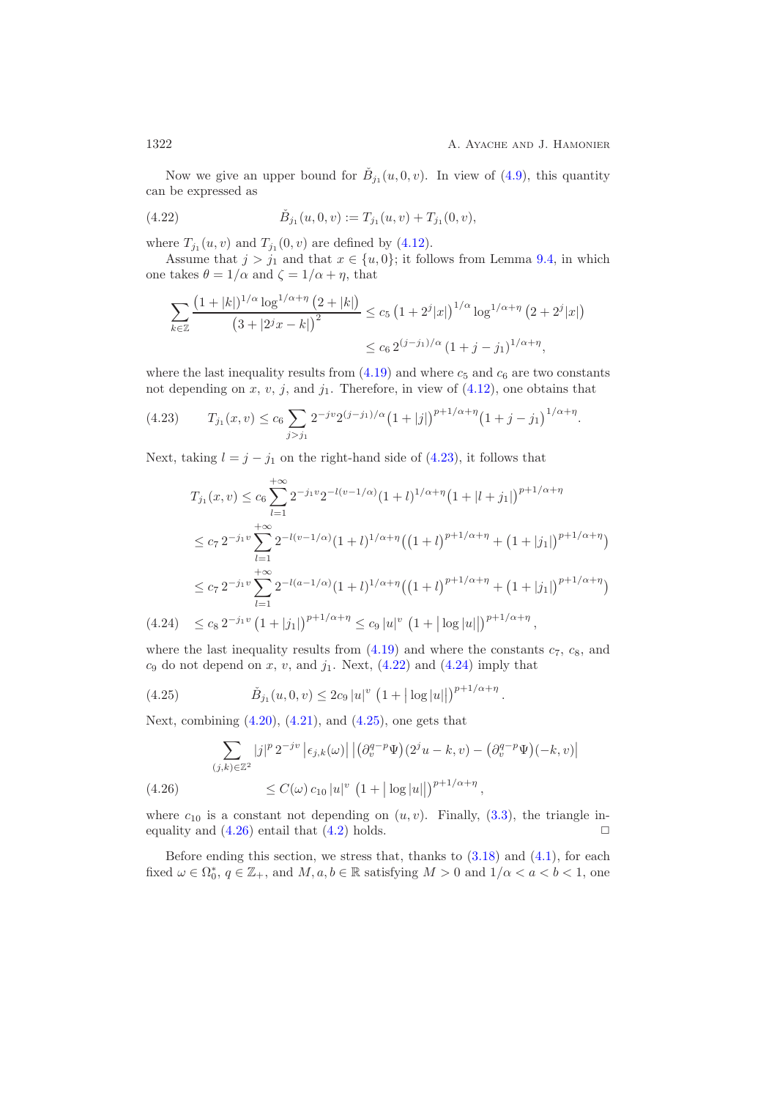Now we give an upper bound for  $B_{i_1}(u, 0, v)$ . In view of  $(4.9)$ , this quantity can be expressed as

<span id="page-21-1"></span>(4.22) 
$$
\tilde{B}_{j_1}(u,0,v) := T_{j_1}(u,v) + T_{j_1}(0,v),
$$

where  $T_{j_1}(u, v)$  and  $T_{j_1}(0, v)$  are defined by [\(4.12\)](#page-19-0).

Assume that  $j > j_1$  and that  $x \in \{u, 0\}$ ; it follows from Lemma [9.4,](#page-47-0) in which one takes  $\theta = 1/\alpha$  and  $\zeta = 1/\alpha + \eta$ , that

$$
\sum_{k\in\mathbb{Z}}\frac{\left(1+|k|\right)^{1/\alpha}\log^{1/\alpha+\eta}\left(2+|k|\right)}{\left(3+|2^{j}x-k|\right)^{2}}\leq c_{5}\left(1+2^{j}|x|\right)^{1/\alpha}\log^{1/\alpha+\eta}\left(2+2^{j}|x|\right)
$$

$$
\leq c_{6}2^{(j-j_{1})/\alpha}\left(1+j-j_{1}\right)^{1/\alpha+\eta},
$$

where the last inequality results from  $(4.19)$  and where  $c_5$  and  $c_6$  are two constants not depending on x, v, j, and  $j_1$ . Therefore, in view of  $(4.12)$ , one obtains that

<span id="page-21-0"></span>(4.23) 
$$
T_{j_1}(x,v) \le c_6 \sum_{j>j_1} 2^{-jv} 2^{(j-j_1)/\alpha} (1+|j|)^{p+1/\alpha+\eta} (1+j-j_1)^{1/\alpha+\eta}.
$$

Next, taking  $l = j - j_1$  on the right-hand side of [\(4.23\)](#page-21-0), it follows that

$$
T_{j_1}(x, v) \le c_6 \sum_{l=1}^{+\infty} 2^{-j_1 v} 2^{-l(v-1/\alpha)} (1+l)^{1/\alpha+\eta} (1+|l+j_1|)^{p+1/\alpha+\eta}
$$
  
\n
$$
\le c_7 2^{-j_1 v} \sum_{l=1}^{+\infty} 2^{-l(v-1/\alpha)} (1+l)^{1/\alpha+\eta} ((1+l)^{p+1/\alpha+\eta} + (1+|j_1|)^{p+1/\alpha+\eta})
$$
  
\n
$$
\le c_7 2^{-j_1 v} \sum_{l=1}^{+\infty} 2^{-l(a-1/\alpha)} (1+l)^{1/\alpha+\eta} ((1+l)^{p+1/\alpha+\eta} + (1+|j_1|)^{p+1/\alpha+\eta})
$$
  
\n(4.24) 
$$
\le c_8 2^{-j_1 v} (1+|j_1|)^{p+1/\alpha+\eta} \le c_9 |u|^v (1+|\log|u||)^{p+1/\alpha+\eta},
$$

<span id="page-21-2"></span>where the last inequality results from  $(4.19)$  and where the constants  $c_7$ ,  $c_8$ , and  $c_9$  do not depend on x, v, and  $j_1$ . Next,  $(4.22)$  and  $(4.24)$  imply that

<span id="page-21-3"></span>(4.25) 
$$
\tilde{B}_{j_1}(u,0,v) \leq 2c_9 |u|^v (1+|\log|u||)^{p+1/\alpha+\eta}.
$$

Next, combining  $(4.20)$ ,  $(4.21)$ , and  $(4.25)$ , one gets that

$$
\sum_{(j,k)\in\mathbb{Z}^2} |j|^p 2^{-jv} |\epsilon_{j,k}(\omega)| |(\partial_v^{q-p} \Psi)(2^j u - k, v) - (\partial_v^{q-p} \Psi)(-k, v)|
$$
\n
$$
\leq C(\omega) c_{10} |u|^v (1 + |\log|u||)^{p+1/\alpha+\eta},
$$

<span id="page-21-4"></span>where  $c_{10}$  is a constant not depending on  $(u, v)$ . Finally, [\(3.3\)](#page-11-4), the triangle in-<br>equality and (4.26) entail that (4.2) holds. equality and  $(4.26)$  entail that  $(4.2)$  holds.

Before ending this section, we stress that, thanks to  $(3.18)$  and  $(4.1)$ , for each fixed  $\omega \in \Omega_0^*$ ,  $q \in \mathbb{Z}_+$ , and  $M, a, b \in \mathbb{R}$  satisfying  $M > 0$  and  $1/\alpha < a < b < 1$ , one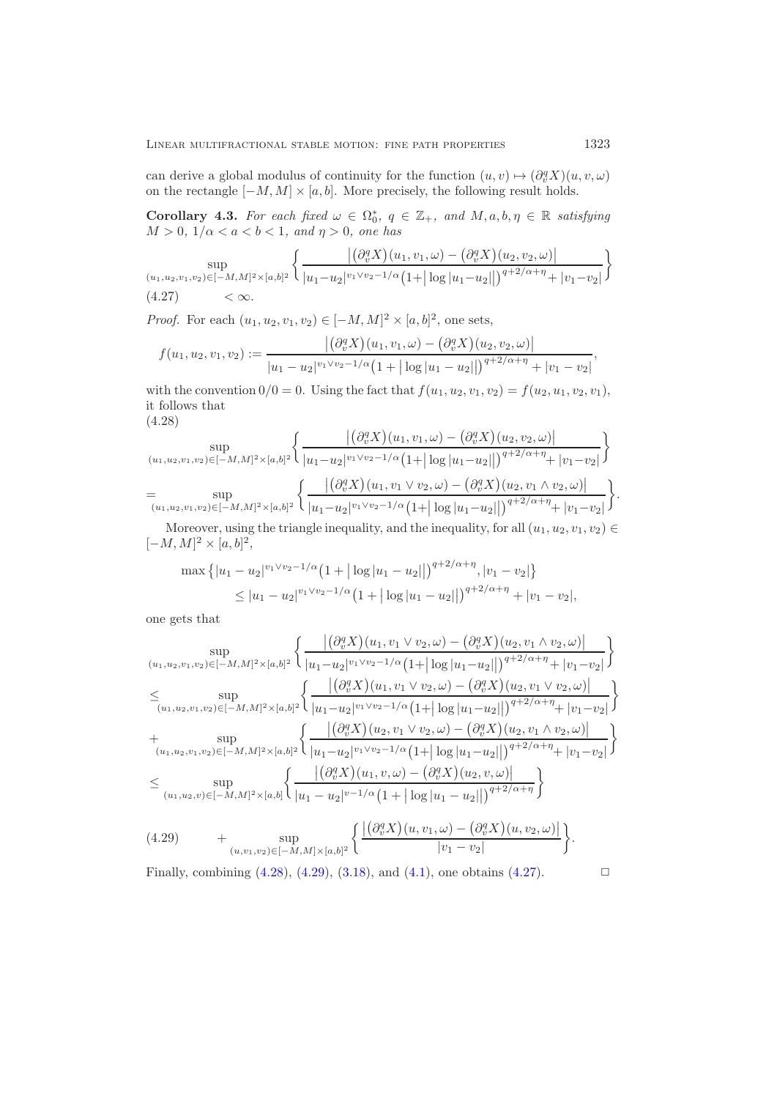<span id="page-22-3"></span>can derive a global modulus of continuity for the function  $(u, v) \mapsto (\partial_v^q X)(u, v, \omega)$ on the rectangle  $[-M, M] \times [a, b]$ . More precisely, the following result holds.

**Corollary 4.3.** *For each fixed*  $\omega \in \Omega_0^*$ ,  $q \in \mathbb{Z}_+$ , and  $M, a, b, \eta \in \mathbb{R}$  *satisfying*  $M > 0, 1/\alpha < a < b < 1$  and  $n > 0$  are has  $M > 0, 1/\alpha < a < b < 1, and \eta > 0,$  one has

$$
\sup_{(u_1, u_2, v_1, v_2) \in [-M, M]^2 \times [a, b]^2} \left\{ \frac{\left| \left( \partial_v^q X \right) (u_1, v_1, \omega) - \left( \partial_v^q X \right) (u_2, v_2, \omega) \right|}{|u_1 - u_2|^{v_1 \vee v_2 - 1/\alpha} (1 + |\log |u_1 - u_2|)|^{q+2/\alpha + \eta} + |v_1 - v_2|} \right\}
$$
\n
$$
(4.27) \leq \infty.
$$

*Proof.* For each  $(u_1, u_2, v_1, v_2) \in [-M, M]^2 \times [a, b]^2$ , one sets,

<span id="page-22-2"></span>
$$
f(u_1, u_2, v_1, v_2) := \frac{\left| \left( \partial_v^q X \right) (u_1, v_1, \omega) - \left( \partial_v^q X \right) (u_2, v_2, \omega) \right|}{\left| u_1 - u_2 \right|^{v_1 \vee v_2 - 1/\alpha} \left( 1 + \left| \log |u_1 - u_2| \right| \right)^{q + 2/\alpha + \eta} + \left| v_1 - v_2 \right|},
$$

with the convention  $0/0 = 0$ . Using the fact that  $f(u_1, u_2, v_1, v_2) = f(u_2, u_1, v_2, v_1)$ , it follows that (4.28)

<span id="page-22-0"></span>sup (u1,u2,v1,v2)∈[−M,M]2×[a,b]<sup>2</sup> ∂q vX (u1, v1, ω) <sup>−</sup> ∂q vX (u2, v2, ω) <sup>|</sup>u1−u2<sup>|</sup> <sup>v</sup>1∨v2−1/α 1+ log <sup>|</sup>u1−u2<sup>|</sup> <sup>q</sup>+2/α+<sup>η</sup> <sup>+</sup> <sup>|</sup>v1−v2<sup>|</sup> = sup (u1,u2,v1,v2)∈[−M,M]2×[a,b]<sup>2</sup> ∂q vX (u1, v1 <sup>∨</sup> <sup>v</sup>2, ω) <sup>−</sup> ∂q vX (u2, v1 <sup>∧</sup> <sup>v</sup>2, ω) <sup>|</sup>u1−u2<sup>|</sup> <sup>v</sup>1∨v2−1/α 1+ log <sup>|</sup>u1−u2<sup>|</sup> <sup>q</sup>+2/α+<sup>η</sup> <sup>+</sup> <sup>|</sup>v1−v2<sup>|</sup> .

Moreover, using the triangle inequality, and the inequality, for all  $(u_1, u_2, v_1, v_2) \in$  $[-M, M]^2 \times [a, b]^2,$ 

$$
\max \left\{ |u_1 - u_2|^{v_1 \vee v_2 - 1/\alpha} \left( 1 + |\log |u_1 - u_2| \right) \right\}^{q+2/\alpha + \eta}, |v_1 - v_2| \right\}
$$
  
 
$$
\leq |u_1 - u_2|^{v_1 \vee v_2 - 1/\alpha} \left( 1 + |\log |u_1 - u_2| \right)^{q+2/\alpha + \eta} + |v_1 - v_2|,
$$

one gets that

$$
\sup_{(u_1, u_2, v_1, v_2) \in [-M, M]^2 \times [a, b]^2} \left\{ \frac{\left| \left( \partial_v^q X \right) (u_1, v_1 \vee v_2, \omega) - \left( \partial_v^q X \right) (u_2, v_1 \wedge v_2, \omega) \right|}{|u_1 - u_2|^{v_1 \vee v_2 - 1/\alpha} (1 + |\log |u_1 - u_2||)^{q + 2/\alpha + \eta} + |v_1 - v_2|} \right\}
$$
\n
$$
\leq \sup_{(u_1, u_2, v_1, v_2) \in [-M, M]^2 \times [a, b]^2} \left\{ \frac{\left| \left( \partial_v^q X \right) (u_1, v_1 \vee v_2, \omega) - \left( \partial_v^q X \right) (u_2, v_1 \vee v_2, \omega) \right|}{|u_1 - u_2|^{v_1 \vee v_2 - 1/\alpha} (1 + |\log |u_1 - u_2||)^{q + 2/\alpha + \eta} + |v_1 - v_2|} \right\}
$$
\n
$$
+ \sup_{(u_1, u_2, v_1, v_2) \in [-M, M]^2 \times [a, b]^2} \left\{ \frac{\left| \left( \partial_v^q X \right) (u_2, v_1 \vee v_2, \omega) - \left( \partial_v^q X \right) (u_2, v_1 \wedge v_2, \omega) \right|}{|u_1 - u_2|^{v_1 \vee v_2 - 1/\alpha} (1 + |\log |u_1 - u_2||)^{q + 2/\alpha + \eta} + |v_1 - v_2|} \right\}
$$
\n
$$
\leq \sup_{(u_1, u_2, v) \in [-M, M]^2 \times [a, b]} \left\{ \frac{\left| \left( \partial_v^q X \right) (u_1, v, \omega) - \left( \partial_v^q X \right) (u_2, v, \omega) \right|}{|u_1 - u_2|^{v_1 - 1/\alpha} (1 + |\log |u_1 - u_2||\right)^{q + 2/\alpha + \eta}} \right\}
$$
\n
$$
(4.29) \qquad + \sup_{(u, v_1, v_2) \in [-M, M] \times [a, b]^2} \left\{ \frac{\left
$$

<span id="page-22-1"></span>Finally, combining  $(4.28)$ ,  $(4.29)$ ,  $(3.18)$ , and  $(4.1)$ , one obtains  $(4.27)$ .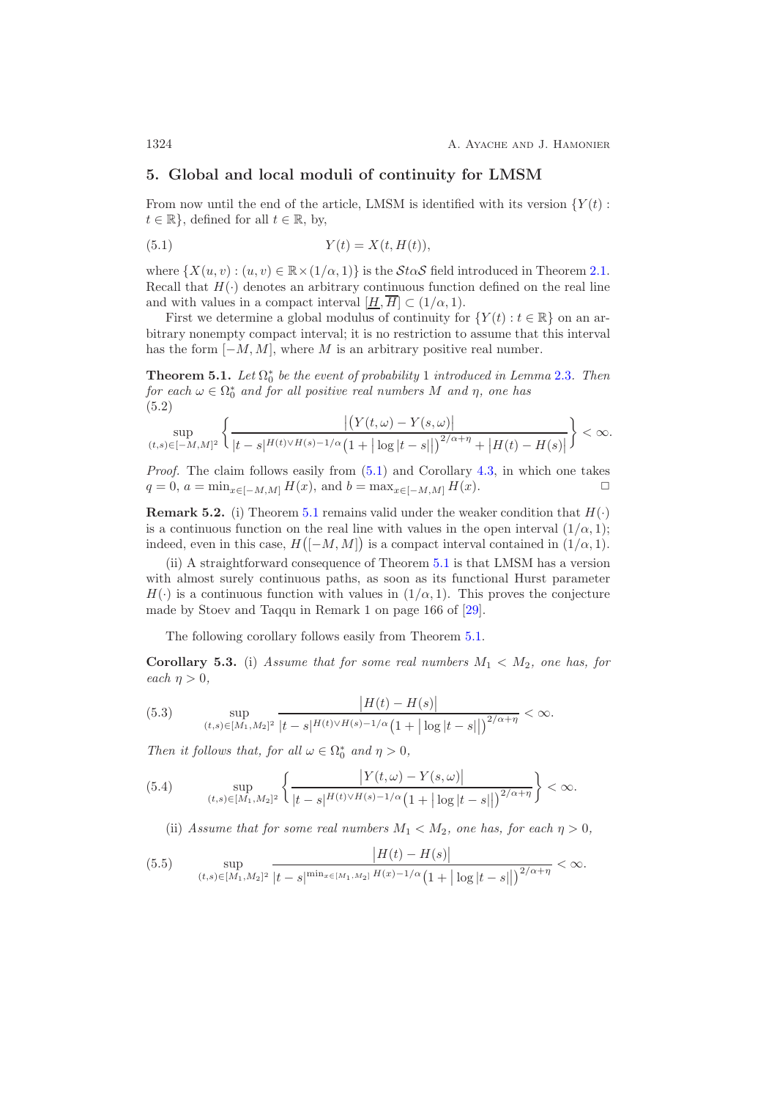## <span id="page-23-0"></span>**5. Global and local moduli of continuity for LMSM**

From now until the end of the article, LMSM is identified with its version  ${Y(t)}$ :  $t \in \mathbb{R}$ , defined for all  $t \in \mathbb{R}$ , by,

<span id="page-23-1"></span>
$$
(5.1) \t\t Y(t) = X(t, H(t)),
$$

where  $\{X(u, v): (u, v) \in \mathbb{R} \times (1/\alpha, 1)\}\$  is the  $\mathcal{S} \text{to } \mathcal{S}$  field introduced in Theorem [2.1.](#page-5-0) Recall that  $H(\cdot)$  denotes an arbitrary continuous function defined on the real line and with values in a compact interval  $[\underline{H}, \overline{H}] \subset (1/\alpha, 1)$ .

First we determine a global modulus of continuity for  $\{Y(t): t \in \mathbb{R}\}\)$  on an arbitrary nonempty compact interval; it is no restriction to assume that this interval has the form  $[-M, M]$ , where M is an arbitrary positive real number.

<span id="page-23-2"></span>**Theorem 5.1.** *Let*  $\Omega_0^*$  *be the event of probability* 1 *introduced in Lemma* [2.3](#page-6-0)*. Then*  $\alpha$  *for each*  $\omega \in \Omega_0^*$  *and for all positive real pympers M* and *n* one has *for each*  $\omega \in \Omega_0^*$  *and for all positive real numbers* M *and*  $\eta$ *, one has*  $(5.2)$ (5.2)

$$
\sup_{(t,s)\in[-M,M]^2}\bigg\{\frac{\big|\big(Y(t,\omega)-Y(s,\omega)\big|}{|t-s|^{H(t)\vee H(s)-1/\alpha}\big(1+\big|\log|t-s|\big|\big)^{2/\alpha+\eta}+\big|H(t)-H(s)\big|}\bigg\}<\infty.
$$

*Proof.* The claim follows easily from  $(5.1)$  and Corollary [4.3,](#page-22-3) in which one takes  $q = 0, a = \min_{x \in [-M, M]} H(x),$  and  $b = \max_{x \in [-M, M]} H(x).$   $\Box$ 

**Remark 5.2.** (i) Theorem [5.1](#page-23-2) remains valid under the weaker condition that  $H(\cdot)$ is a continuous function on the real line with values in the open interval  $(1/\alpha, 1);$ indeed, even in this case,  $H([-M, M])$  is a compact interval contained in  $(1/\alpha, 1)$ .

(ii) A straightforward consequence of Theorem [5.1](#page-23-2) is that LMSM has a version with almost surely continuous paths, as soon as its functional Hurst parameter  $H(\cdot)$  is a continuous function with values in  $(1/\alpha, 1)$ . This proves the conjecture made by Stoev and Taqqu in Remark 1 on page 166 of [\[29\]](#page-53-2).

<span id="page-23-5"></span>The following corollary follows easily from Theorem [5.1.](#page-23-2)

**Corollary 5.3.** (i) *Assume that for some real numbers*  $M_1 < M_2$ , one has, for *each*  $\eta > 0$ *,* 

<span id="page-23-3"></span>(5.3) 
$$
\sup_{(t,s)\in[M_1,M_2]^2} \frac{|H(t)-H(s)|}{|t-s|^{H(t)\vee H(s)-1/\alpha} (1+|\log|t-s||)^{2/\alpha+\eta}} < \infty.
$$

*Then it follows that, for all*  $\omega \in \Omega_0^*$  *and*  $\eta > 0$ *,* 

(5.4) 
$$
\sup_{(t,s)\in[M_1,M_2]^2} \left\{ \frac{|Y(t,\omega)-Y(s,\omega)|}{|t-s|^{H(t)\vee H(s)-1/\alpha} (1+|\log|t-s||)^{2/\alpha+\eta}} \right\} < \infty.
$$

<span id="page-23-4"></span>(ii) Assume that for some real numbers  $M_1 \langle M_2, \rho \rangle$  one has, for each  $\eta > 0$ ,

(5.5) 
$$
\sup_{(t,s)\in[M_1,M_2]^2} \frac{|H(t)-H(s)|}{|t-s|^{\min_{x\in[M_1,M_2]} H(x)-1/\alpha} \left(1+|\log|t-s|\right)^{2/\alpha+\eta}} < \infty.
$$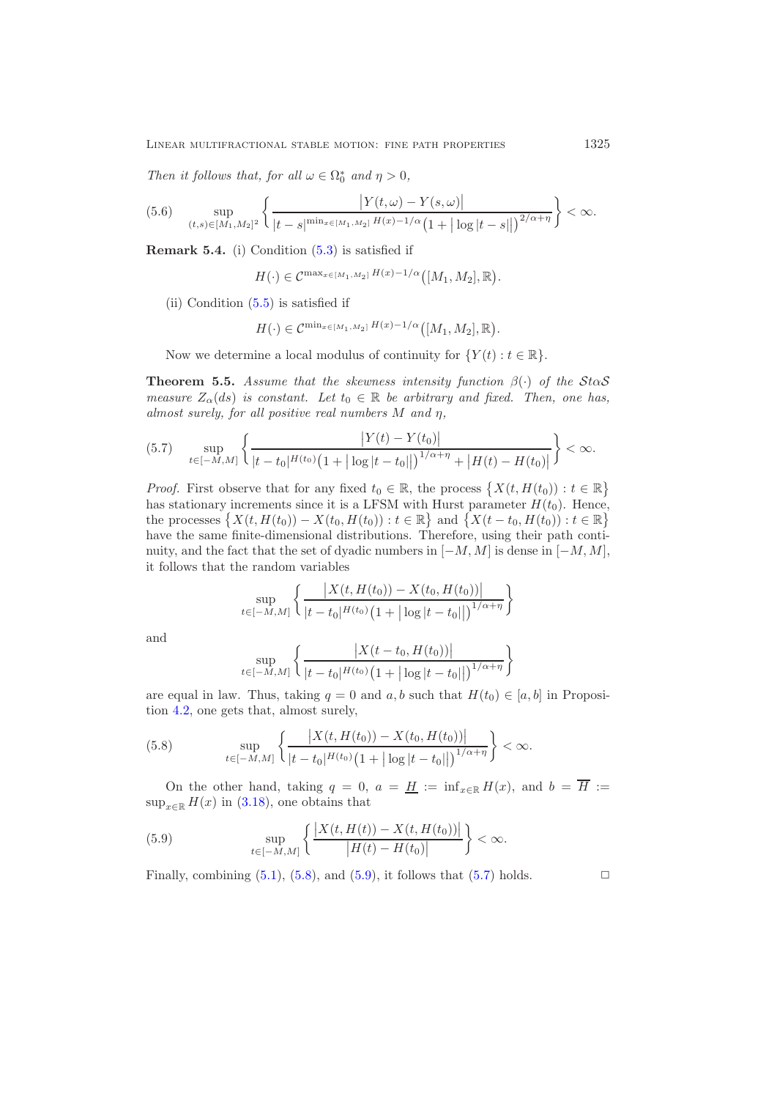*Then it follows that, for all*  $\omega \in \Omega_0^*$  *and*  $\eta > 0$ *,* 

<span id="page-24-4"></span>
$$
(5.6) \quad \sup_{(t,s)\in[M_1,M_2]^2} \left\{ \frac{|Y(t,\omega)-Y(s,\omega)|}{|t-s|^{\min_{x\in[M_1,M_2]} H(x)-1/\alpha} \left(1+|\log|t-s|\right)\right)^{2/\alpha+\eta}} \right\} < \infty.
$$

**Remark 5.4.** (i) Condition [\(5.3\)](#page-23-3) is satisfied if

$$
H(\cdot) \in \mathcal{C}^{\max_{x \in [M_1, M_2]} H(x) - 1/\alpha} ([M_1, M_2], \mathbb{R}).
$$

(ii) Condition [\(5.5\)](#page-23-4) is satisfied if

$$
H(\cdot) \in \mathcal{C}^{\min_{x \in [M_1, M_2]} H(x) - 1/\alpha} ([M_1, M_2], \mathbb{R}).
$$

<span id="page-24-3"></span>Now we determine a local modulus of continuity for  $\{Y(t): t \in \mathbb{R}\}.$ 

**Theorem 5.5.** *Assume that the skewness intensity function*  $\beta(\cdot)$  *of the* StaS *measure*  $Z_{\alpha}(ds)$  *is constant. Let*  $t_0 \in \mathbb{R}$  *be arbitrary and fixed. Then, one has, almost surely, for all positive real numbers* M *and* η*,*

<span id="page-24-2"></span>
$$
(5.7) \quad \sup_{t\in[-M,M]} \left\{ \frac{|Y(t) - Y(t_0)|}{|t - t_0|^{H(t_0)} \left(1 + |\log|t - t_0||\right)^{1/\alpha + \eta} + |H(t) - H(t_0)|} \right\} < \infty.
$$

*Proof.* First observe that for any fixed  $t_0 \in \mathbb{R}$ , the process  $\{X(t, H(t_0)) : t \in \mathbb{R}\}$ has stationary increments since it is a LFSM with Hurst parameter  $H(t_0)$ . Hence, the processes  $\{X(t, H(t_0)) - X(t_0, H(t_0)) : t \in \mathbb{R}\}$  and  $\{X(t - t_0, H(t_0)) : t \in \mathbb{R}\}$ have the same finite-dimensional distributions. Therefore, using their path continuity, and the fact that the set of dyadic numbers in  $[-M, M]$  is dense in  $[-M, M]$ , it follows that the random variables

$$
\sup_{t \in [-M,M]} \left\{ \frac{|X(t, H(t_0)) - X(t_0, H(t_0))|}{|t - t_0|^{H(t_0)} (1 + |\log|t - t_0||)^{1/\alpha + \eta}} \right\}
$$

and

$$
\sup_{t \in [-M,M]} \left\{ \frac{\left| X(t - t_0, H(t_0)) \right|}{|t - t_0|^{H(t_0)} \left( 1 + |\log |t - t_0| \right| \right)^{1/\alpha + \eta}} \right\}
$$

are equal in law. Thus, taking  $q = 0$  and  $a, b$  such that  $H(t_0) \in [a, b]$  in Proposition [4.2,](#page-17-0) one gets that, almost surely,

<span id="page-24-0"></span>(5.8) 
$$
\sup_{t \in [-M,M]} \left\{ \frac{|X(t, H(t_0)) - X(t_0, H(t_0))|}{|t - t_0|^{H(t_0)} (1 + |\log|t - t_0||)^{1/\alpha + \eta}} \right\} < \infty.
$$

On the other hand, taking  $q = 0$ ,  $a = \underline{H} := \inf_{x \in \mathbb{R}} H(x)$ , and  $b = \overline{H} :=$  $\sup_{x\in\mathbb{R}} H(x)$  in [\(3.18\)](#page-16-4), one obtains that

<span id="page-24-1"></span>(5.9) 
$$
\sup_{t \in [-M,M]} \left\{ \frac{|X(t, H(t)) - X(t, H(t_0))|}{|H(t) - H(t_0)|} \right\} < \infty.
$$

Finally, combining  $(5.1)$ ,  $(5.8)$ , and  $(5.9)$ , it follows that  $(5.7)$  holds.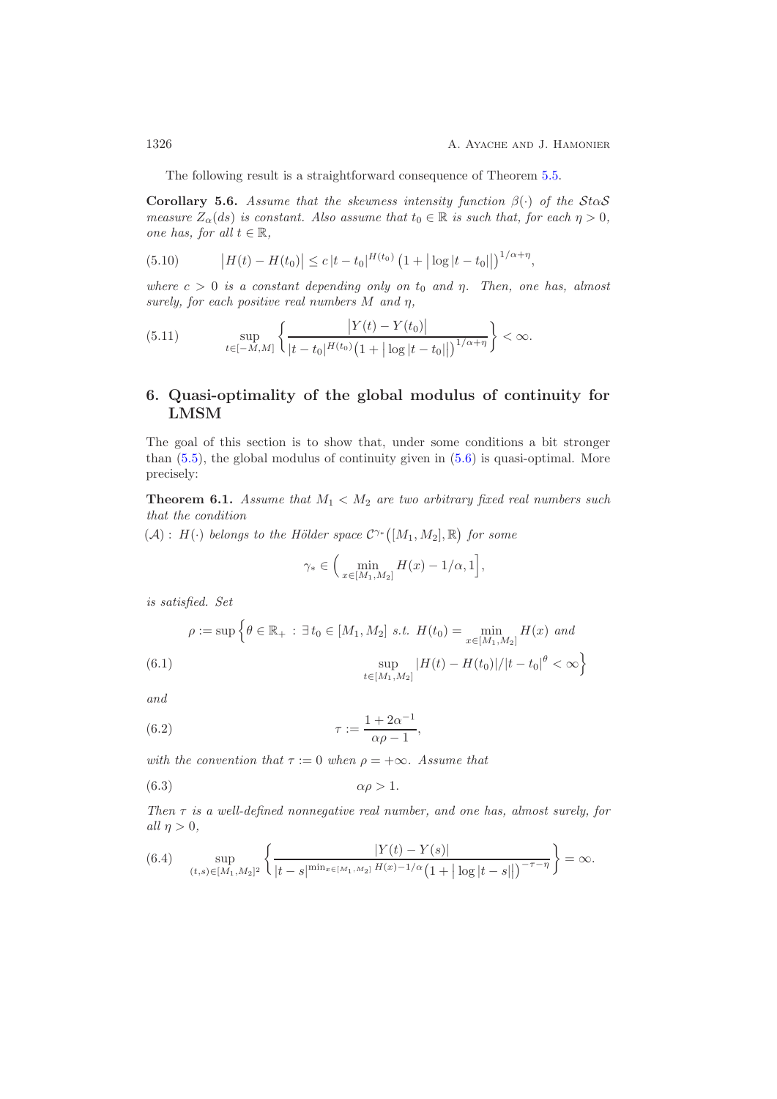<span id="page-25-0"></span>The following result is a straightforward consequence of Theorem [5.5.](#page-24-3)

**Corollary 5.6.** *Assume that the skewness intensity function*  $\beta(\cdot)$  *of the* StaS *measure*  $Z_{\alpha}(ds)$  *is constant. Also assume that*  $t_0 \in \mathbb{R}$  *is such that, for each*  $\eta > 0$ *, one has, for all*  $t \in \mathbb{R}$ *,* 

<span id="page-25-6"></span>(5.10) 
$$
\left|H(t) - H(t_0)\right| \leq c \left|t - t_0\right|^{H(t_0)} \left(1 + |\log|t - t_0||\right)^{1/\alpha + \eta},
$$

*where*  $c > 0$  *is a constant depending only on*  $t_0$  *and*  $\eta$ *. Then, one has, almost surely, for each positive real numbers* M *and* η*,*

<span id="page-25-7"></span>(5.11) 
$$
\sup_{t \in [-M,M]} \left\{ \frac{|Y(t) - Y(t_0)|}{|t - t_0|^{H(t_0)} (1 + |\log|t - t_0||)^{1/\alpha + \eta}} \right\} < \infty.
$$

# <span id="page-25-1"></span>**6. Quasi-optimality of the global modulus of continuity for LMSM**

The goal of this section is to show that, under some conditions a bit stronger than [\(5.5\)](#page-23-4), the global modulus of continuity given in [\(5.6\)](#page-24-4) is quasi-optimal. More precisely:

<span id="page-25-3"></span>**Theorem 6.1.** Assume that  $M_1 < M_2$  are two arbitrary fixed real numbers such *that the condition*

 $(A)$ :  $H(\cdot)$  *belongs to the Hölder space*  $C^{\gamma*}([M_1, M_2], \mathbb{R})$  *for some* 

<span id="page-25-4"></span>
$$
\gamma_* \in \Big(\min_{x \in [M_1, M_2]} H(x) - 1/\alpha, 1\Big],
$$

*is satisfied. Set*

<span id="page-25-5"></span>
$$
\rho := \sup \left\{ \theta \in \mathbb{R}_+ : \exists t_0 \in [M_1, M_2] \text{ s.t. } H(t_0) = \min_{x \in [M_1, M_2]} H(x) \text{ and } \sup_{t \in [M_1, M_2]} |H(t) - H(t_0)| / |t - t_0|^{\theta} < \infty \right\}
$$

*and*

$$
\tau := \frac{1 + 2\alpha^{-1}}{\alpha \rho - 1},
$$

*with the convention that*  $\tau := 0$  *when*  $\rho = +\infty$ *. Assume that* 

<span id="page-25-2"></span>
$$
\alpha \rho > 1.
$$

*Then* τ *is a well-defined nonnegative real number, and one has, almost surely, for*  $all \eta > 0,$ 

<span id="page-25-8"></span>
$$
(6.4) \quad \sup_{(t,s)\in[M_1,M_2]^2} \left\{ \frac{|Y(t)-Y(s)|}{|t-s|^{\min_{x\in[M_1,M_2]} H(x)-1/\alpha} \left(1+|\log|t-s|\right)^{-\tau-\eta}} \right\} = \infty.
$$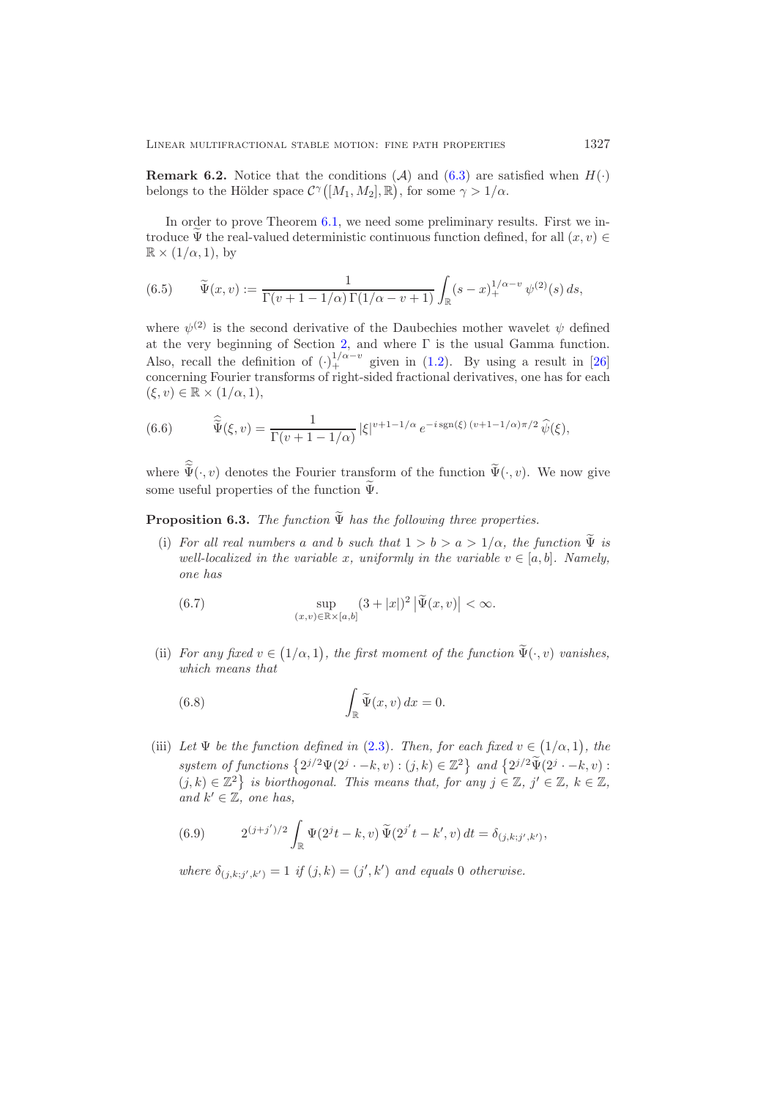**Remark 6.2.** Notice that the conditions (A) and [\(6.3\)](#page-25-2) are satisfied when  $H(\cdot)$ belongs to the Hölder space  $C^{\gamma}([M_1, M_2], \mathbb{R})$ , for some  $\gamma > 1/\alpha$ .

In order to prove Theorem [6.1,](#page-25-3) we need some preliminary results. First we introduce  $\Psi$  the real-valued deterministic continuous function defined, for all  $(x, v) \in$  $\mathbb{R} \times (1/\alpha, 1)$ , by

(6.5) 
$$
\widetilde{\Psi}(x,v) := \frac{1}{\Gamma(v+1-1/\alpha)\Gamma(1/\alpha-v+1)} \int_{\mathbb{R}} (s-x)_+^{1/\alpha-v} \psi^{(2)}(s) \, ds,
$$

where  $\psi^{(2)}$  is the second derivative of the Daubechies mother wavelet  $\psi$  defined at the very beginning of Section [2,](#page-4-0) and where  $\Gamma$  is the usual Gamma function. Also, recall the definition of  $\left(\cdot\right)_{+}^{1/\alpha-v}$  given in [\(1.2\)](#page-1-1). By using a result in [\[26\]](#page-53-8) concerning Fourier transforms of right-sided fractional derivatives, one has for each  $(\xi, v) \in \mathbb{R} \times (1/\alpha, 1),$ 

<span id="page-26-0"></span>(6.6) 
$$
\widehat{\widetilde{\Psi}}(\xi,v) = \frac{1}{\Gamma(v+1-1/\alpha)} |\xi|^{v+1-1/\alpha} e^{-i \operatorname{sgn}(\xi)(v+1-1/\alpha)\pi/2} \widehat{\psi}(\xi),
$$

<span id="page-26-3"></span>where  $\Psi(\cdot,v)$  denotes the Fourier transform of the function  $\Psi(\cdot,v)$ . We now give some useful properties of the function  $\Psi$ .

**Proposition 6.3.** *The function*  $\Psi$  *has the following three properties.* 

(i) *For all real numbers* a and b such that  $1 > b > a > 1/\alpha$ , the function  $\Psi$  is *well-localized in the variable* x, uniformly in the variable  $v \in [a, b]$ . Namely, *one has*

<span id="page-26-1"></span>(6.7) 
$$
\sup_{(x,v)\in\mathbb{R}\times[a,b]}(3+|x|)^2|\widetilde{\Psi}(x,v)|<\infty.
$$

(ii) *For any fixed*  $v \in (1/\alpha, 1)$ *, the first moment of the function*  $\tilde{\Psi}(\cdot, v)$  *vanishes, which means that*

<span id="page-26-2"></span>(6.8) 
$$
\int_{\mathbb{R}} \widetilde{\Psi}(x, v) dx = 0.
$$

(iii) Let  $\Psi$  be the function defined in [\(2.3\)](#page-5-1). Then, for each fixed  $v \in (1/\alpha, 1)$ , the system of functions  $\{2^{j/2}\Psi(2^j \cdot -k, v) : (j, k) \in \mathbb{Z}^2\}$  and  $\{2^{j/2}\widetilde{\Psi}(2^j \cdot -k, v) :$  $(j, k) \in \mathbb{Z}^2$  *is biorthogonal. This means that, for any*  $j \in \mathbb{Z}$ ,  $j' \in \mathbb{Z}$ ,  $k \in \mathbb{Z}$ , and  $k' \in \mathbb{Z}$ *, one has,* 

(6.9) 
$$
2^{(j+j')/2} \int_{\mathbb{R}} \Psi(2^{j}t-k,v) \widetilde{\Psi}(2^{j'}t-k',v) dt = \delta_{(j,k;j',k')},
$$

 $where \delta_{(j,k;j',k')} = 1 \text{ if } (j,k) = (j',k') \text{ and equals } 0 \text{ otherwise.}$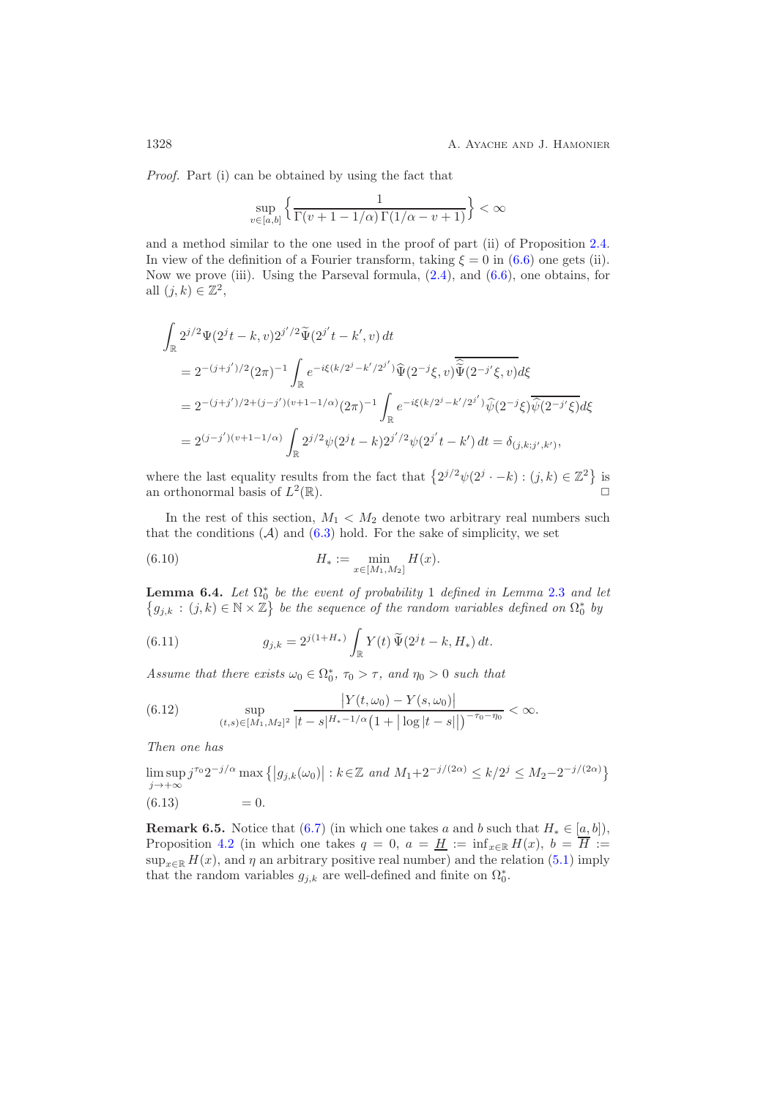*Proof.* Part (i) can be obtained by using the fact that

$$
\sup_{v \in [a,b]} \left\{ \frac{1}{\Gamma(v+1-1/\alpha)\Gamma(1/\alpha - v + 1)} \right\} < \infty
$$

and a method similar to the one used in the proof of part (ii) of Proposition [2.4.](#page-7-5) In view of the definition of a Fourier transform, taking  $\xi = 0$  in [\(6.6\)](#page-26-0) one gets (ii). Now we prove (iii). Using the Parseval formula, [\(2.4\)](#page-5-5), and [\(6.6\)](#page-26-0), one obtains, for all  $(j, k) \in \mathbb{Z}^2$ ,

$$
\int_{\mathbb{R}} 2^{j/2} \Psi(2^{j}t - k, v) 2^{j'/2} \widetilde{\Psi}(2^{j'}t - k', v) dt
$$
\n
$$
= 2^{-(j+j')/2} (2\pi)^{-1} \int_{\mathbb{R}} e^{-i\xi(k/2^{j} - k'/2^{j'})} \widehat{\Psi}(2^{-j}\xi, v) \overline{\widehat{\Psi}(2^{-j'}\xi, v)} d\xi
$$
\n
$$
= 2^{-(j+j')/2 + (j-j')(v+1-1/\alpha)} (2\pi)^{-1} \int_{\mathbb{R}} e^{-i\xi(k/2^{j} - k'/2^{j'})} \widehat{\psi}(2^{-j}\xi) \overline{\widehat{\psi}(2^{-j'}\xi)} d\xi
$$
\n
$$
= 2^{(j-j')(v+1-1/\alpha)} \int_{\mathbb{R}} 2^{j/2} \psi(2^{j}t - k) 2^{j'/2} \psi(2^{j'}t - k') dt = \delta_{(j,k;j',k')},
$$

where the last equality results from the fact that  $\{2^{j/2}\psi(2^j \cdot -k) : (j,k) \in \mathbb{Z}^2\}$  is an orthonormal basis of  $L^2(\mathbb{R})$ .

In the rest of this section,  $M_1 < M_2$  denote two arbitrary real numbers such that the conditions  $(A)$  and  $(6.3)$  hold. For the sake of simplicity, we set

<span id="page-27-3"></span>(6.10) 
$$
H_* := \min_{x \in [M_1, M_2]} H(x).
$$

<span id="page-27-4"></span>**Lemma 6.4.** *Let*  $\Omega_0^*$  *be the event of probability* 1 *defined in Lemma [2.3](#page-6-0) and let*<br>*La*  $\cdot$  (*i*  $k$ )  $\in$  N  $\times$  Z, *be the sequence* of the random variables defined on  $\Omega_0^*$  by  $\{g_{j,k} : (j,k) \in \mathbb{N} \times \mathbb{Z}\}\$ be the sequence of the random variables defined on  $\Omega_0^*$  by

<span id="page-27-0"></span>(6.11) 
$$
g_{j,k} = 2^{j(1+H_*)} \int_{\mathbb{R}} Y(t) \, \tilde{\Psi}(2^j t - k, H_*) \, dt.
$$

Assume that there exists  $\omega_0 \in \Omega_0^*$ ,  $\tau_0 > \tau$ , and  $\eta_0 > 0$  such that

<span id="page-27-2"></span>(6.12) 
$$
\sup_{(t,s)\in[M_1,M_2]^2} \frac{|Y(t,\omega_0)-Y(s,\omega_0)|}{|t-s|^{H_*-1/\alpha}(1+|\log|t-s||)^{-\tau_0-\eta_0}} < \infty.
$$

*Then one has*

$$
\limsup_{j \to +\infty} j^{\tau_0} 2^{-j/\alpha} \max \{|g_{j,k}(\omega_0)| : k \in \mathbb{Z} \text{ and } M_1 + 2^{-j/(2\alpha)} \le k/2^j \le M_2 - 2^{-j/(2\alpha)}\}
$$
\n(6.13) = 0.

<span id="page-27-1"></span>**Remark 6.5.** Notice that [\(6.7\)](#page-26-1) (in which one takes a and b such that  $H_* \in [a, b]$ ), Proposition [4.2](#page-17-0) (in which one takes  $q = 0$ ,  $a = \underline{H} := \inf_{x \in \mathbb{R}} H(x)$ ,  $b = \overline{H} :=$  $\sup_{x\in\mathbb{R}} H(x)$ , and  $\eta$  an arbitrary positive real number) and the relation [\(5.1\)](#page-23-1) imply that the random variables  $g_{j,k}$  are well-defined and finite on  $\Omega_0^*$ .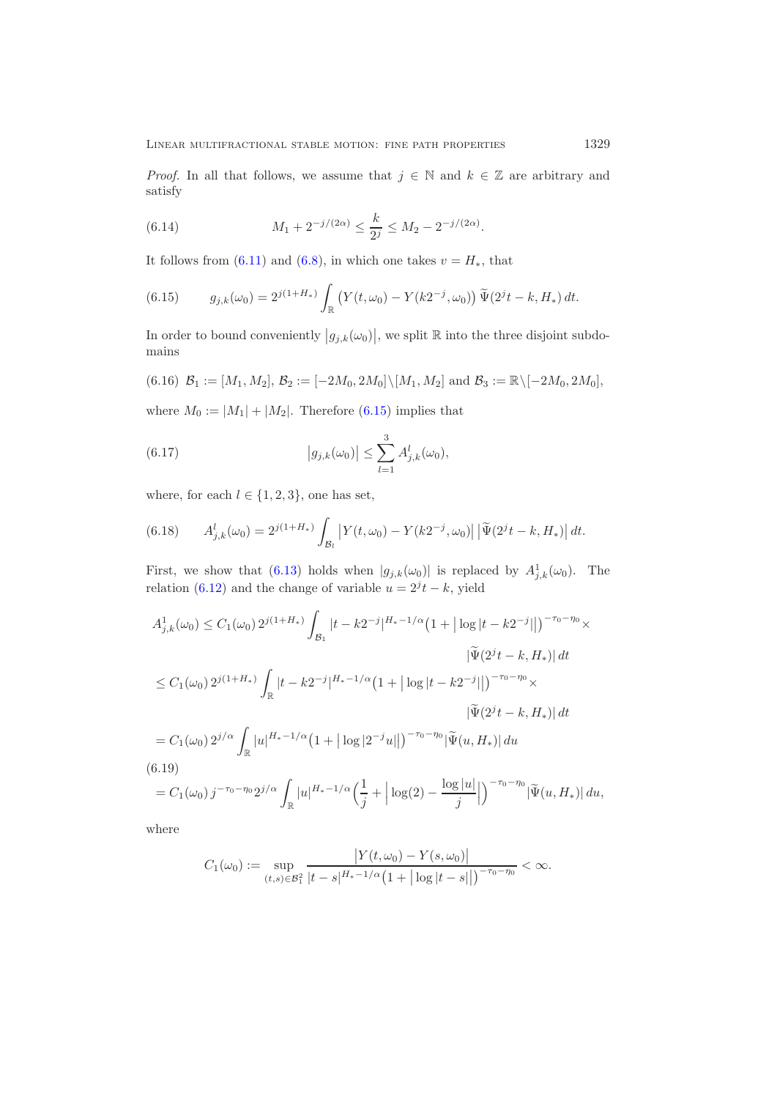*Proof.* In all that follows, we assume that  $j \in \mathbb{N}$  and  $k \in \mathbb{Z}$  are arbitrary and satisfy

<span id="page-28-2"></span>(6.14) 
$$
M_1 + 2^{-j/(2\alpha)} \le \frac{k}{2^j} \le M_2 - 2^{-j/(2\alpha)}.
$$

It follows from [\(6.11\)](#page-27-0) and [\(6.8\)](#page-26-2), in which one takes  $v = H_*$ , that

<span id="page-28-0"></span>(6.15) 
$$
g_{j,k}(\omega_0) = 2^{j(1+H_*)} \int_{\mathbb{R}} \left( Y(t,\omega_0) - Y(k2^{-j},\omega_0) \right) \widetilde{\Psi}(2^j t - k, H_*) dt.
$$

In order to bound conveniently  $|g_{j,k}(\omega_0)|$ , we split  $\mathbb R$  into the three disjoint subdomains

<span id="page-28-3"></span>
$$
(6.16) \ \mathcal{B}_1 := [M_1, M_2], \ \mathcal{B}_2 := [-2M_0, 2M_0] \setminus [M_1, M_2] \ \text{and} \ \mathcal{B}_3 := \mathbb{R} \setminus [-2M_0, 2M_0],
$$

where  $M_0 := |M_1| + |M_2|$ . Therefore [\(6.15\)](#page-28-0) implies that

<span id="page-28-5"></span>(6.17) 
$$
|g_{j,k}(\omega_0)| \leq \sum_{l=1}^3 A_{j,k}^l(\omega_0),
$$

where, for each  $l \in \{1, 2, 3\}$ , one has set,

<span id="page-28-4"></span>(6.18) 
$$
A_{j,k}^{l}(\omega_0) = 2^{j(1+H_{*})} \int_{\mathcal{B}_l} \left| Y(t,\omega_0) - Y(k2^{-j},\omega_0) \right| \left| \tilde{\Psi}(2^{j}t - k, H_{*}) \right| dt.
$$

First, we show that [\(6.13\)](#page-27-1) holds when  $|g_{j,k}(\omega_0)|$  is replaced by  $A_{j,k}^1(\omega_0)$ . The relation [\(6.12\)](#page-27-2) and the change of variable  $u = 2<sup>j</sup>t - k$ , yield

$$
A_{j,k}^{1}(\omega_{0}) \leq C_{1}(\omega_{0}) 2^{j(1+H_{*})} \int_{\mathcal{B}_{1}} |t - k2^{-j}|^{H_{*}-1/\alpha} (1 + |\log|t - k2^{-j}||)^{-\tau_{0}-\eta_{0}} \times
$$
  

$$
|\tilde{\Psi}(2^{j}t - k, H_{*})| dt
$$
  

$$
\leq C_{1}(\omega_{0}) 2^{j(1+H_{*})} \int_{\mathbb{R}} |t - k2^{-j}|^{H_{*}-1/\alpha} (1 + |\log|t - k2^{-j}||)^{-\tau_{0}-\eta_{0}} \times
$$
  

$$
|\tilde{\Psi}(2^{j}t - k, H_{*})| dt
$$
  

$$
= C_{1}(\omega_{0}) 2^{j/\alpha} \int_{\mathbb{R}} |u|^{H_{*}-1/\alpha} (1 + |\log|2^{-j}u||)^{-\tau_{0}-\eta_{0}} |\tilde{\Psi}(u, H_{*})| du
$$
  
(6.19)  

$$
= C_{1}(\omega_{0}) j^{-\tau_{0}-\eta_{0}} 2^{j/\alpha} \int_{\mathbb{R}} |u|^{H_{*}-1/\alpha} \Big(\frac{1}{j} + |\log(2) - \frac{\log|u|}{j}|\Big)^{-\tau_{0}-\eta_{0}} |\tilde{\Psi}(u, H_{*})| du,
$$

<span id="page-28-1"></span>where

$$
C_1(\omega_0) := \sup_{(t,s)\in\mathcal{B}_1^2} \frac{|Y(t,\omega_0) - Y(s,\omega_0)|}{|t-s|^{H_*-1/\alpha} (1+|\log|t-s||)^{-\tau_0-\eta_0}} < \infty.
$$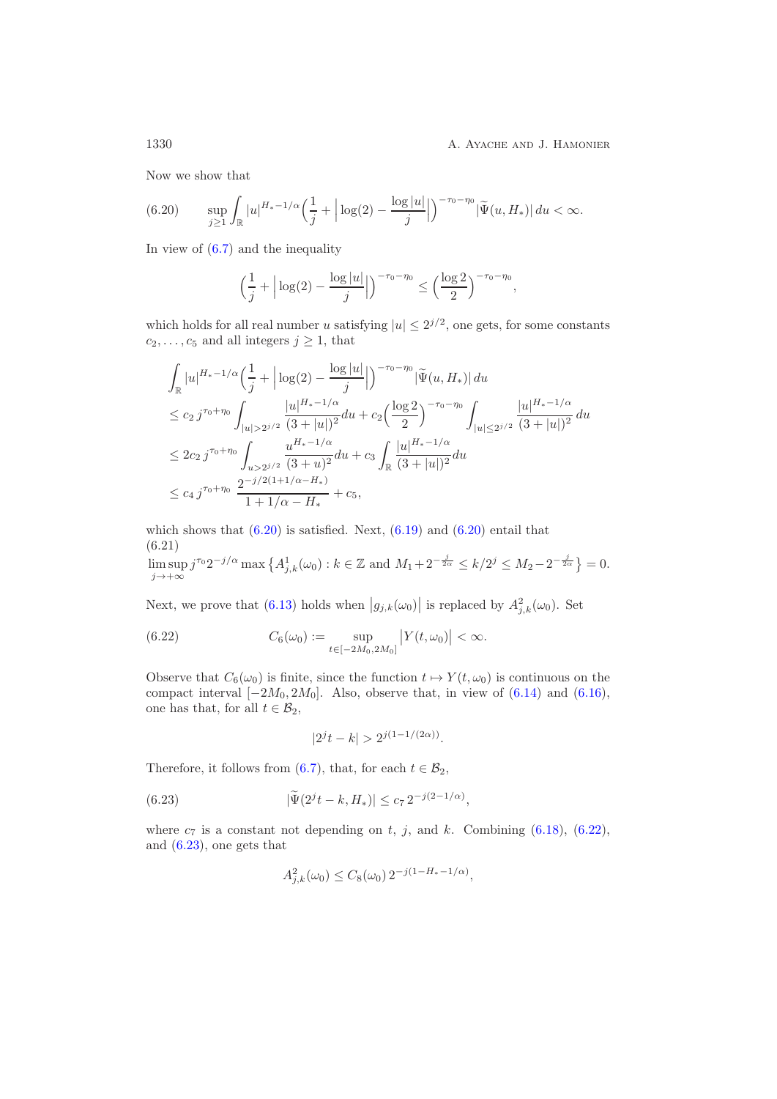Now we show that

<span id="page-29-0"></span>
$$
(6.20) \qquad \sup_{j\geq 1} \int_{\mathbb{R}} |u|^{H_*-1/\alpha} \left(\frac{1}{j} + \left|\log(2) - \frac{\log|u|}{j}\right|\right)^{-\tau_0-\eta_0} |\widetilde{\Psi}(u, H_*)| \, du < \infty.
$$

In view of  $(6.7)$  and the inequality

$$
\left(\frac{1}{j} + \left|\log(2) - \frac{\log|u|}{j}\right|\right)^{-\tau_0 - \eta_0} \le \left(\frac{\log 2}{2}\right)^{-\tau_0 - \eta_0},
$$

which holds for all real number u satisfying  $|u| \leq 2^{j/2}$ , one gets, for some constants  $c_2, \ldots, c_5$  and all integers  $j \geq 1$ , that

$$
\int_{\mathbb{R}} |u|^{H_{*}-1/\alpha} \left(\frac{1}{j} + \left|\log(2) - \frac{\log|u|}{j}\right|\right)^{-\tau_{0}-\eta_{0}} |\widetilde{\Psi}(u, H_{*})| du
$$
\n
$$
\leq c_{2} j^{\tau_{0}+\eta_{0}} \int_{|u|>2^{j/2}} \frac{|u|^{H_{*}-1/\alpha}}{(3+|u|)^{2}} du + c_{2} \left(\frac{\log 2}{2}\right)^{-\tau_{0}-\eta_{0}} \int_{|u| \leq 2^{j/2}} \frac{|u|^{H_{*}-1/\alpha}}{(3+|u|)^{2}} du
$$
\n
$$
\leq 2c_{2} j^{\tau_{0}+\eta_{0}} \int_{u>2^{j/2}} \frac{u^{H_{*}-1/\alpha}}{(3+u)^{2}} du + c_{3} \int_{\mathbb{R}} \frac{|u|^{H_{*}-1/\alpha}}{(3+|u|)^{2}} du
$$
\n
$$
\leq c_{4} j^{\tau_{0}+\eta_{0}} \frac{2^{-j/2(1+1/\alpha-H_{*})}}{1+1/\alpha-H_{*}} + c_{5},
$$

which shows that  $(6.20)$  is satisfied. Next,  $(6.19)$  and  $(6.20)$  entail that (6.21)

<span id="page-29-3"></span>lim sup  $j \rightarrow +\infty$  $j^{\tau_0} 2^{-j/\alpha} \max\left\{ A_{j,k}^1(\omega_0) : k \in \mathbb{Z} \text{ and } M_1 + 2^{-\frac{j}{2\alpha}} \le k/2^j \le M_2 - 2^{-\frac{j}{2\alpha}} \right\} = 0.$ 

Next, we prove that [\(6.13\)](#page-27-1) holds when  $|g_{j,k}(\omega_0)|$  is replaced by  $A_{j,k}^2(\omega_0)$ . Set

(6.22) 
$$
C_6(\omega_0) := \sup_{t \in [-2M_0, 2M_0]} |Y(t, \omega_0)| < \infty.
$$

Observe that  $C_6(\omega_0)$  is finite, since the function  $t \mapsto Y(t, \omega_0)$  is continuous on the compact interval  $[-2M_0, 2M_0]$ . Also, observe that, in view of  $(6.14)$  and  $(6.16)$ , one has that, for all  $t \in \mathcal{B}_2$ ,

<span id="page-29-2"></span><span id="page-29-1"></span>
$$
|2^{j}t - k| > 2^{j(1 - 1/(2\alpha))}.
$$

Therefore, it follows from [\(6.7\)](#page-26-1), that, for each  $t \in \mathcal{B}_2$ ,

(6.23) 
$$
|\tilde{\Psi}(2^{j}t-k, H_{*})| \leq c_{7} 2^{-j(2-1/\alpha)},
$$

where  $c_7$  is a constant not depending on t, j, and k. Combining [\(6.18\)](#page-28-4), [\(6.22\)](#page-29-1), and [\(6.23\)](#page-29-2), one gets that

$$
A_{j,k}^2(\omega_0) \le C_8(\omega_0) 2^{-j(1-H_*-1/\alpha)},
$$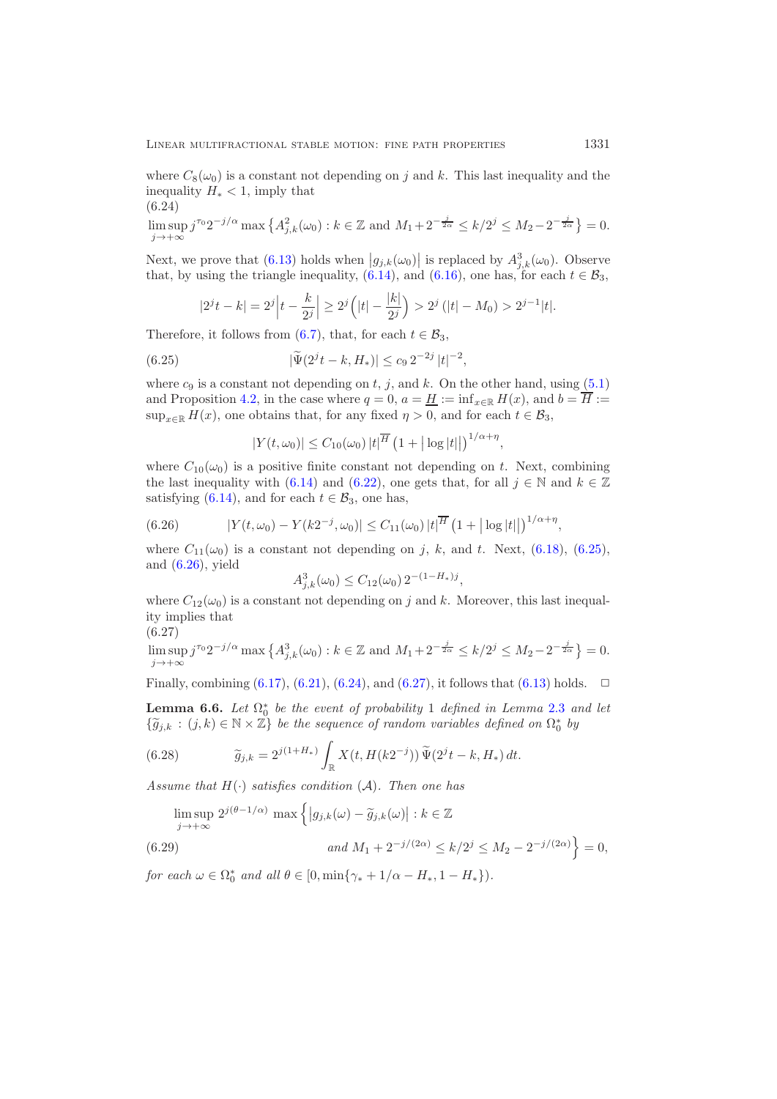where  $C_8(\omega_0)$  is a constant not depending on j and k. This last inequality and the inequality  $H_* < 1$ , imply that

$$
(6.24)
$$

<span id="page-30-2"></span> $\limsup_{j \to +\infty} j^{\tau_0} 2^{-j/\alpha} \max\{A_{j,k}^2(\omega_0) : k \in \mathbb{Z} \text{ and } M_1 + 2^{-\frac{j}{2\alpha}} \le k/2^j \le M_2 - 2^{-\frac{j}{2\alpha}}\} = 0.$  $j\rightarrow+\infty$ 

Next, we prove that  $(6.13)$  holds when  $|g_{j,k}(\omega_0)|$  is replaced by  $A_{j,k}^3(\omega_0)$ . Observe that, by using the triangle inequality, [\(6.14\)](#page-28-2), and [\(6.16\)](#page-28-3), one has, for each  $t \in \mathcal{B}_3$ ,

$$
|2^{j}t-k|=2^{j}\left|t-\frac{k}{2^{j}}\right|\geq 2^{j}\left(|t|-\frac{|k|}{2^{j}}\right)>2^{j}\left(|t|-M_{0}\right)>2^{j-1}|t|.
$$

Therefore, it follows from [\(6.7\)](#page-26-1), that, for each  $t \in \mathcal{B}_3$ ,

(6.25) 
$$
|\widetilde{\Psi}(2^{j}t-k, H_{*})| \leq c_{9} 2^{-2j} |t|^{-2},
$$

where  $c_9$  is a constant not depending on t, j, and k. On the other hand, using [\(5.1\)](#page-23-1) and Proposition [4.2,](#page-17-0) in the case where  $q = 0$ ,  $a = H := \inf_{x \in \mathbb{R}} H(x)$ , and  $b = \overline{H} :=$  $\sup_{x\in\mathbb{R}} H(x)$ , one obtains that, for any fixed  $\eta > 0$ , and for each  $t \in \mathcal{B}_3$ ,

<span id="page-30-0"></span>
$$
|Y(t,\omega_0)| \leq C_{10}(\omega_0) |t|^{\overline{H}} \left(1 + |\log|t||\right)^{1/\alpha + \eta},
$$

where  $C_{10}(\omega_0)$  is a positive finite constant not depending on t. Next, combining the last inequality with [\(6.14\)](#page-28-2) and [\(6.22\)](#page-29-1), one gets that, for all  $j \in \mathbb{N}$  and  $k \in \mathbb{Z}$ satisfying [\(6.14\)](#page-28-2), and for each  $t \in \mathcal{B}_3$ , one has,

<span id="page-30-1"></span>(6.26) 
$$
|Y(t,\omega_0) - Y(k2^{-j},\omega_0)| \leq C_{11}(\omega_0) |t|^{\overline{H}} (1 + |\log|t| |)^{1/\alpha + \eta},
$$

where  $C_{11}(\omega_0)$  is a constant not depending on j, k, and t. Next, [\(6.18\)](#page-28-4), [\(6.25\)](#page-30-0), and [\(6.26\)](#page-30-1), yield

$$
A_{j,k}^3(\omega_0) \le C_{12}(\omega_0) 2^{-(1-H_*)j},
$$

where  $C_{12}(\omega_0)$  is a constant not depending on j and k. Moreover, this last inequality implies that

$$
(6.27)
$$

<span id="page-30-3"></span>lim sup  $j^{\tau_0} 2^{-j/\alpha} \max\{A_{j,k}^3(\omega_0):k\in\mathbb{Z} \text{ and } M_1+2^{-\frac{j}{2\alpha}} \leq k/2^j \leq M_2-2^{-\frac{j}{2\alpha}}\}=0.$  $i\rightarrow+\infty$ 

<span id="page-30-6"></span>Finally, combining  $(6.17)$ ,  $(6.21)$ ,  $(6.24)$ , and  $(6.27)$ , it follows that  $(6.13)$  holds.  $\Box$ 

**Lemma 6.6.** *Let*  $\Omega_0^*$  *be the event of probability* 1 *defined in Lemma [2.3](#page-6-0) and let*<br> $\{ \tilde{a}_{i,j} : (i, k) \in \mathbb{N} \times \mathbb{Z} \}$  be the sequence of random variables defined on  $\Omega^*$  by  ${\{\widetilde{g}_{j,k} : (j,k) \in \mathbb{N} \times \mathbb{Z}\}}$  *be the sequence of random variables defined on*  $\Omega_0^*$  *by* 

<span id="page-30-4"></span>(6.28) 
$$
\widetilde{g}_{j,k} = 2^{j(1+H_*)} \int_{\mathbb{R}} X(t,H(k2^{-j})) \widetilde{\Psi}(2^j t - k, H_*) dt.
$$

*Assume that* H(·) *satisfies condition* (A)*. Then one has*

<span id="page-30-5"></span>
$$
\limsup_{j \to +\infty} 2^{j(\theta - 1/\alpha)} \max\left\{ |g_{j,k}(\omega) - \widetilde{g}_{j,k}(\omega)| : k \in \mathbb{Z} \right\}
$$
  
(6.29)  

$$
and M_1 + 2^{-j/(2\alpha)} \le k/2^j \le M_2 - 2^{-j/(2\alpha)} \right\} = 0,
$$

*for each*  $\omega \in \Omega_0^*$  *and all*  $\theta \in [0, \min\{\gamma_* + 1/\alpha - H_*, 1 - H_*\})$ .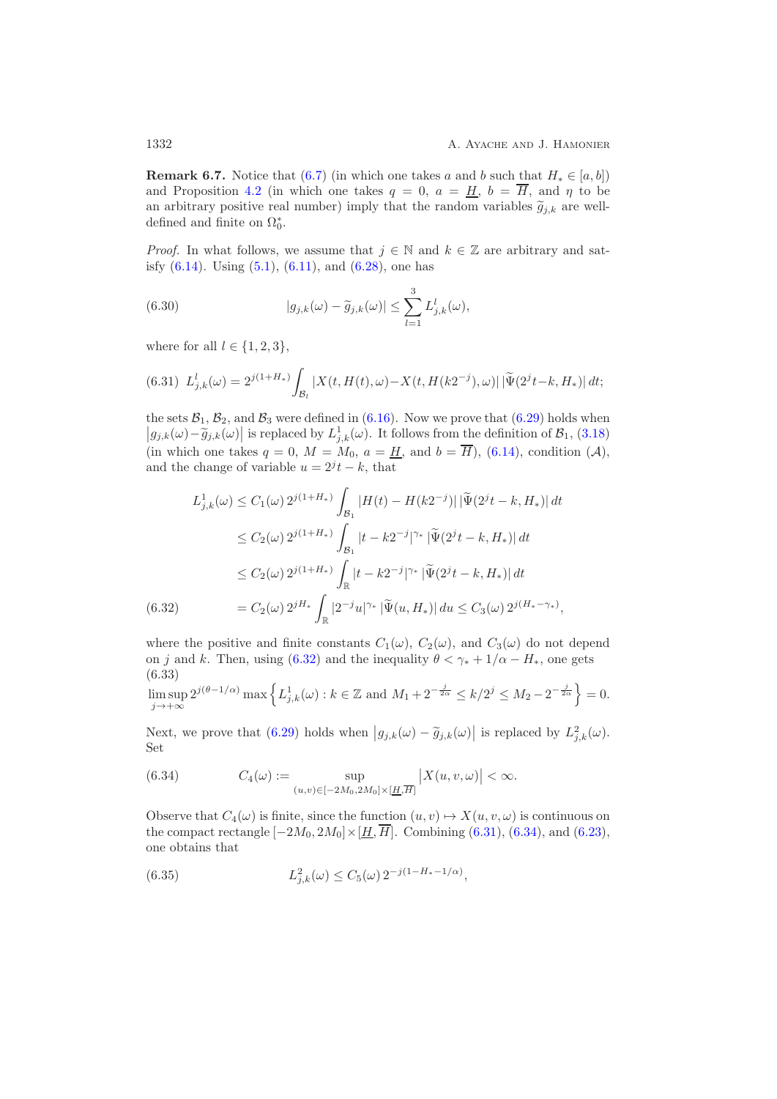**Remark 6.7.** Notice that [\(6.7\)](#page-26-1) (in which one takes a and b such that  $H_* \in [a, b]$ ) and Proposition [4.2](#page-17-0) (in which one takes  $q = 0$ ,  $a = H$ ,  $b = \overline{H}$ , and  $\eta$  to be an arbitrary positive real number) imply that the random variables  $\tilde{g}_{j,k}$  are well-<br>defined and finite an  $\Omega^*$ defined and finite on  $\Omega_0^*$ .

*Proof.* In what follows, we assume that  $j \in \mathbb{N}$  and  $k \in \mathbb{Z}$  are arbitrary and satisfy  $(6.14)$ . Using  $(5.1)$ ,  $(6.11)$ , and  $(6.28)$ , one has

<span id="page-31-4"></span>(6.30) 
$$
|g_{j,k}(\omega) - \widetilde{g}_{j,k}(\omega)| \leq \sum_{l=1}^{3} L_{j,k}^{l}(\omega),
$$

where for all  $l \in \{1, 2, 3\},\$ 

<span id="page-31-1"></span>
$$
(6.31) \ L_{j,k}^{l}(\omega) = 2^{j(1+H_{*})} \int_{\mathcal{B}_{l}} |X(t, H(t), \omega) - X(t, H(k2^{-j}), \omega)| \, |\tilde{\Psi}(2^{j}t - k, H_{*})| \, dt;
$$

the sets  $\mathcal{B}_1$ ,  $\mathcal{B}_2$ , and  $\mathcal{B}_3$  were defined in [\(6.16\)](#page-28-3). Now we prove that [\(6.29\)](#page-30-5) holds when  $|g_{j,k}(\omega) - \tilde{g}_{j,k}(\omega)|$  is replaced by  $L_{j,k}^1(\omega)$ . It follows from the definition of  $\mathcal{B}_1$ , [\(3.18\)](#page-16-4) (in which one takes  $q = 0$ ,  $M = M_0$ ,  $a = H$ , and  $b = \overline{H}$ ), [\(6.14\)](#page-28-2), condition (A), and the change of variable  $u = 2<sup>j</sup> t - k$ , that

$$
L_{j,k}^{1}(\omega) \le C_1(\omega) 2^{j(1+H_{*})} \int_{\mathcal{B}_1} |H(t) - H(k2^{-j})| |\tilde{\Psi}(2^{j}t - k, H_{*})| dt
$$
  
\n
$$
\le C_2(\omega) 2^{j(1+H_{*})} \int_{\mathcal{B}_1} |t - k2^{-j}|^{\gamma_{*}} |\tilde{\Psi}(2^{j}t - k, H_{*})| dt
$$
  
\n
$$
\le C_2(\omega) 2^{j(1+H_{*})} \int_{\mathbb{R}} |t - k2^{-j}|^{\gamma_{*}} |\tilde{\Psi}(2^{j}t - k, H_{*})| dt
$$
  
\n(6.32)  
\n
$$
= C_2(\omega) 2^{jH_{*}} \int_{\mathbb{R}} |2^{-j}u|^{\gamma_{*}} |\tilde{\Psi}(u, H_{*})| du \le C_3(\omega) 2^{j(H_{*}-\gamma_{*})},
$$

<span id="page-31-0"></span>where the positive and finite constants  $C_1(\omega)$ ,  $C_2(\omega)$ , and  $C_3(\omega)$  do not depend on j and k. Then, using [\(6.32\)](#page-31-0) and the inequality  $\theta < \gamma_* + 1/\alpha - H_*$ , one gets (6.33)

<span id="page-31-5"></span>lim sup  $j \rightarrow +\infty$  $2^{j(\theta-1/\alpha)} \max\left\{ L_{j,k}^1(\omega) : k \in \mathbb{Z} \text{ and } M_1 + 2^{-\frac{j}{2\alpha}} \le k/2^j \le M_2 - 2^{-\frac{j}{2\alpha}} \right\} = 0.$ 

Next, we prove that [\(6.29\)](#page-30-5) holds when  $|g_{j,k}(\omega) - \tilde{g}_{j,k}(\omega)|$  is replaced by  $L^2_{j,k}(\omega)$ . Set

<span id="page-31-2"></span>(6.34) 
$$
C_4(\omega) := \sup_{(u,v) \in [-2M_0, 2M_0] \times [\underline{H}, \overline{H}]} |X(u, v, \omega)| < \infty.
$$

Observe that  $C_4(\omega)$  is finite, since the function  $(u, v) \mapsto X(u, v, \omega)$  is continuous on the compact rectangle  $[-2M_0, 2M_0] \times [\underline{H}, \overline{H}]$ . Combining [\(6.31\)](#page-31-1), [\(6.34\)](#page-31-2), and [\(6.23\)](#page-29-2), one obtains that

<span id="page-31-3"></span>(6.35) 
$$
L_{j,k}^{2}(\omega) \leq C_{5}(\omega) 2^{-j(1-H_{*}-1/\alpha)},
$$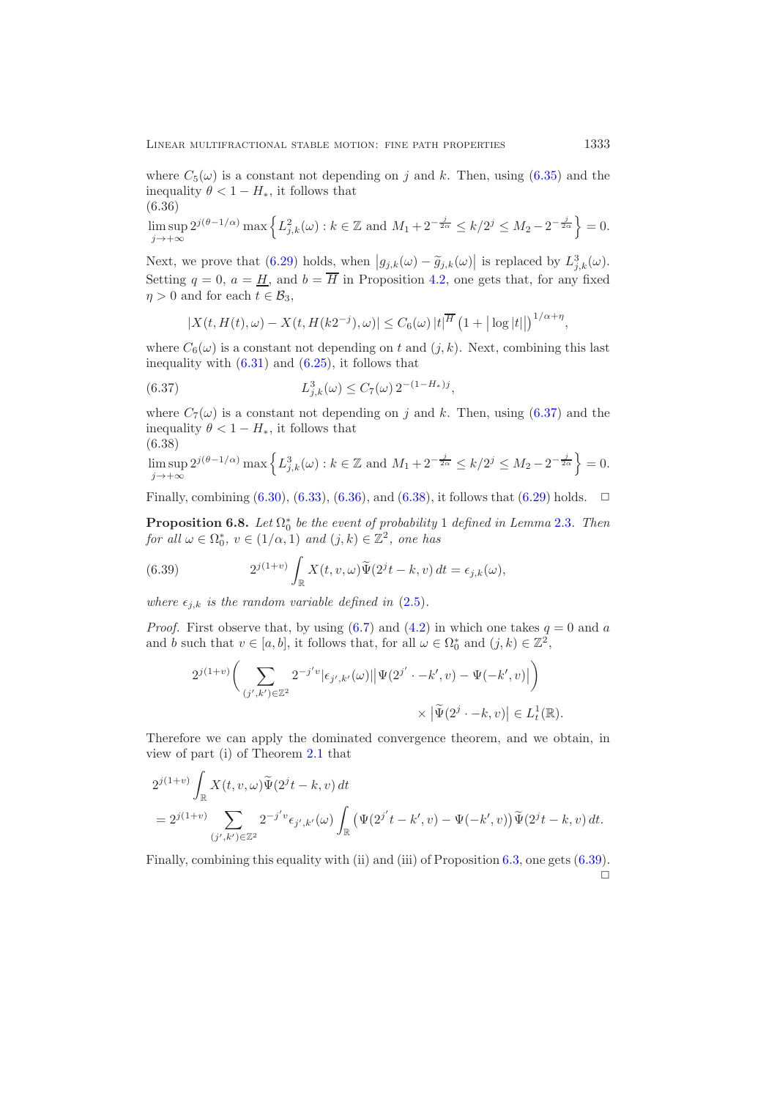where  $C_5(\omega)$  is a constant not depending on j and k. Then, using [\(6.35\)](#page-31-3) and the inequality  $\theta < 1 - H_*$ , it follows that (6.36)

<span id="page-32-1"></span>
$$
\limsup_{j \to +\infty} 2^{j(\theta - 1/\alpha)} \max \left\{ L_{j,k}^2(\omega) : k \in \mathbb{Z} \text{ and } M_1 + 2^{-\frac{j}{2\alpha}} \le k/2^j \le M_2 - 2^{-\frac{j}{2\alpha}} \right\} = 0.
$$

Next, we prove that  $(6.29)$  holds, when  $|g_{j,k}(\omega) - \tilde{g}_{j,k}(\omega)|$  is replaced by  $L_{j,k}^3(\omega)$ . Setting  $q = 0$ ,  $a = \underline{H}$ , and  $b = \overline{H}$  in Proposition [4.2,](#page-17-0) one gets that, for any fixed  $\eta > 0$  and for each  $t \in \mathcal{B}_3$ ,

<span id="page-32-0"></span>
$$
|X(t, H(t), \omega) - X(t, H(k2^{-j}), \omega)| \leq C_6(\omega) |t|^{\overline{H}} (1 + |\log|t||)^{1/\alpha + \eta},
$$

where  $C_6(\omega)$  is a constant not depending on t and  $(j, k)$ . Next, combining this last inequality with  $(6.31)$  and  $(6.25)$ , it follows that

(6.37) 
$$
L_{j,k}^{3}(\omega) \leq C_{7}(\omega) 2^{-(1-H_{*})j},
$$

where  $C_7(\omega)$  is a constant not depending on j and k. Then, using [\(6.37\)](#page-32-0) and the inequality  $\theta < 1 - H_*$ , it follows that (6.38)

<span id="page-32-2"></span>
$$
\limsup_{j \to +\infty} 2^{j(\theta - 1/\alpha)} \max \left\{ L_{j,k}^3(\omega) : k \in \mathbb{Z} \text{ and } M_1 + 2^{-\frac{j}{2\alpha}} \le k/2^j \le M_2 - 2^{-\frac{j}{2\alpha}} \right\} = 0.
$$

Finally, combining  $(6.30)$ ,  $(6.33)$ ,  $(6.36)$ , and  $(6.38)$ , it follows that  $(6.29)$  holds.  $\Box$ 

**Proposition 6.8.** *Let*  $\Omega_0^*$  *be the event of probability* 1 *defined in Lemma* [2.3](#page-6-0)*. Then*  $\Omega_0^*$  *c*  $\Omega_1^*$  *c*  $\Omega_2^*$  *c*  $\Omega_1^*$  *c*  $\Omega_2^*$  *c*  $\Omega_2^*$  *c*  $\Omega_2^*$  *cane has for all*  $\omega \in \Omega_0^*$ ,  $v \in (1/\alpha, 1)$  *and*  $(j, k) \in \mathbb{Z}^2$ , *one has* 

<span id="page-32-3"></span>(6.39) 
$$
2^{j(1+v)}\int_{\mathbb{R}} X(t,v,\omega)\tilde{\Psi}(2^{j}t-k,v) dt = \epsilon_{j,k}(\omega),
$$

*where*  $\epsilon_{i,k}$  *is the random variable defined in* [\(2.5\)](#page-5-2).

*Proof.* First observe that, by using  $(6.7)$  and  $(4.2)$  in which one takes  $q = 0$  and a and b such that  $v \in [a, b]$ , it follows that, for all  $\omega \in \Omega_0^*$  and  $(j, k) \in \mathbb{Z}^2$ ,

$$
\label{eq:2.1} \begin{split} 2^{j(1+v)}\bigg(\sum_{(j',k')\in\mathbb{Z}^2}2^{-j'v}|\epsilon_{j',k'}(\omega)||\Psi(2^{j'}\cdot-k',v)-\Psi(-k',v)|\bigg)\\ &\quad\times\left|\widetilde{\Psi}(2^j\cdot-k,v)\right|\in L^1_t(\mathbb{R}). \end{split}
$$

Therefore we can apply the dominated convergence theorem, and we obtain, in view of part (i) of Theorem [2.1](#page-5-0) that

$$
2^{j(1+v)} \int_{\mathbb{R}} X(t, v, \omega) \widetilde{\Psi}(2^{j}t - k, v) dt
$$
  
=  $2^{j(1+v)} \sum_{(j',k') \in \mathbb{Z}^2} 2^{-j'v} \epsilon_{j',k'}(\omega) \int_{\mathbb{R}} (\Psi(2^{j'}t - k', v) - \Psi(-k', v)) \widetilde{\Psi}(2^{j}t - k, v) dt.$ 

Finally, combining this equality with (ii) and (iii) of Proposition [6.3,](#page-26-3) one gets [\(6.39\)](#page-32-3).  $\Box$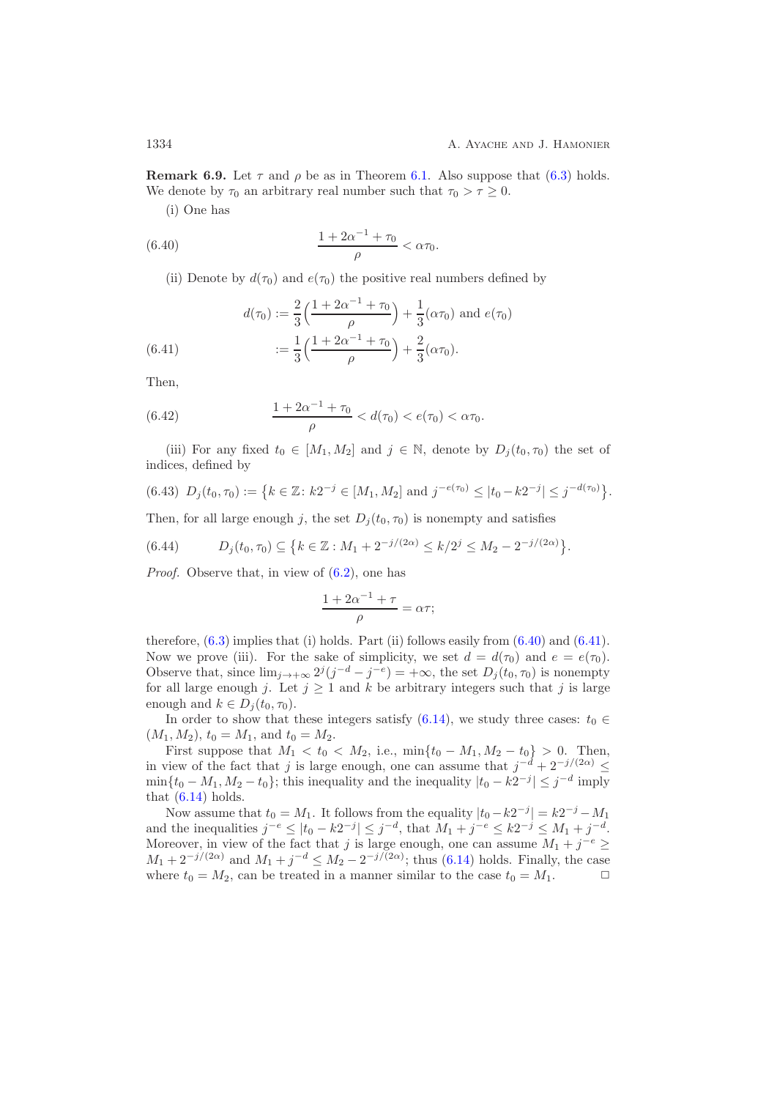**Remark 6.9.** Let  $\tau$  and  $\rho$  be as in Theorem [6.1.](#page-25-3) Also suppose that [\(6.3\)](#page-25-2) holds. We denote by  $\tau_0$  an arbitrary real number such that  $\tau_0 > \tau \geq 0$ .

<span id="page-33-0"></span>(i) One has

(6.40) 
$$
\frac{1 + 2\alpha^{-1} + \tau_0}{\rho} < \alpha \tau_0.
$$

(ii) Denote by  $d(\tau_0)$  and  $e(\tau_0)$  the positive real numbers defined by

(6.41) 
$$
d(\tau_0) := \frac{2}{3} \left( \frac{1 + 2\alpha^{-1} + \tau_0}{\rho} \right) + \frac{1}{3} (\alpha \tau_0) \text{ and } e(\tau_0)
$$

$$
:= \frac{1}{3} \left( \frac{1 + 2\alpha^{-1} + \tau_0}{\rho} \right) + \frac{2}{3} (\alpha \tau_0).
$$

<span id="page-33-1"></span>Then,

<span id="page-33-3"></span>(6.42) 
$$
\frac{1+2\alpha^{-1}+\tau_0}{\rho} < d(\tau_0) < e(\tau_0) < \alpha\tau_0.
$$

(iii) For any fixed  $t_0 \in [M_1, M_2]$  and  $j \in \mathbb{N}$ , denote by  $D_i(t_0, \tau_0)$  the set of indices, defined by

<span id="page-33-2"></span>
$$
(6.43) \ D_j(t_0, \tau_0) := \left\{ k \in \mathbb{Z} \colon k2^{-j} \in [M_1, M_2] \text{ and } j^{-e(\tau_0)} \leq |t_0 - k2^{-j}| \leq j^{-d(\tau_0)} \right\}.
$$

Then, for all large enough j, the set  $D_i(t_0, \tau_0)$  is nonempty and satisfies

<span id="page-33-4"></span>
$$
(6.44) \tDj(t0, \tau0) \subseteq \{k \in \mathbb{Z} : M_1 + 2^{-j/(2\alpha)} \le k/2^j \le M_2 - 2^{-j/(2\alpha)}\}.
$$

*Proof.* Observe that, in view of [\(6.2\)](#page-25-4), one has

$$
\frac{1 + 2\alpha^{-1} + \tau}{\rho} = \alpha \tau;
$$

therefore,  $(6.3)$  implies that (i) holds. Part (ii) follows easily from  $(6.40)$  and  $(6.41)$ . Now we prove (iii). For the sake of simplicity, we set  $d = d(\tau_0)$  and  $e = e(\tau_0)$ . Observe that, since  $\lim_{j\to+\infty} 2^j (j^{-d}-j^{-e})=+\infty$ , the set  $D_j(t_0,\tau_0)$  is nonempty for all large enough j. Let  $j \geq 1$  and k be arbitrary integers such that j is large enough and  $k \in D_i(t_0, \tau_0)$ .

In order to show that these integers satisfy [\(6.14\)](#page-28-2), we study three cases:  $t_0 \in$  $(M_1, M_2), t_0 = M_1$ , and  $t_0 = M_2$ .

First suppose that  $M_1 < t_0 < M_2$ , i.e.,  $\min\{t_0 - M_1, M_2 - t_0\} > 0$ . Then, in view of the fact that j is large enough, one can assume that  $j^{-d} + 2^{-j/(2\alpha)} \le$  $\min\{t_0 - M_1, M_2 - t_0\}$ ; this inequality and the inequality  $|t_0 - k2^{-j}| \leq j^{-d}$  imply that  $(6.14)$  holds.

Now assume that  $t_0 = M_1$ . It follows from the equality  $|t_0 - k2^{-j}| = k2^{-j} - M_1$ and the inequalities  $j^{-e} \le |t_0 - k2^{-j}| \le j^{-d}$ , that  $M_1 + j^{-e} \le k2^{-j} \le M_1 + j^{-d}$ . Moreover, in view of the fact that j is large enough, one can assume  $M_1 + j^{-e} \geq$  $M_1 + 2^{-j/(2\alpha)}$  and  $M_1 + j^{-d} \le M_2 - 2^{-j/(2\alpha)}$ ; thus [\(6.14\)](#page-28-2) holds. Finally, the case where  $t_0 = M_2$ , can be treated in a manner similar to the case  $t_0 = M_1$ .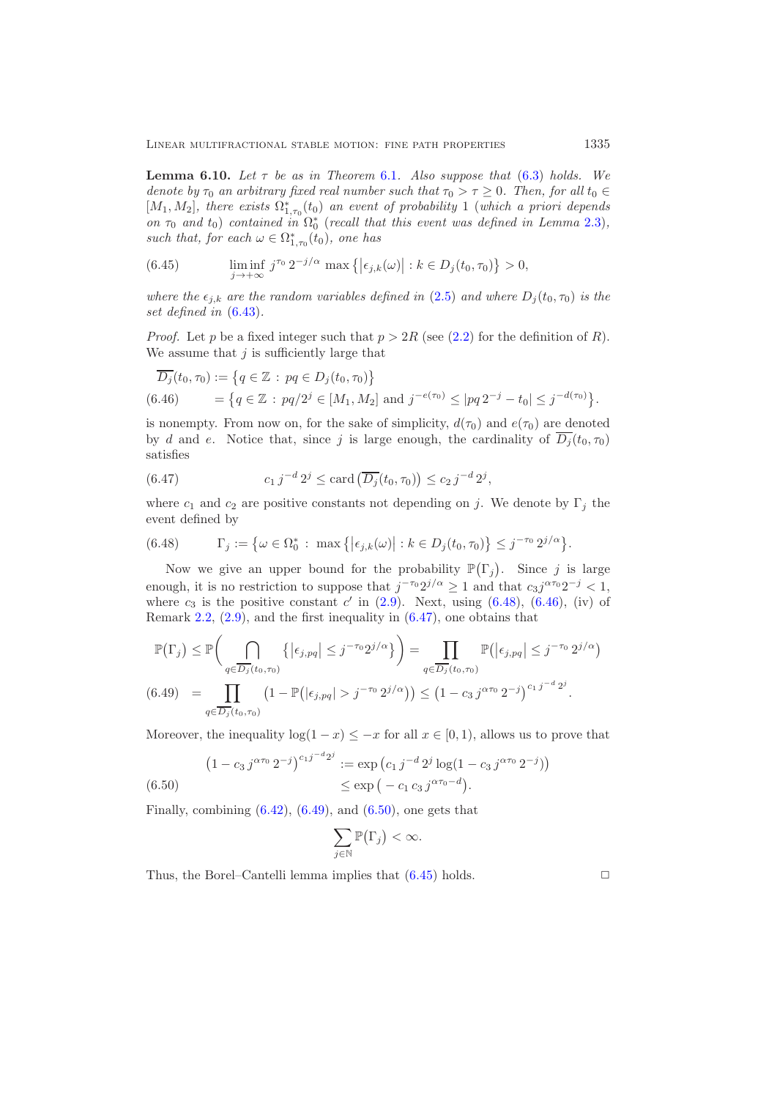<span id="page-34-6"></span>**Lemma [6.1](#page-25-3)0.** *Let*  $\tau$  *be as in Theorem* 6.1*. Also suppose that* [\(6.3\)](#page-25-2) *holds.* We *denote by*  $\tau_0$  *an arbitrary fixed real number such that*  $\tau_0 > \tau \geq 0$ *. Then, for all*  $t_0 \in$  $[M_1, M_2]$ , there exists  $\Omega^*_{1,\tau_0}(t_0)$  an event of probability 1 (which a priori depends<br>on  $\tau_2$  and to) contained in  $\Omega^*$  (recall that this event was defined in Lemma 2.3) *on*  $\tau_0$  *and*  $t_0$ ) *contained in*  $\Omega_0^*$  (*recall that this event was defined in Lemma [2.3\)](#page-6-0)*, such that for each  $\omega \in \Omega^*$  (*to*) one has such that, for each  $\omega \in \Omega^*_{1,\tau_0}(t_0)$ , one has

<span id="page-34-5"></span>(6.45) 
$$
\liminf_{j \to +\infty} j^{\tau_0} 2^{-j/\alpha} \max\left\{ |\epsilon_{j,k}(\omega)| : k \in D_j(t_0, \tau_0) \right\} > 0,
$$

*where the*  $\epsilon_{j,k}$  *are the random variables defined in* [\(2.5\)](#page-5-2) *and where*  $D_j(t_0, \tau_0)$  *is the set defined in* [\(6.43\)](#page-33-2)*.*

*Proof.* Let p be a fixed integer such that  $p > 2R$  (see [\(2.2\)](#page-4-1) for the definition of R). We assume that  $j$  is sufficiently large that

<span id="page-34-1"></span>
$$
\overline{D_j}(t_0, \tau_0) := \left\{ q \in \mathbb{Z} : pq \in D_j(t_0, \tau_0) \right\}
$$
  
(6.46) 
$$
= \left\{ q \in \mathbb{Z} : pq/2^j \in [M_1, M_2] \text{ and } j^{-e(\tau_0)} \le |pq 2^{-j} - t_0| \le j^{-d(\tau_0)} \right\}.
$$

is nonempty. From now on, for the sake of simplicity,  $d(\tau_0)$  and  $e(\tau_0)$  are denoted by d and e. Notice that, since j is large enough, the cardinality of  $\overline{D_j}(t_0, \tau_0)$ satisfies

<span id="page-34-2"></span>(6.47) 
$$
c_1 j^{-d} 2^j \leq \text{card} \left( \overline{D_j}(t_0, \tau_0) \right) \leq c_2 j^{-d} 2^j,
$$

where  $c_1$  and  $c_2$  are positive constants not depending on j. We denote by  $\Gamma_i$  the event defined by

<span id="page-34-0"></span>(6.48) 
$$
\Gamma_j := \{ \omega \in \Omega_0^* : \max \left\{ \left| \epsilon_{j,k}(\omega) \right| : k \in D_j(t_0, \tau_0) \right\} \leq j^{-\tau_0} 2^{j/\alpha} \}.
$$

Now we give an upper bound for the probability  $\mathbb{P}(\Gamma_j)$ . Since j is large enough, it is no restriction to suppose that  $j^{-\tau_0}2^{j/\alpha} \geq 1$  and that  $c_3j^{\alpha\tau_0}2^{-j} < 1$ , where  $c_3$  is the positive constant  $c'$  in [\(2.9\)](#page-6-1). Next, using [\(6.48\)](#page-34-0), [\(6.46\)](#page-34-1), (iv) of Remark [2.2,](#page-6-3) [\(2.9\)](#page-6-1), and the first inequality in [\(6.47\)](#page-34-2), one obtains that

$$
\mathbb{P}(\Gamma_j) \leq \mathbb{P}\bigg(\bigcap_{q \in \overline{D_j}(t_0,\tau_0)} \left\{ |\epsilon_{j,pq}| \leq j^{-\tau_0} 2^{j/\alpha} \right\} \bigg) = \prod_{q \in \overline{D_j}(t_0,\tau_0)} \mathbb{P}\big(|\epsilon_{j,pq}| \leq j^{-\tau_0} 2^{j/\alpha}\big)
$$
\n
$$
(6.49) \quad = \prod_{q \in \overline{D_j}(t_0,\tau_0)} \left(1 - \mathbb{P}\big(|\epsilon_{j,pq}| > j^{-\tau_0} 2^{j/\alpha}\big)\right) \leq \left(1 - c_3 j^{\alpha \tau_0} 2^{-j}\right)^{c_1 j^{-d} 2^j}.
$$

<span id="page-34-3"></span>Moreover, the inequality  $\log(1-x) \leq -x$  for all  $x \in [0,1)$ , allows us to prove that

<span id="page-34-4"></span>
$$
(1 - c_3 j^{\alpha \tau_0} 2^{-j})^{c_1 j^{-d} 2^j} := \exp\left(c_1 j^{-d} 2^j \log(1 - c_3 j^{\alpha \tau_0} 2^{-j})\right)
$$
  

$$
\leq \exp\left(-c_1 c_3 j^{\alpha \tau_0 - d}\right).
$$

Finally, combining  $(6.42)$ ,  $(6.49)$ , and  $(6.50)$ , one gets that

$$
\sum_{j\in\mathbb{N}}\mathbb{P}\big(\Gamma_j\big)<\infty.
$$

Thus, the Borel–Cantelli lemma implies that  $(6.45)$  holds.  $\Box$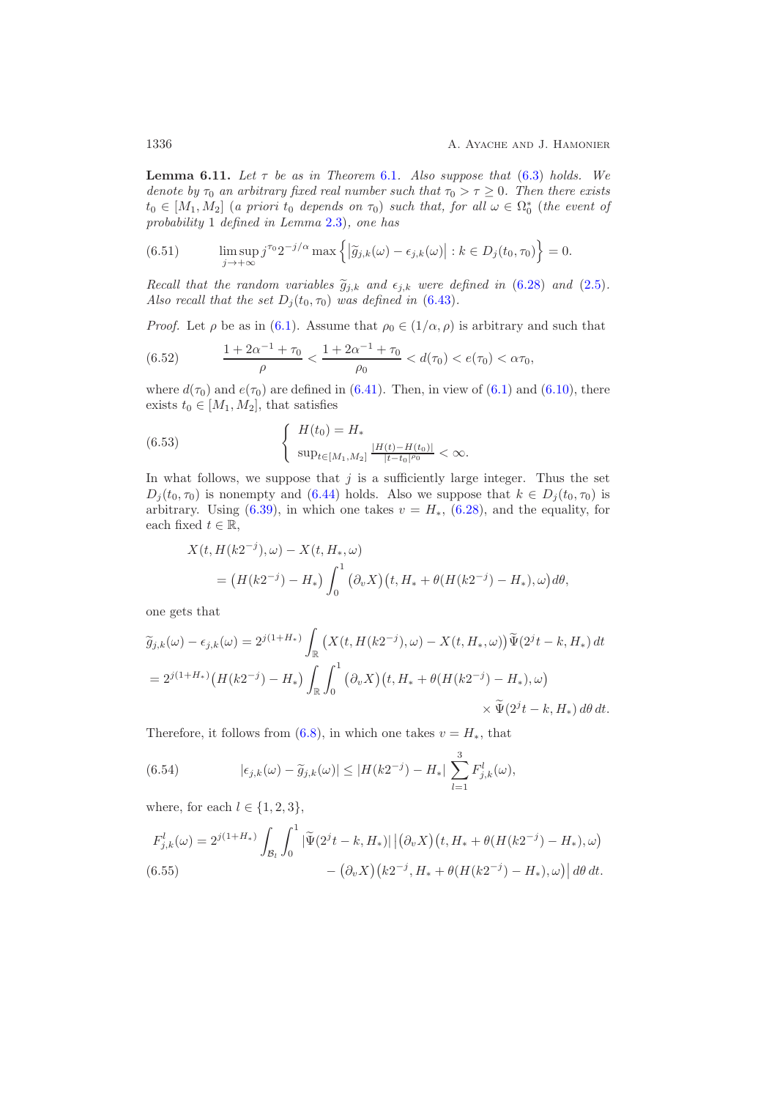<span id="page-35-5"></span>**Lemma [6.1](#page-25-3)1.** Let  $\tau$  be as in Theorem 6.1. Also suppose that [\(6.3\)](#page-25-2) holds. We *denote by*  $\tau_0$  *an arbitrary fixed real number such that*  $\tau_0 > \tau \geq 0$ *. Then there exists*  $t_0 \in [M_1, M_2]$  (*a priori*  $t_0$  *depends on*  $\tau_0$ ) *such that, for all*  $\omega \in \Omega_0^*$  (*the event of*<br>probability 1 defined in Lemma 2.3), one has *probability* 1 *defined in Lemma* [2.3\)](#page-6-0)*, one has*

<span id="page-35-2"></span>(6.51) 
$$
\limsup_{j \to +\infty} j^{\tau_0} 2^{-j/\alpha} \max \left\{ \left| \widetilde{g}_{j,k}(\omega) - \epsilon_{j,k}(\omega) \right| : k \in D_j(t_0, \tau_0) \right\} = 0.
$$

*Recall that the random variables*  $\tilde{g}_{j,k}$  *and*  $\epsilon_{j,k}$  *were defined in* [\(6.28\)](#page-30-4) *and* [\(2.5\)](#page-5-2)*.*<br>Also resell that the set  $D_i(t, \tau)$  was defined in (6.42) *Also recall that the set*  $D_i(t_0, \tau_0)$  *was defined in* [\(6.43\)](#page-33-2).

*Proof.* Let  $\rho$  be as in [\(6.1\)](#page-25-5). Assume that  $\rho_0 \in (1/\alpha, \rho)$  is arbitrary and such that

<span id="page-35-1"></span>(6.52) 
$$
\frac{1+2\alpha^{-1}+\tau_0}{\rho} < \frac{1+2\alpha^{-1}+\tau_0}{\rho_0} < d(\tau_0) < e(\tau_0) < \alpha\tau_0,
$$

where  $d(\tau_0)$  and  $e(\tau_0)$  are defined in [\(6.41\)](#page-33-1). Then, in view of [\(6.1\)](#page-25-5) and [\(6.10\)](#page-27-3), there exists  $t_0 \in [M_1, M_2]$ , that satisfies

<span id="page-35-0"></span>(6.53) 
$$
\begin{cases} H(t_0) = H_* \\ \sup_{t \in [M_1, M_2]} \frac{|H(t) - H(t_0)|}{|t - t_0|^{\rho_0}} < \infty. \end{cases}
$$

In what follows, we suppose that  $j$  is a sufficiently large integer. Thus the set  $D_i(t_0, \tau_0)$  is nonempty and [\(6.44\)](#page-33-4) holds. Also we suppose that  $k \in D_i(t_0, \tau_0)$  is arbitrary. Using [\(6.39\)](#page-32-3), in which one takes  $v = H_*$ , [\(6.28\)](#page-30-4), and the equality, for each fixed  $t \in \mathbb{R}$ ,

$$
X(t, H(k2^{-j}), \omega) - X(t, H_*, \omega)
$$
  
=  $(H(k2^{-j}) - H_*) \int_0^1 (\partial_v X)(t, H_* + \theta (H(k2^{-j}) - H_*), \omega) d\theta,$ 

one gets that

$$
\widetilde{g}_{j,k}(\omega) - \epsilon_{j,k}(\omega) = 2^{j(1+H_*)} \int_{\mathbb{R}} \left( X(t, H(k2^{-j}), \omega) - X(t, H_*, \omega) \right) \widetilde{\Psi}(2^{j}t - k, H_*) dt
$$
  
=  $2^{j(1+H_*)} \left( H(k2^{-j}) - H_* \right) \int_{\mathbb{R}} \int_0^1 (\partial_v X)(t, H_* + \theta(H(k2^{-j}) - H_*), \omega) \times \widetilde{\Psi}(2^{j}t - k, H_*) d\theta dt.$ 

Therefore, it follows from [\(6.8\)](#page-26-2), in which one takes  $v = H_*$ , that

<span id="page-35-4"></span>(6.54) 
$$
|\epsilon_{j,k}(\omega) - \tilde{g}_{j,k}(\omega)| \le |H(k2^{-j}) - H_*| \sum_{l=1}^3 F_{j,k}^l(\omega),
$$

where, for each  $l \in \{1, 2, 3\}$ ,

<span id="page-35-3"></span>
$$
F_{j,k}^{l}(\omega) = 2^{j(1+H_{*})} \int_{\mathcal{B}_{l}} \int_{0}^{1} |\widetilde{\Psi}(2^{j}t - k, H_{*})| |(\partial_{\nu} X)(t, H_{*} + \theta(H(k2^{-j}) - H_{*}), \omega) - (\partial_{\nu} X)(k2^{-j}, H_{*} + \theta(H(k2^{-j}) - H_{*}), \omega) | d\theta dt.
$$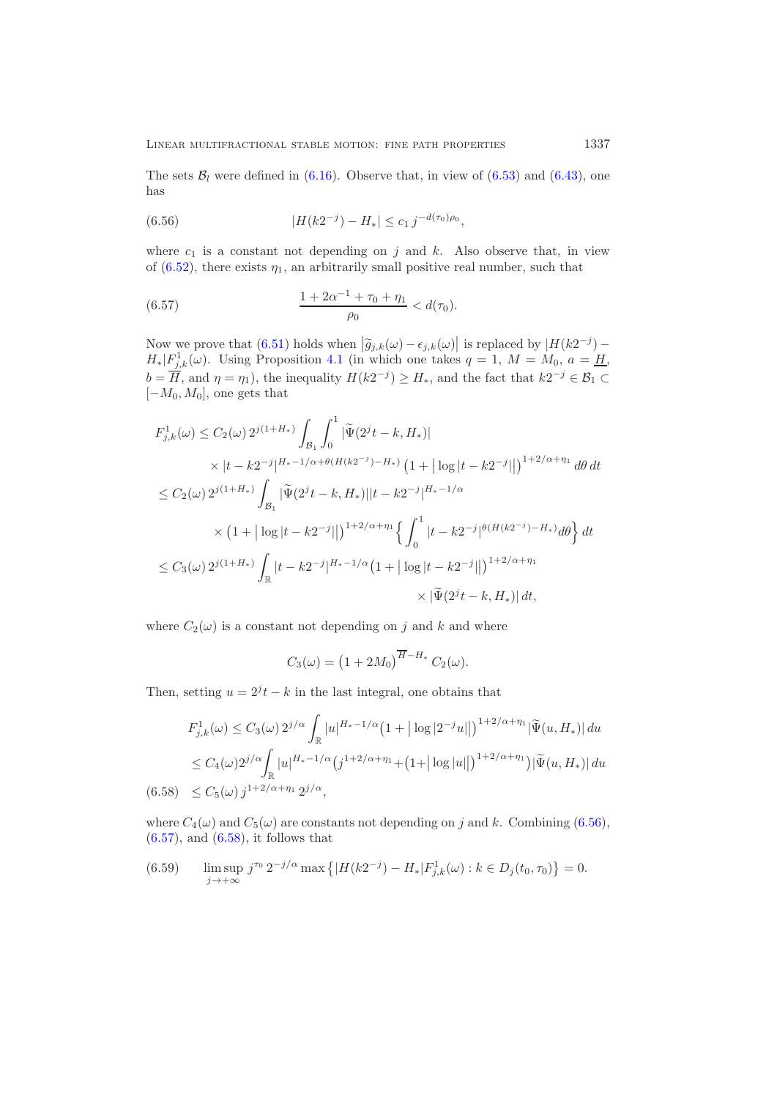The sets  $B_l$  were defined in [\(6.16\)](#page-28-3). Observe that, in view of [\(6.53\)](#page-35-0) and [\(6.43\)](#page-33-2), one has

<span id="page-36-0"></span>(6.56) 
$$
|H(k2^{-j}) - H_*| \leq c_1 j^{-d(\tau_0)\rho_0},
$$

where  $c_1$  is a constant not depending on j and k. Also observe that, in view of [\(6.52\)](#page-35-1), there exists  $\eta_1$ , an arbitrarily small positive real number, such that

<span id="page-36-1"></span>(6.57) 
$$
\frac{1+2\alpha^{-1}+\tau_0+\eta_1}{\rho_0} < d(\tau_0).
$$

Now we prove that  $(6.51)$  holds when  $|\widetilde{g}_{j,k}(\omega) - \epsilon_{j,k}(\omega)|$  is replaced by  $|H(k2^{-j}) - H(k1^{-j})|$  $H_*|F_{j,k}^1(\omega)$ . Using Proposition [4.1](#page-16-3) (in which one takes  $q = 1, M = M_0, a = H$ )  $b = \overline{H}$ , and  $\eta = \eta_1$ , the inequality  $H(k2^{-j}) \ge H_*$ , and the fact that  $k2^{-j} \in \mathcal{B}_1 \subset$  $[-M_0, M_0]$ , one gets that

$$
F_{j,k}^{1}(\omega) \le C_2(\omega) 2^{j(1+H_{*})} \int_{\mathcal{B}_1} \int_0^1 |\tilde{\Psi}(2^{j}t - k, H_{*})|
$$
  
 
$$
\times |t - k2^{-j}|^{H_{*}-1/\alpha + \theta(H(k2^{-j}) - H_{*})} (1 + |\log|t - k2^{-j}||)^{1+2/\alpha + \eta_1} d\theta dt
$$
  

$$
\le C_2(\omega) 2^{j(1+H_{*})} \int_{\mathcal{B}_1} |\tilde{\Psi}(2^{j}t - k, H_{*})||t - k2^{-j}|^{H_{*}-1/\alpha}
$$
  

$$
\times (1 + |\log|t - k2^{-j}||)^{1+2/\alpha + \eta_1} \left\{ \int_0^1 |t - k2^{-j}|^{\theta(H(k2^{-j}) - H_{*})} d\theta \right\} dt
$$
  

$$
\le C_3(\omega) 2^{j(1+H_{*})} \int_{\mathbb{R}} |t - k2^{-j}|^{H_{*}-1/\alpha} (1 + |\log|t - k2^{-j}||)^{1+2/\alpha + \eta_1}
$$
  

$$
\times |\tilde{\Psi}(2^{j}t - k, H_{*})| dt,
$$

where  $C_2(\omega)$  is a constant not depending on j and k and where

$$
C_3(\omega) = \left(1 + 2M_0\right)^{\overline{H} - H_*} C_2(\omega).
$$

Then, setting  $u = 2^{j}t - k$  in the last integral, one obtains that

$$
F_{j,k}^{1}(\omega) \leq C_{3}(\omega) 2^{j/\alpha} \int_{\mathbb{R}} |u|^{H_{*}-1/\alpha} (1+ |\log|2^{-j}u||)^{1+2/\alpha+\eta_{1}} |\tilde{\Psi}(u, H_{*})| du
$$
  
\n
$$
\leq C_{4}(\omega) 2^{j/\alpha} \int_{\mathbb{R}} |u|^{H_{*}-1/\alpha} (j^{1+2/\alpha+\eta_{1}} + (1+ |\log|u||)^{1+2/\alpha+\eta_{1}}) |\tilde{\Psi}(u, H_{*})| du
$$
  
\n(6.58)  $\leq C_{5}(\omega) j^{1+2/\alpha+\eta_{1}} 2^{j/\alpha},$ 

<span id="page-36-2"></span>where  $C_4(\omega)$  and  $C_5(\omega)$  are constants not depending on j and k. Combining [\(6.56\)](#page-36-0),  $(6.57)$ , and  $(6.58)$ , it follows that

<span id="page-36-3"></span>(6.59) 
$$
\limsup_{j \to +\infty} j^{\tau_0} 2^{-j/\alpha} \max \left\{ |H(k2^{-j}) - H_*| F_{j,k}^1(\omega) : k \in D_j(t_0, \tau_0) \right\} = 0.
$$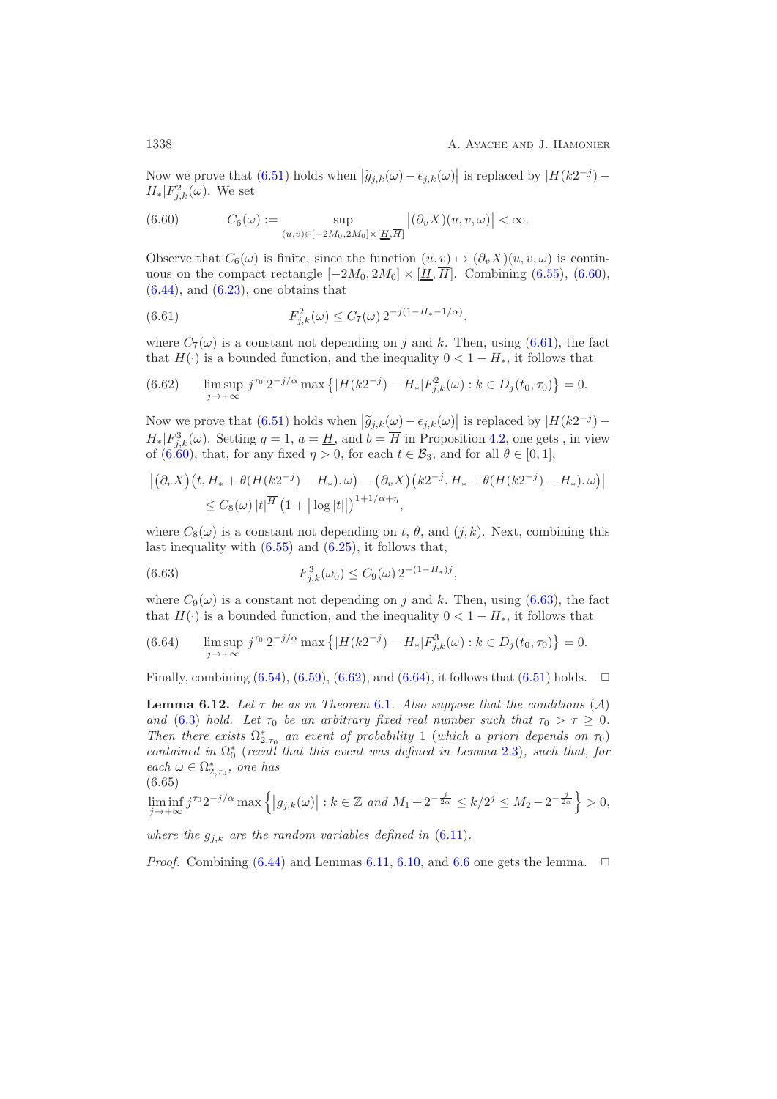Now we prove that  $(6.51)$  holds when  $|\widetilde{g}_{j,k}(\omega) - \epsilon_{j,k}(\omega)|$  is replaced by  $|H(k2^{-j}) - H| \to \infty$  $H_*|F_{j,k}^2(\omega)$ . We set

<span id="page-37-0"></span>(6.60) 
$$
C_6(\omega) := \sup_{(u,v) \in [-2M_0, 2M_0] \times [\underline{H}, \overline{H}]} |(\partial_v X)(u, v, \omega)| < \infty.
$$

Observe that  $C_6(\omega)$  is finite, since the function  $(u, v) \mapsto (\partial_v X)(u, v, \omega)$  is continuous on the compact rectangle  $[-2M_0, 2M_0] \times [\underline{H}, \overline{H}]$ . Combining [\(6.55\)](#page-35-3), [\(6.60\)](#page-37-0),  $(6.44)$ , and  $(6.23)$ , one obtains that

<span id="page-37-1"></span>(6.61) 
$$
F_{j,k}^{2}(\omega) \leq C_{7}(\omega) 2^{-j(1-H_{*}-1/\alpha)},
$$

where  $C_7(\omega)$  is a constant not depending on j and k. Then, using [\(6.61\)](#page-37-1), the fact that  $H(\cdot)$  is a bounded function, and the inequality  $0 < 1 - H_*$ , it follows that

<span id="page-37-3"></span>(6.62) 
$$
\limsup_{j \to +\infty} j^{\tau_0} 2^{-j/\alpha} \max \left\{ |H(k2^{-j}) - H_*| F_{j,k}^2(\omega) : k \in D_j(t_0, \tau_0) \right\} = 0.
$$

Now we prove that  $(6.51)$  holds when  $|\widetilde{g}_{j,k}(\omega) - \epsilon_{j,k}(\omega)|$  is replaced by  $|H(k2^{-j}) H_*|F_{j,k}^3(\omega)$ . Setting  $q=1, a=\underline{H}$ , and  $b=H$  in Proposition [4.2,](#page-17-0) one gets, in view of [\(6.60\)](#page-37-0), that, for any fixed  $\eta > 0$ , for each  $t \in \mathcal{B}_3$ , and for all  $\theta \in [0, 1]$ ,

$$
\left| \left( \partial_v X \right) (t, H_* + \theta (H(k2^{-j}) - H_*), \omega) - \left( \partial_v X \right) (k2^{-j}, H_* + \theta (H(k2^{-j}) - H_*), \omega) \right|
$$
  
\$\leq C\_8(\omega) |t|^\overline{H} (1 + |\log|t||)^{1+1/\alpha + \eta}\$,

where  $C_8(\omega)$  is a constant not depending on t,  $\theta$ , and  $(j, k)$ . Next, combining this last inequality with  $(6.55)$  and  $(6.25)$ , it follows that,

<span id="page-37-2"></span>(6.63) 
$$
F_{j,k}^3(\omega_0) \leq C_9(\omega) 2^{-(1-H_*)j},
$$

where  $C_9(\omega)$  is a constant not depending on j and k. Then, using [\(6.63\)](#page-37-2), the fact that  $H(\cdot)$  is a bounded function, and the inequality  $0 < 1 - H_*$ , it follows that

<span id="page-37-4"></span>(6.64) 
$$
\limsup_{j \to +\infty} j^{\tau_0} 2^{-j/\alpha} \max \left\{ |H(k2^{-j}) - H_*| F_{j,k}^3(\omega) : k \in D_j(t_0, \tau_0) \right\} = 0.
$$

<span id="page-37-5"></span>Finally, combining  $(6.54)$ ,  $(6.59)$ ,  $(6.62)$ , and  $(6.64)$ , it follows that  $(6.51)$  holds.  $\Box$ 

**Lemma [6.1](#page-25-3)2.** Let  $\tau$  be as in Theorem 6.1. Also suppose that the conditions  $(A)$ *and* [\(6.3\)](#page-25-2) *hold.* Let  $\tau_0$  be an arbitrary fixed real number such that  $\tau_0 > \tau \geq 0$ . *Then there exists*  $\Omega_{2,\tau_0}^*$  *an event of probability* 1 (*which a priori depends on*  $\tau_0$ ) *contained in*  $\Omega^*$  (*recall that this event was defined in Lemma 3.3)* even that for *contained in*  $\Omega_0^*$  (*recall that this event was defined in Lemma [2.3\)](#page-6-0), such that, for*  $\chi^e$ *each*  $\omega \in \Omega^*_{2,\tau_0}$ , one has

$$
(6.65)
$$

<span id="page-37-6"></span>
$$
\liminf_{j \to +\infty} j^{\tau_0} 2^{-j/\alpha} \max \left\{ |g_{j,k}(\omega)| : k \in \mathbb{Z} \text{ and } M_1 + 2^{-\frac{j}{2\alpha}} \le k/2^j \le M_2 - 2^{-\frac{j}{2\alpha}} \right\} > 0,
$$

*where the*  $g_{j,k}$  *are the random variables defined in*  $(6.11)$ *.* 

*Proof.* Combining  $(6.44)$  and Lemmas [6.11,](#page-35-5) [6.10,](#page-34-6) and [6.6](#page-30-6) one gets the lemma.  $\Box$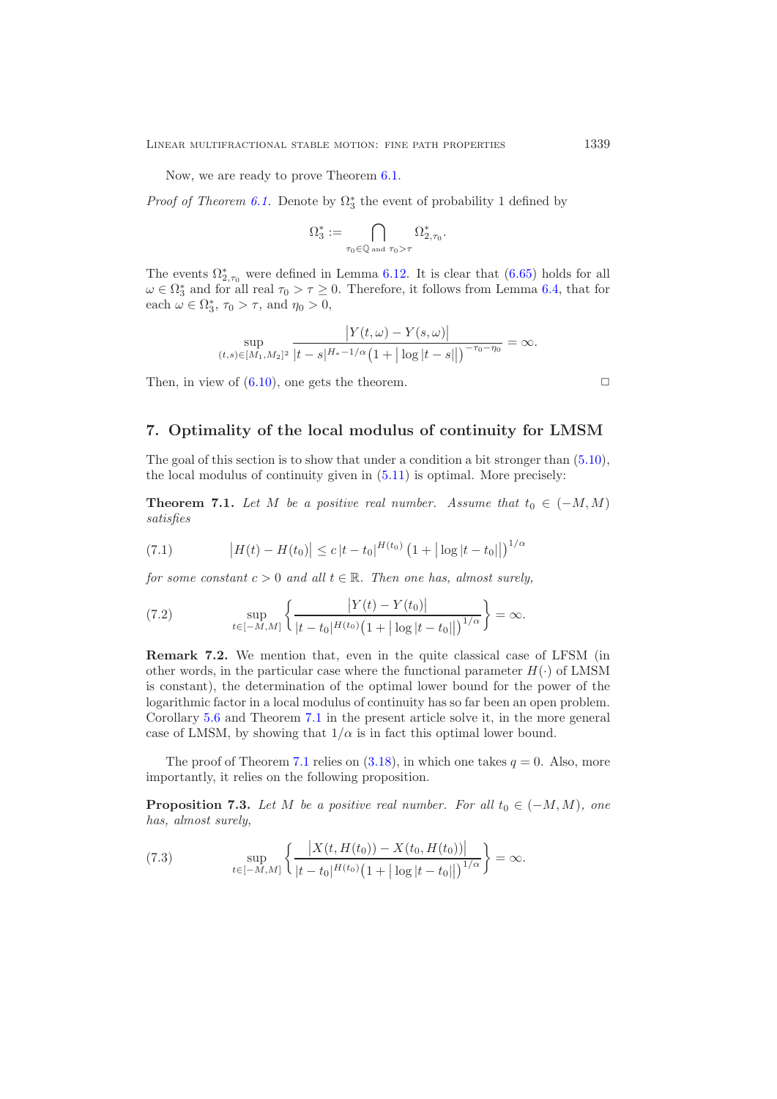Now, we are ready to prove Theorem [6.1.](#page-25-3)

*Proof of Theorem [6.1.](#page-25-3)* Denote by  $\Omega_3^*$  the event of probability 1 defined by

$$
\Omega_3^*:=\bigcap_{\tau_0\in\mathbb{Q}\text{ and }\tau_0>\tau}\Omega_{2,\tau_0}^*.
$$

The events  $\Omega^*_{2,\tau_0}$  were defined in Lemma [6.12.](#page-37-5) It is clear that  $(6.65)$  holds for all  $\omega \in \Omega^*$  and for all real  $\tau_0 > \tau > 0$ . Therefore, it follows from Lemma 6.4, that for  $\omega \in \Omega_3^*$  and for all real  $\tau_0 > \tau \ge 0$ . Therefore, it follows from Lemma [6.4,](#page-27-4) that for each  $\omega \in \Omega^*$ ,  $\tau_0 > \tau$ , and  $\eta_0 > 0$ . each  $\omega \in \Omega_3^*, \tau_0 > \tau$ , and  $\eta_0 > 0$ ,

$$
\sup_{(t,s)\in[M_1,M_2]^2} \frac{|Y(t,\omega)-Y(s,\omega)|}{|t-s|^{H_*-1/\alpha}(1+|\log|t-s||)^{-\tau_0-\eta_0}}=\infty.
$$

Then, in view of  $(6.10)$ , one gets the theorem.

### <span id="page-38-1"></span>**7. Optimality of the local modulus of continuity for LMSM**

<span id="page-38-0"></span>The goal of this section is to show that under a condition a bit stronger than [\(5.10\)](#page-25-6), the local modulus of continuity given in [\(5.11\)](#page-25-7) is optimal. More precisely:

**Theorem 7.1.** Let M be a positive real number. Assume that  $t_0 \in (-M, M)$ *satisfies*

<span id="page-38-5"></span>(7.1) 
$$
\left|H(t) - H(t_0)\right| \le c \left|t - t_0\right|^{H(t_0)} \left(1 + |\log|t - t_0| \right)^{1/\alpha}
$$

*for some constant*  $c > 0$  *and all*  $t \in \mathbb{R}$ *. Then one has, almost surely,* 

<span id="page-38-4"></span>(7.2) 
$$
\sup_{t \in [-M,M]} \left\{ \frac{|Y(t) - Y(t_0)|}{|t - t_0|^{H(t_0)} (1 + |\log|t - t_0||)^{1/\alpha}} \right\} = \infty.
$$

**Remark 7.2.** We mention that, even in the quite classical case of LFSM (in other words, in the particular case where the functional parameter  $H(\cdot)$  of LMSM is constant), the determination of the optimal lower bound for the power of the logarithmic factor in a local modulus of continuity has so far been an open problem. Corollary [5.6](#page-25-0) and Theorem [7.1](#page-38-0) in the present article solve it, in the more general case of LMSM, by showing that  $1/\alpha$  is in fact this optimal lower bound.

<span id="page-38-2"></span>The proof of Theorem [7.1](#page-38-0) relies on  $(3.18)$ , in which one takes  $q = 0$ . Also, more importantly, it relies on the following proposition.

**Proposition 7.3.** *Let* M *be a positive real number. For all*  $t_0 \in (-M, M)$ *, one has, almost surely,*

<span id="page-38-3"></span>(7.3) 
$$
\sup_{t \in [-M,M]} \left\{ \frac{|X(t, H(t_0)) - X(t_0, H(t_0))|}{|t - t_0|^{H(t_0)} (1 + |\log|t - t_0||)^{1/\alpha}} \right\} = \infty.
$$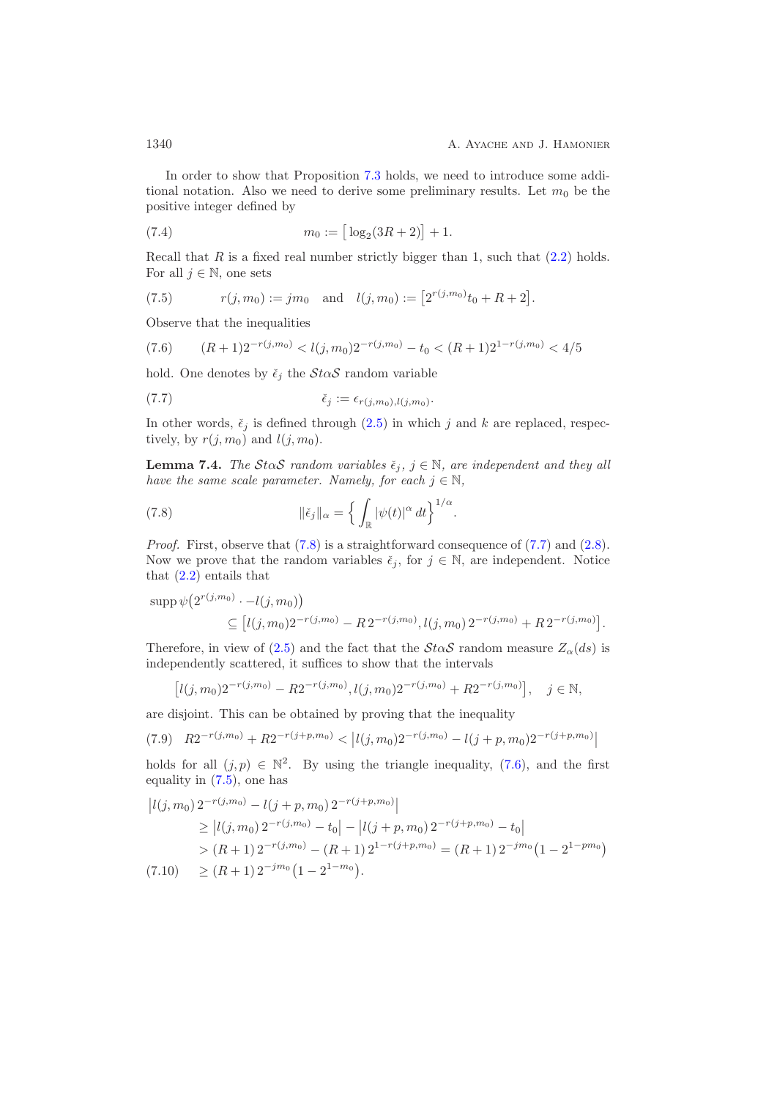In order to show that Proposition [7.3](#page-38-2) holds, we need to introduce some additional notation. Also we need to derive some preliminary results. Let  $m_0$  be the positive integer defined by

<span id="page-39-4"></span>(7.4) 
$$
m_0 := \left[\log_2(3R + 2)\right] + 1.
$$

Recall that R is a fixed real number strictly bigger than 1, such that  $(2.2)$  holds. For all  $j \in \mathbb{N}$ , one sets

<span id="page-39-3"></span>(7.5) 
$$
r(j, m_0) := jm_0
$$
 and  $l(j, m_0) := [2^{r(j, m_0)}t_0 + R + 2].$ 

Observe that the inequalities

<span id="page-39-2"></span>
$$
(7.6) \qquad (R+1)2^{-r(j,m_0)} < l(j,m_0)2^{-r(j,m_0)} - t_0 < (R+1)2^{1-r(j,m_0)} < 4/5
$$

hold. One denotes by  $\check{\epsilon}_i$  the  $\mathcal{S}t\alpha\mathcal{S}$  random variable

<span id="page-39-1"></span>
$$
\tilde{\epsilon}_j := \epsilon_{r(j,m_0),l(j,m_0)}.
$$

<span id="page-39-7"></span>In other words,  $\check{\epsilon}_j$  is defined through [\(2.5\)](#page-5-2) in which j and k are replaced, respectively, by  $r(j, m_0)$  and  $l(j, m_0)$ .

**Lemma 7.4.** *The StoS random variables*  $\check{\epsilon}_j$ ,  $j \in \mathbb{N}$ *, are independent and they all have the same scale parameter. Namely, for each*  $j \in \mathbb{N}$ ,

<span id="page-39-0"></span>(7.8) 
$$
\|\check{\epsilon}_j\|_{\alpha} = \left\{ \int_{\mathbb{R}} |\psi(t)|^{\alpha} dt \right\}^{1/\alpha}.
$$

*Proof.* First, observe that  $(7.8)$  is a straightforward consequence of  $(7.7)$  and  $(2.8)$ . Now we prove that the random variables  $\check{\epsilon}_j$ , for  $j \in \mathbb{N}$ , are independent. Notice that [\(2.2\)](#page-4-1) entails that

$$
\text{supp}\,\psi\big(2^{r(j,m_0)}-l(j,m_0)\big) \\
\subseteq [l(j,m_0)2^{-r(j,m_0)}-R\,2^{-r(j,m_0)},l(j,m_0)\,2^{-r(j,m_0)}+R\,2^{-r(j,m_0)}].
$$

Therefore, in view of [\(2.5\)](#page-5-2) and the fact that the  $\mathcal{S}t\alpha\mathcal{S}$  random measure  $Z_{\alpha}(ds)$  is independently scattered, it suffices to show that the intervals

$$
[l(j, m_0)2^{-r(j, m_0)} - R2^{-r(j, m_0)}, l(j, m_0)2^{-r(j, m_0)} + R2^{-r(j, m_0)}], \quad j \in \mathbb{N},
$$

are disjoint. This can be obtained by proving that the inequality

<span id="page-39-6"></span>
$$
(7.9) \quad R2^{-r(j,m_0)} + R2^{-r(j+p,m_0)} < |l(j,m_0)2^{-r(j,m_0)} - l(j+p,m_0)2^{-r(j+p,m_0)}|
$$

holds for all  $(j, p) \in \mathbb{N}^2$ . By using the triangle inequality, [\(7.6\)](#page-39-2), and the first equality in [\(7.5\)](#page-39-3), one has

<span id="page-39-5"></span>
$$
|l(j, m_0) 2^{-r(j, m_0)} - l(j + p, m_0) 2^{-r(j + p, m_0)}|
$$
  
\n
$$
\geq |l(j, m_0) 2^{-r(j, m_0)} - t_0| - |l(j + p, m_0) 2^{-r(j + p, m_0)} - t_0|
$$
  
\n
$$
> (R + 1) 2^{-r(j, m_0)} - (R + 1) 2^{1 - r(j + p, m_0)} = (R + 1) 2^{-j m_0} (1 - 2^{1 - p m_0})
$$
  
\n(7.10) 
$$
\geq (R + 1) 2^{-j m_0} (1 - 2^{1 - m_0}).
$$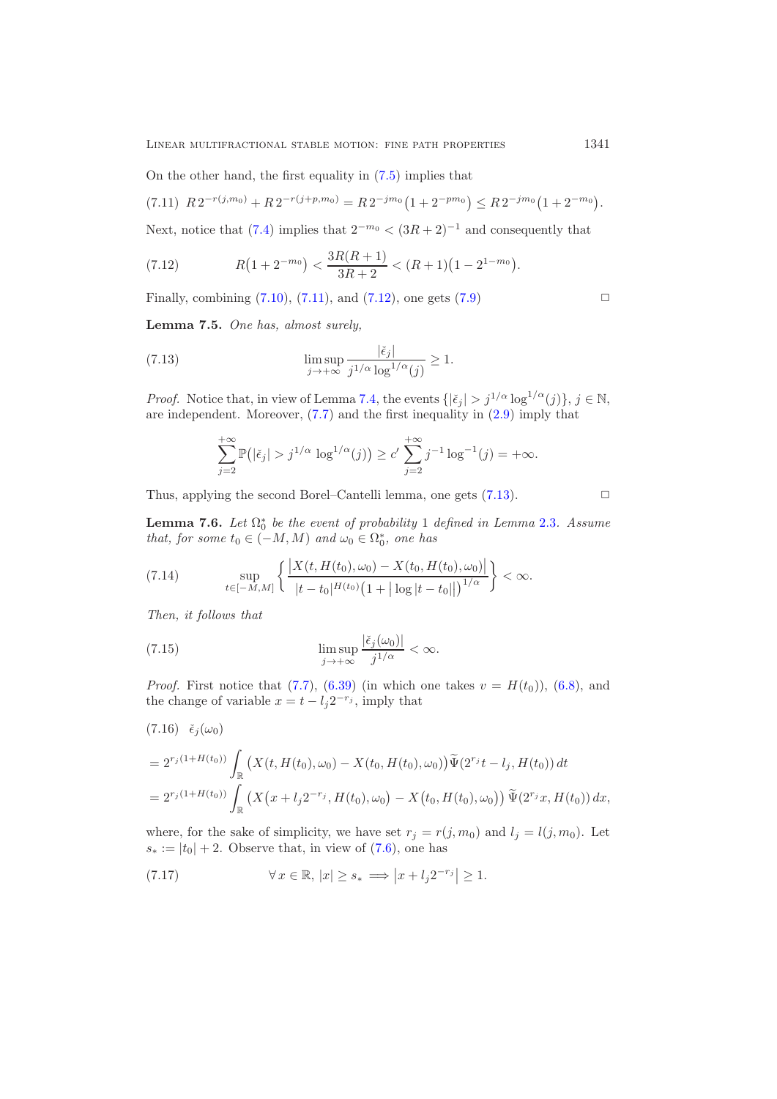On the other hand, the first equality in [\(7.5\)](#page-39-3) implies that

<span id="page-40-0"></span>
$$
(7.11) R2^{-r(j,m_0)} + R2^{-r(j+p,m_0)} = R2^{-jm_0} (1 + 2^{-pm_0}) \leq R2^{-jm_0} (1 + 2^{-m_0}).
$$

Next, notice that  $(7.4)$  implies that  $2^{-m_0} < (3R + 2)^{-1}$  and consequently that

<span id="page-40-1"></span>(7.12) 
$$
R(1+2^{-m_0}) < \frac{3R(R+1)}{3R+2} < (R+1)(1-2^{1-m_0}).
$$

<span id="page-40-7"></span>Finally, combining  $(7.10)$ ,  $(7.11)$ , and  $(7.12)$ , one gets  $(7.9)$ 

**Lemma 7.5.** *One has, almost surely,*

(7.13) 
$$
\limsup_{j \to +\infty} \frac{|\check{\epsilon}_j|}{j^{1/\alpha} \log^{1/\alpha}(j)} \ge 1.
$$

*Proof.* Notice that, in view of Lemma [7.4,](#page-39-7) the events  $\{|\xi_j| > j^{1/\alpha} \log^{1/\alpha}(j)\}, j \in \mathbb{N},$ are independent. Moreover,  $(7.7)$  and the first inequality in  $(2.9)$  imply that

<span id="page-40-2"></span>
$$
\sum_{j=2}^{+\infty} \mathbb{P}(|\check{\epsilon}_j| > j^{1/\alpha} \log^{1/\alpha}(j)) \ge c' \sum_{j=2}^{+\infty} j^{-1} \log^{-1}(j) = +\infty.
$$

<span id="page-40-8"></span>Thus, applying the second Borel–Cantelli lemma, one gets  $(7.13)$ .

**Lemma 7.6.** *Let*  $\Omega_0^*$  *be the event of probability* 1 *defined in Lemma* [2.3](#page-6-0)*. Assume* that for some to  $\in$  ( $-M$  M) and  $\omega_0 \in \Omega_0^*$  are has *that, for some*  $t_0 \in (-M, M)$  *and*  $\omega_0 \in \Omega_0^*$ *, one has* 

<span id="page-40-4"></span>(7.14) 
$$
\sup_{t \in [-M,M]} \left\{ \frac{\left| X(t, H(t_0), \omega_0) - X(t_0, H(t_0), \omega_0) \right|}{|t - t_0|^{H(t_0)} \left( 1 + |\log |t - t_0| \right| \right)^{1/\alpha}} \right\} < \infty.
$$

*Then, it follows that*

<span id="page-40-6"></span>(7.15) 
$$
\limsup_{j \to +\infty} \frac{|\breve{\epsilon}_j(\omega_0)|}{j^{1/\alpha}} < \infty.
$$

*Proof.* First notice that [\(7.7\)](#page-39-1), [\(6.39\)](#page-32-3) (in which one takes  $v = H(t_0)$ ), [\(6.8\)](#page-26-2), and the change of variable  $x = t - l_j 2^{-r_j}$ , imply that

<span id="page-40-3"></span>
$$
(7.16) \quad \check{\epsilon}_{j}(\omega_{0})
$$
\n
$$
= 2^{r_{j}(1+H(t_{0}))} \int_{\mathbb{R}} \left( X(t, H(t_{0}), \omega_{0}) - X(t_{0}, H(t_{0}), \omega_{0}) \right) \tilde{\Psi}(2^{r_{j}}t - l_{j}, H(t_{0})) dt
$$
\n
$$
= 2^{r_{j}(1+H(t_{0}))} \int_{\mathbb{R}} \left( X(x + l_{j}2^{-r_{j}}, H(t_{0}), \omega_{0}) - X(t_{0}, H(t_{0}), \omega_{0}) \right) \tilde{\Psi}(2^{r_{j}}x, H(t_{0})) dx,
$$

where, for the sake of simplicity, we have set  $r_j = r(j, m_0)$  and  $l_j = l(j, m_0)$ . Let  $s_* := |t_0| + 2$ . Observe that, in view of [\(7.6\)](#page-39-2), one has

<span id="page-40-5"></span>(7.17) 
$$
\forall x \in \mathbb{R}, |x| \ge s_* \implies |x + l_j 2^{-r_j}| \ge 1.
$$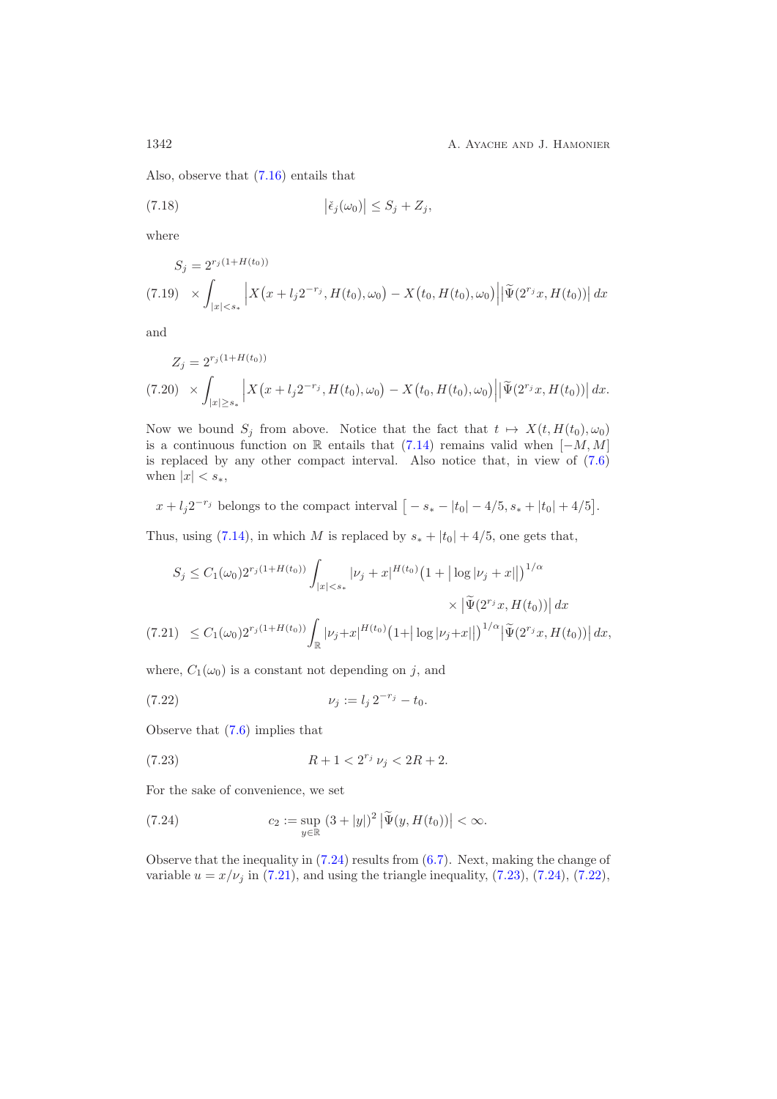Also, observe that [\(7.16\)](#page-40-3) entails that

<span id="page-41-5"></span>(7.18) 
$$
\left|\check{\epsilon}_{j}(\omega_{0})\right| \leq S_{j} + Z_{j},
$$

where

$$
S_j = 2^{r_j(1+H(t_0))}
$$
  
(7.19) 
$$
\times \int_{|x| < s_*} \left| X(x + l_j 2^{-r_j}, H(t_0), \omega_0) - X(t_0, H(t_0), \omega_0) \right| \left| \widetilde{\Psi}(2^{r_j}x, H(t_0)) \right| dx
$$

and

<span id="page-41-4"></span>
$$
Z_j = 2^{r_j(1+H(t_0))}
$$
  
(7.20) 
$$
\times \int_{|x| \ge s_*} \left| X(x + l_j 2^{-r_j}, H(t_0), \omega_0) - X(t_0, H(t_0), \omega_0) \right| \left| \widetilde{\Psi}(2^{r_j} x, H(t_0)) \right| dx.
$$

Now we bound  $S_j$  from above. Notice that the fact that  $t \mapsto X(t, H(t_0), \omega_0)$ is a continuous function on R entails that  $(7.14)$  remains valid when  $[-M, M]$ is replaced by any other compact interval. Also notice that, in view of [\(7.6\)](#page-39-2) when  $|x| < s<sub>*</sub>$ ,

$$
x + l_j 2^{-r_j}
$$
 belongs to the compact interval  $[-s_* - |t_0| - 4/5, s_* + |t_0| + 4/5]$ .

Thus, using [\(7.14\)](#page-40-4), in which M is replaced by  $s_* + |t_0| + 4/5$ , one gets that,

$$
S_j \le C_1(\omega_0) 2^{r_j(1+H(t_0))} \int_{|x|  
(7.21) 
$$
\le C_1(\omega_0) 2^{r_j(1+H(t_0))} \int_{\mathbb{R}} |\nu_j + x|^{H(t_0)} (1+ |\log |\nu_j + x| |)^{1/\alpha} |\tilde{\Psi}(2^{r_j}x, H(t_0))| dx,
$$
$$

<span id="page-41-1"></span>where,  $C_1(\omega_0)$  is a constant not depending on j, and

<span id="page-41-3"></span>(7.22) 
$$
\nu_j := l_j 2^{-r_j} - t_0.
$$

Observe that [\(7.6\)](#page-39-2) implies that

<span id="page-41-2"></span>(7.23) 
$$
R + 1 < 2^{r_j} \nu_j < 2R + 2.
$$

For the sake of convenience, we set

<span id="page-41-0"></span>(7.24) 
$$
c_2 := \sup_{y \in \mathbb{R}} (3 + |y|)^2 |\tilde{\Psi}(y, H(t_0))| < \infty.
$$

Observe that the inequality in [\(7.24\)](#page-41-0) results from [\(6.7\)](#page-26-1). Next, making the change of variable  $u = x/\nu_j$  in [\(7.21\)](#page-41-1), and using the triangle inequality, [\(7.23\)](#page-41-2), [\(7.24\)](#page-41-0), [\(7.22\)](#page-41-3),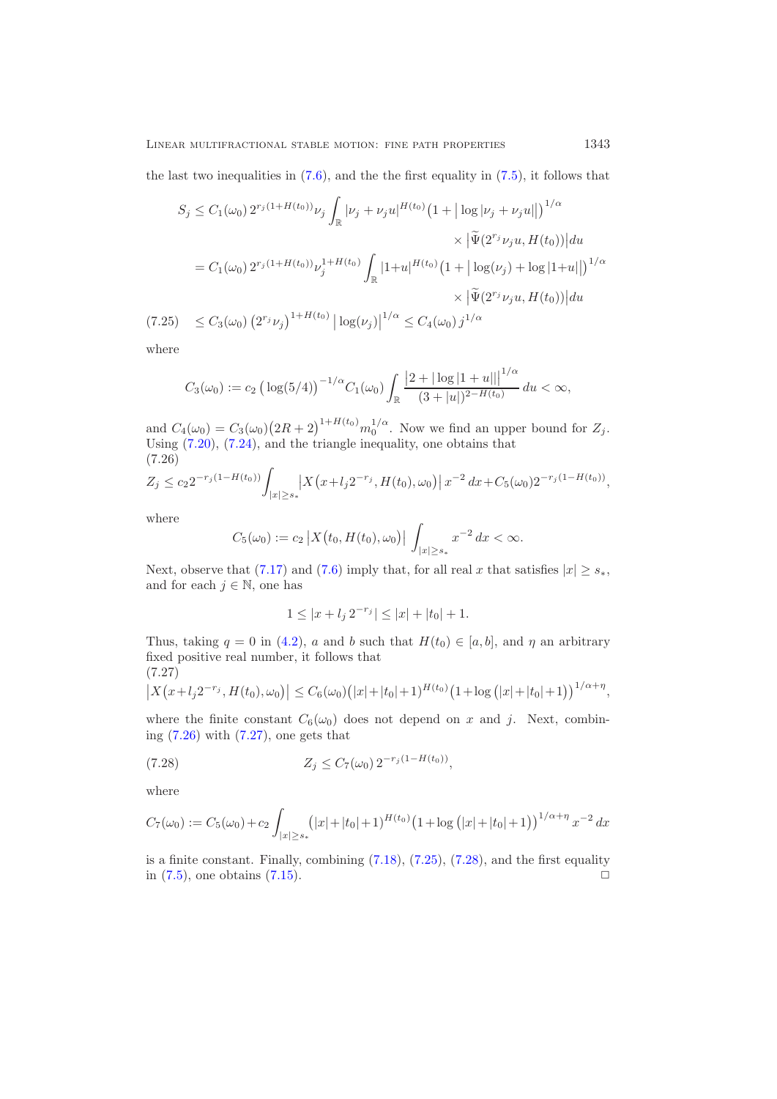the last two inequalities in  $(7.6)$ , and the the first equality in  $(7.5)$ , it follows that

$$
S_j \le C_1(\omega_0) 2^{r_j(1+H(t_0))} \nu_j \int_{\mathbb{R}} |\nu_j + \nu_j u|^{H(t_0)} (1+ |\log |\nu_j + \nu_j u| |)^{1/\alpha}
$$
  

$$
\times |\tilde{\Psi}(2^{r_j} \nu_j u, H(t_0))| du
$$
  

$$
= C_1(\omega_0) 2^{r_j(1+H(t_0))} \nu_j^{1+H(t_0)} \int_{\mathbb{R}} |1+u|^{H(t_0)} (1+ |\log(\nu_j) + \log |1+u| |)^{1/\alpha}
$$
  

$$
\times |\tilde{\Psi}(2^{r_j} \nu_j u, H(t_0))| du
$$
  
(7.25) 
$$
\le C_3(\omega_0) (2^{r_j} \nu_j)^{1+H(t_0)} |\log(\nu_j)|^{1/\alpha} \le C_4(\omega_0) j^{1/\alpha}
$$

<span id="page-42-2"></span>where

$$
C_3(\omega_0) := c_2 \left( \log(5/4) \right)^{-1/\alpha} C_1(\omega_0) \int_{\mathbb{R}} \frac{\left| 2 + |\log|1 + u|| \right|^{1/\alpha}}{(3 + |u|)^{2 - H(t_0)}} du < \infty,
$$

and  $C_4(\omega_0) = C_3(\omega_0) (2R+2)^{1+H(t_0)} m_0^{1/\alpha}$ . Now we find an upper bound for  $Z_j$ .<br>Using (7.20) (7.24) and the triangle inequality one obtains that Using [\(7.20\)](#page-41-4), [\(7.24\)](#page-41-0), and the triangle inequality, one obtains that (7.26)

<span id="page-42-0"></span>
$$
Z_j \le c_2 2^{-r_j(1-H(t_0))} \int_{|x| \ge s_*} \left| X\left(x + l_j 2^{-r_j}, H(t_0), \omega_0\right) \right| x^{-2} dx + C_5(\omega_0) 2^{-r_j(1-H(t_0))},
$$

where

$$
C_5(\omega_0) := c_2 |X(t_0, H(t_0), \omega_0)| \int_{|x| \geq s_*} x^{-2} dx < \infty.
$$

Next, observe that [\(7.17\)](#page-40-5) and [\(7.6\)](#page-39-2) imply that, for all real x that satisfies  $|x| \geq s_*$ , and for each  $j \in \mathbb{N}$ , one has

<span id="page-42-3"></span>
$$
1 \le |x + l_j 2^{-r_j}| \le |x| + |t_0| + 1.
$$

Thus, taking  $q = 0$  in [\(4.2\)](#page-17-4), a and b such that  $H(t_0) \in [a, b]$ , and  $\eta$  an arbitrary fixed positive real number, it follows that

$$
(7.27)
$$

<span id="page-42-1"></span>
$$
\left| X(x+l_j 2^{-r_j}, H(t_0), \omega_0) \right| \leq C_6(\omega_0) \big( |x| + |t_0| + 1 \big)^{H(t_0)} \big( 1 + \log \big( |x| + |t_0| + 1 \big) \big)^{1/\alpha + \eta},
$$

where the finite constant  $C_6(\omega_0)$  does not depend on x and j. Next, combining  $(7.26)$  with  $(7.27)$ , one gets that

(7.28) 
$$
Z_j \leq C_7(\omega_0) 2^{-r_j(1 - H(t_0))},
$$

where

$$
C_7(\omega_0) := C_5(\omega_0) + c_2 \int_{|x| \ge s_*} (|x| + |t_0| + 1)^{H(t_0)} (1 + \log (|x| + |t_0| + 1))^{1/\alpha + \eta} x^{-2} dx
$$

is a finite constant. Finally, combining  $(7.18)$ ,  $(7.25)$ ,  $(7.28)$ , and the first equality in  $(7.5)$ , one obtains  $(7.15)$ .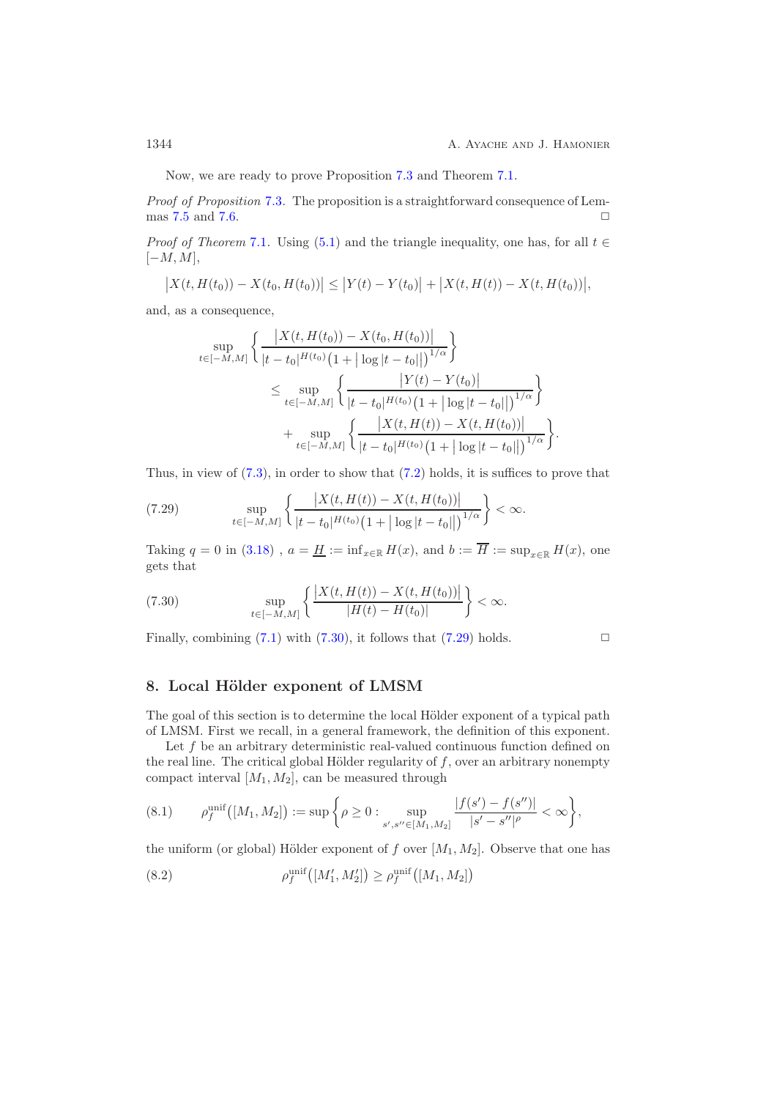Now, we are ready to prove Proposition [7.3](#page-38-2) and Theorem [7.1.](#page-38-0)

*Proof of Proposition* [7.3](#page-38-2)*.* The proposition is a straightforward consequence of Lem-mas [7.5](#page-40-7) and [7.6.](#page-40-8)  $\Box$ 

*Proof of Theorem* [7.1](#page-38-0). Using [\(5.1\)](#page-23-1) and the triangle inequality, one has, for all  $t \in$  $[-M, M],$ 

$$
\big|X(t,H(t_0))-X(t_0,H(t_0))\big|\leq \big|Y(t)-Y(t_0)\big|+\big|X(t,H(t))-X(t,H(t_0))\big|,
$$

and, as a consequence,

$$
\sup_{t \in [-M,M]} \left\{ \frac{|X(t, H(t_0)) - X(t_0, H(t_0))|}{|t - t_0|^{H(t_0)} (1 + |\log |t - t_0|)|^{1/\alpha}} \right\}
$$
\n
$$
\leq \sup_{t \in [-M,M]} \left\{ \frac{|Y(t) - Y(t_0)|}{|t - t_0|^{H(t_0)} (1 + |\log |t - t_0|)|^{1/\alpha}} \right\}
$$
\n
$$
+ \sup_{t \in [-M,M]} \left\{ \frac{|X(t, H(t)) - X(t, H(t_0))|}{|t - t_0|^{H(t_0)} (1 + |\log |t - t_0|)|^{1/\alpha}} \right\}.
$$

Thus, in view of  $(7.3)$ , in order to show that  $(7.2)$  holds, it is suffices to prove that

<span id="page-43-3"></span>(7.29) 
$$
\sup_{t \in [-M,M]} \left\{ \frac{|X(t, H(t)) - X(t, H(t_0))|}{|t - t_0|^{H(t_0)} (1 + |\log|t - t_0||)^{1/\alpha}} \right\} < \infty.
$$

Taking q = 0 in [\(3.18\)](#page-16-4),  $a = \underline{H} := \inf_{x \in \mathbb{R}} H(x)$ , and  $b := \overline{H} := \sup_{x \in \mathbb{R}} H(x)$ , one gets that

<span id="page-43-2"></span>(7.30) 
$$
\sup_{t \in [-M,M]} \left\{ \frac{|X(t, H(t)) - X(t, H(t_0))|}{|H(t) - H(t_0)|} \right\} < \infty.
$$

Finally, combining  $(7.1)$  with  $(7.30)$ , it follows that  $(7.29)$  holds.

# <span id="page-43-1"></span>8. Local Hölder exponent of LMSM

The goal of this section is to determine the local Hölder exponent of a typical path of LMSM. First we recall, in a general framework, the definition of this exponent.

Let  $f$  be an arbitrary deterministic real-valued continuous function defined on the real line. The critical global Hölder regularity of  $f$ , over an arbitrary nonempty compact interval  $[M_1, M_2]$ , can be measured through

<span id="page-43-0"></span>
$$
(8.1) \qquad \rho_f^{\text{unif}}([M_1, M_2]) := \sup \bigg\{ \rho \geq 0 : \sup_{s', s'' \in [M_1, M_2]} \frac{|f(s') - f(s'')|}{|s' - s''|^\rho} < \infty \bigg\},
$$

the uniform (or global) Hölder exponent of f over  $[M_1, M_2]$ . Observe that one has

<span id="page-43-4"></span>(8.2) 
$$
\rho_f^{\text{unif}}([M'_1, M'_2]) \ge \rho_f^{\text{unif}}([M_1, M_2])
$$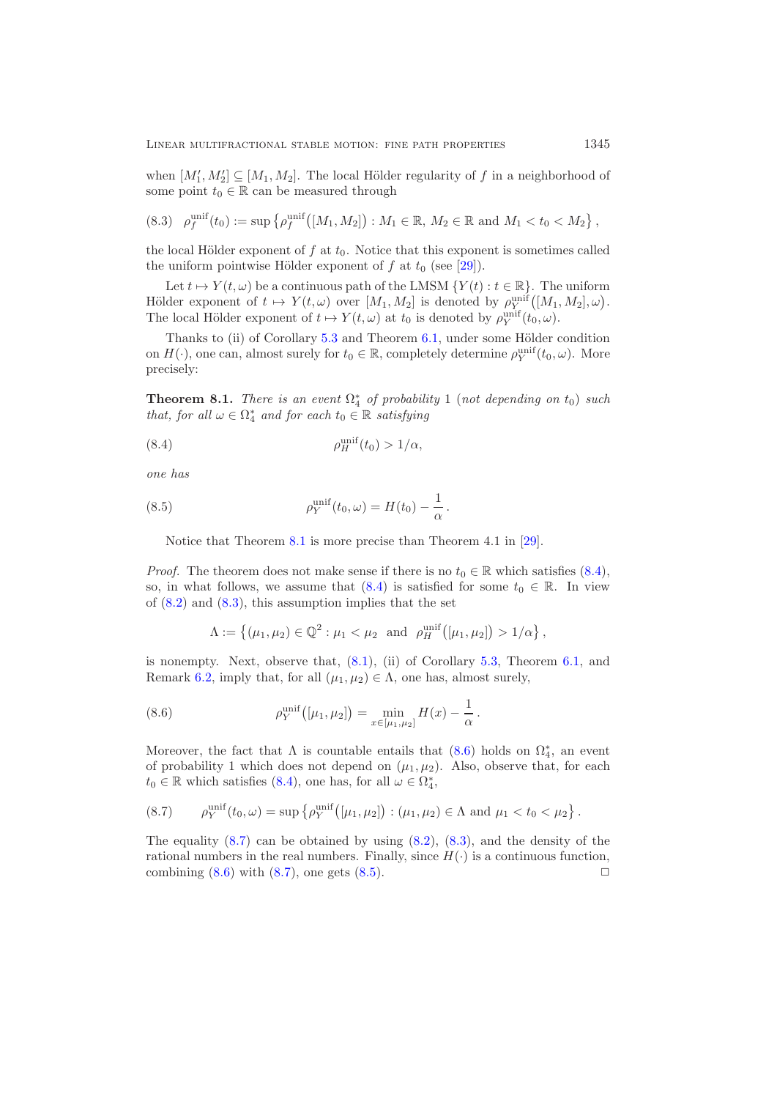when  $[M'_1, M'_2] \subseteq [M_1, M_2]$ . The local Hölder regularity of f in a neighborhood of some point  $t_0 \in \mathbb{R}$  can be measured through some point  $t_0 \in \mathbb{R}$  can be measured through

<span id="page-44-0"></span>
$$
(8.3) \quad \rho_f^{\text{unif}}(t_0) := \sup \left\{ \rho_f^{\text{unif}} \big( [M_1, M_2] \big) : M_1 \in \mathbb{R}, M_2 \in \mathbb{R} \text{ and } M_1 < t_0 < M_2 \right\},
$$

the local Hölder exponent of  $f$  at  $t_0$ . Notice that this exponent is sometimes called the uniform pointwise Hölder exponent of f at  $t_0$  (see [\[29\]](#page-53-2)).

Let  $t \mapsto Y(t,\omega)$  be a continuous path of the LMSM  $\{Y(t): t \in \mathbb{R}\}$ . The uniform Hölder exponent of  $t \mapsto Y(t,\omega)$  over  $[M_1, M_2]$  is denoted by  $\rho_Y^{\text{unif}}([M_1, M_2], \omega)$ .<br>The local Hölder exponent of  $t \mapsto Y(t,\omega)$  of  $t$ , is denoted by  $\rho_Y^{\text{unif}}(t,\omega)$ . The local Hölder exponent of  $t \mapsto Y(t,\omega)$  at  $t_0$  is denoted by  $\rho_Y^{\text{unit}}(t_0,\omega)$ .

Thanks to (ii) of Corollary  $5.3$  and Theorem  $6.1$ , under some Hölder condition on  $H(\cdot)$ , one can, almost surely for  $t_0 \in \mathbb{R}$ , completely determine  $\rho_Y^{\text{unit}}(t_0, \omega)$ . More precisely:

<span id="page-44-1"></span>**Theorem 8.1.** *There is an event*  $\Omega^*_{4}$  *of probability* 1 (*not depending on*  $t_0$ ) *such* that for all  $\omega \in \Omega^*$  and for each  $t_0 \in \mathbb{R}$  satisfying *that, for all*  $\omega \in \Omega_4^*$  *and for each*  $t_0 \in \mathbb{R}$  *satisfying* 

<span id="page-44-2"></span>
$$
\rho_H^{\text{unif}}(t_0) > 1/\alpha,
$$

*one has*

(8.5) 
$$
\rho_Y^{\text{unif}}(t_0, \omega) = H(t_0) - \frac{1}{\alpha}.
$$

<span id="page-44-5"></span>Notice that Theorem [8.1](#page-44-1) is more precise than Theorem 4.1 in [\[29\]](#page-53-2).

*Proof.* The theorem does not make sense if there is no  $t_0 \in \mathbb{R}$  which satisfies [\(8.4\)](#page-44-2), so, in what follows, we assume that  $(8.4)$  is satisfied for some  $t_0 \in \mathbb{R}$ . In view of  $(8.2)$  and  $(8.3)$ , this assumption implies that the set

<span id="page-44-3"></span>
$$
\Lambda := \{ (\mu_1, \mu_2) \in \mathbb{Q}^2 : \mu_1 < \mu_2 \text{ and } \rho_H^{\text{unif}}([\mu_1, \mu_2]) > 1/\alpha \},
$$

is nonempty. Next, observe that, [\(8.1\)](#page-43-0), (ii) of Corollary [5.3,](#page-23-5) Theorem [6.1,](#page-25-3) and Remark [6.2,](#page-25-8) imply that, for all  $(\mu_1, \mu_2) \in \Lambda$ , one has, almost surely,

(8.6) 
$$
\rho_Y^{\text{unif}}\big([\mu_1, \mu_2]\big) = \min_{x \in [\mu_1, \mu_2]} H(x) - \frac{1}{\alpha}.
$$

Moreover, the fact that  $\Lambda$  is countable entails that  $(8.6)$  holds on  $\Omega_4^*$ , an event of probability 1 which does not depend on  $(\mu, \mu_0)$ . Also observe that for each of probability 1 which does not depend on  $(\mu_1, \mu_2)$ . Also, observe that, for each  $t_0 \in \mathbb{R}$  which satisfies [\(8.4\)](#page-44-2), one has, for all  $\omega \in \Omega_4^*$ ,

<span id="page-44-4"></span>(8.7) 
$$
\rho_Y^{\text{unif}}(t_0,\omega) = \sup \left\{ \rho_Y^{\text{unif}} \big( [\mu_1, \mu_2] \big) : (\mu_1, \mu_2) \in \Lambda \text{ and } \mu_1 < t_0 < \mu_2 \right\}.
$$

The equality  $(8.7)$  can be obtained by using  $(8.2)$ ,  $(8.3)$ , and the density of the rational numbers in the real numbers. Finally, since  $H(\cdot)$  is a continuous function, combining  $(8.6)$  with  $(8.7)$ , one gets  $(8.5)$ .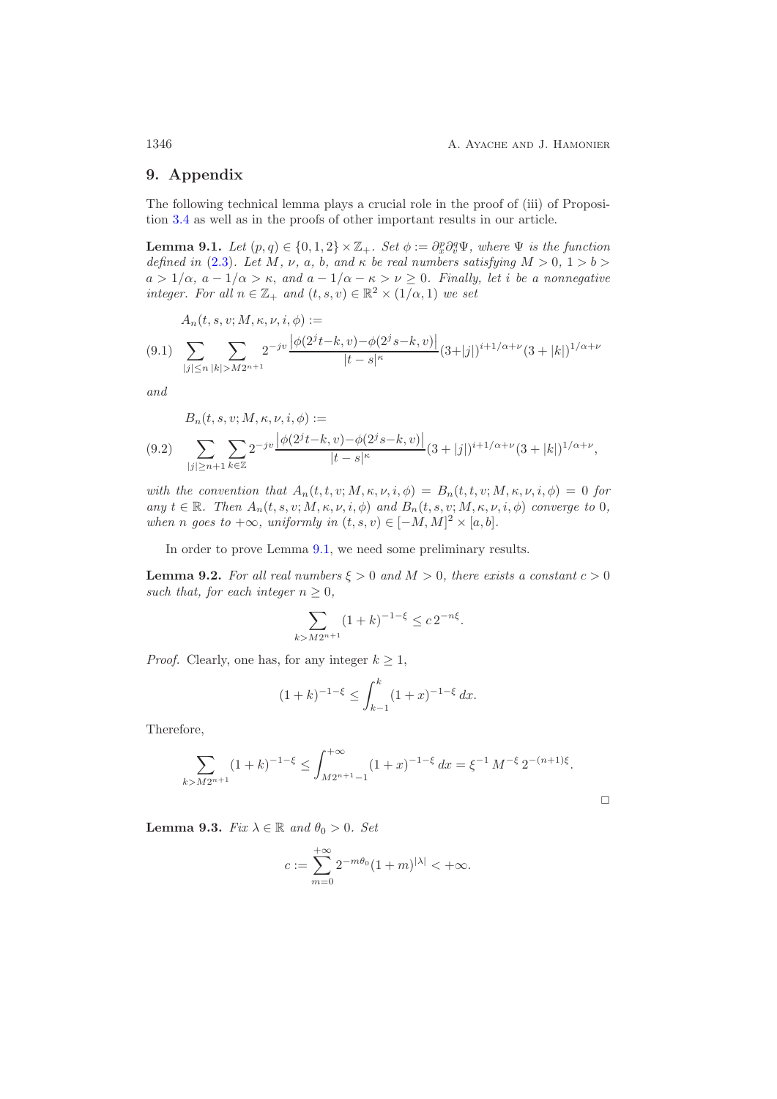$\Box$ 

## <span id="page-45-0"></span>**9. Appendix**

<span id="page-45-3"></span>The following technical lemma plays a crucial role in the proof of (iii) of Proposition [3.4](#page-12-0) as well as in the proofs of other important results in our article.

**Lemma 9.1.** *Let*  $(p,q) \in \{0,1,2\} \times \mathbb{Z}_+$ *. Set*  $\phi := \partial_x^p \partial_y^q \Psi$ *, where*  $\Psi$  *is the function defined in* (2.3) *Let*  $M \times a$  *b and*  $\kappa$  *be real numbers satisfying*  $M > 0, 1 > b > 0$ *defined in* [\(2.3\)](#page-5-1). Let M, v, a, b, and  $\kappa$  be real numbers satisfying  $M > 0, 1 > b>$  $a > 1/\alpha$ ,  $a - 1/\alpha > \kappa$ , and  $a - 1/\alpha - \kappa > \nu \geq 0$ . Finally, let *i* be a nonnegative *integer. For all*  $n \in \mathbb{Z}_+$  *and*  $(t, s, v) \in \mathbb{R}^2 \times (1/\alpha, 1)$  *we set* 

<span id="page-45-1"></span>
$$
A_n(t, s, v; M, \kappa, \nu, i, \phi) :=
$$
  
(9.1) 
$$
\sum_{|j| \le n} \sum_{|k| > M2^{n+1}} 2^{-jv} \frac{|\phi(2^{j}t - k, v) - \phi(2^{j}s - k, v)|}{|t - s|^{\kappa}} (3 + |j|)^{i + 1/\alpha + \nu} (3 + |k|)^{1/\alpha + \nu}
$$

*and*

<span id="page-45-2"></span>
$$
B_n(t, s, v; M, \kappa, \nu, i, \phi) :=
$$
  
(9.2) 
$$
\sum_{|j| \ge n+1} \sum_{k \in \mathbb{Z}} 2^{-jv} \frac{|\phi(2^{j}t - k, v) - \phi(2^{j}s - k, v)|}{|t - s|^{\kappa}} (3 + |j|)^{i + 1/\alpha + \nu} (3 + |k|)^{1/\alpha + \nu},
$$

*with the convention that*  $A_n(t, t, v; M, \kappa, \nu, i, \phi) = B_n(t, t, v; M, \kappa, \nu, i, \phi) = 0$  *for*  $any \ t \in \mathbb{R}$ *. Then*  $A_n(t, s, v; M, \kappa, \nu, i, \phi)$  and  $B_n(t, s, v; M, \kappa, \nu, i, \phi)$  converge to 0, *when n goes* to  $+\infty$ *, uniformly in*  $(t, s, v) \in [-M, M]^2 \times [a, b]$ *.* 

<span id="page-45-6"></span>In order to prove Lemma [9.1,](#page-45-3) we need some preliminary results.

**Lemma 9.2.** *For all real numbers*  $\xi > 0$  *and*  $M > 0$ *, there exists a constant*  $c > 0$ *such that, for each integer*  $n \geq 0$ *,* 

<span id="page-45-5"></span>
$$
\sum_{k > M 2^{n+1}} (1+k)^{-1-\xi} \le c \, 2^{-n\xi}.
$$

*Proof.* Clearly, one has, for any integer  $k \geq 1$ ,

$$
(1+k)^{-1-\xi} \le \int_{k-1}^{k} (1+x)^{-1-\xi} dx.
$$

Therefore,

$$
\sum_{k>M2^{n+1}} (1+k)^{-1-\xi} \le \int_{M2^{n+1}-1}^{+\infty} (1+x)^{-1-\xi} \, dx = \xi^{-1} \, M^{-\xi} \, 2^{-(n+1)\xi}.
$$

<span id="page-45-4"></span>**Lemma 9.3.** *Fix*  $\lambda \in \mathbb{R}$  *and*  $\theta_0 > 0$ *. Set* 

$$
c := \sum_{m=0}^{+\infty} 2^{-m\theta_0} (1+m)^{|\lambda|} < +\infty.
$$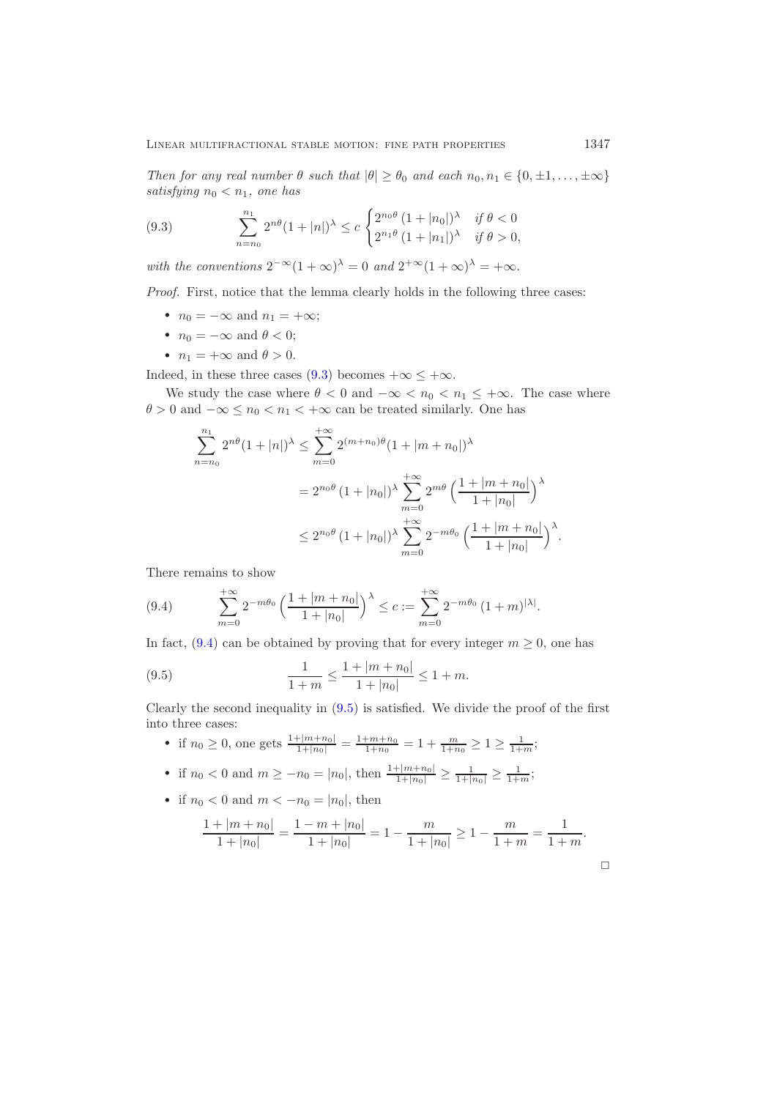*Then for any real number*  $\theta$  *such that*  $|\theta| \geq \theta_0$  *and each*  $n_0, n_1 \in \{0, \pm 1, \ldots, \pm \infty\}$ *satisfying*  $n_0 < n_1$ *, one has* 

(9.3) 
$$
\sum_{n=n_0}^{n_1} 2^{n\theta} (1+|n|)^{\lambda} \le c \begin{cases} 2^{n_0 \theta} (1+|n_0|)^{\lambda} & \text{if } \theta < 0 \\ 2^{n_1 \theta} (1+|n_1|)^{\lambda} & \text{if } \theta > 0, \end{cases}
$$

*with the conventions*  $2^{-\infty}(1+\infty)^{\lambda} = 0$  *and*  $2^{+\infty}(1+\infty)^{\lambda} = +\infty$ .

*Proof.* First, notice that the lemma clearly holds in the following three cases:

- $n_0 = -\infty$  and  $n_1 = +\infty$ ;
- $n_0 = -\infty$  and  $\theta < 0$ ;
- $n_1 = +\infty$  and  $\theta > 0$ .

Indeed, in these three cases [\(9.3\)](#page-45-5) becomes  $+\infty \leq +\infty$ .

We study the case where  $\theta < 0$  and  $-\infty < n_0 < n_1 \leq +\infty$ . The case where  $\theta > 0$  and  $-\infty \leq n_0 < n_1 < +\infty$  can be treated similarly. One has

$$
\sum_{n=n_0}^{n_1} 2^{n\theta} (1+|n|)^{\lambda} \le \sum_{m=0}^{+\infty} 2^{(m+n_0)\theta} (1+|m+n_0|)^{\lambda}
$$
  
=  $2^{n_0\theta} (1+|n_0|)^{\lambda} \sum_{m=0}^{+\infty} 2^{m\theta} \left(\frac{1+|m+n_0|}{1+|n_0|}\right)^{\lambda}$   
 $\le 2^{n_0\theta} (1+|n_0|)^{\lambda} \sum_{m=0}^{+\infty} 2^{-m\theta_0} \left(\frac{1+|m+n_0|}{1+|n_0|}\right)^{\lambda}.$ 

There remains to show

<span id="page-46-0"></span>(9.4) 
$$
\sum_{m=0}^{+\infty} 2^{-m\theta_0} \left( \frac{1+|m+n_0|}{1+|n_0|} \right)^{\lambda} \leq c := \sum_{m=0}^{+\infty} 2^{-m\theta_0} \left( 1+m \right)^{|\lambda|}.
$$

In fact, [\(9.4\)](#page-46-0) can be obtained by proving that for every integer  $m \geq 0$ , one has

(9.5) 
$$
\frac{1}{1+m} \le \frac{1+|m+n_0|}{1+|n_0|} \le 1+m.
$$

Clearly the second inequality in [\(9.5\)](#page-46-1) is satisfied. We divide the proof of the first into three cases:

- <span id="page-46-1"></span>• if  $n_0 \ge 0$ , one gets  $\frac{1+|m+n_0|}{1+|n_0|} = \frac{1+m+n_0}{1+n_0} = 1 + \frac{m}{1+n_0} \ge 1 \ge \frac{1}{1+m}$ ;
- if  $n_0 < 0$  and  $m \ge -n_0 = |n_0|$ , then  $\frac{1+|m+n_0|}{1+|n_0|} \ge \frac{1}{1+|n_0|} \ge \frac{1}{1+m}$ ;

• if 
$$
n_0 < 0
$$
 and  $m < -n_0 = |n_0|$ , then

$$
\frac{1+|m+n_0|}{1+|n_0|} = \frac{1-m+|n_0|}{1+|n_0|} = 1 - \frac{m}{1+|n_0|} \ge 1 - \frac{m}{1+m} = \frac{1}{1+m}.
$$

 $\Box$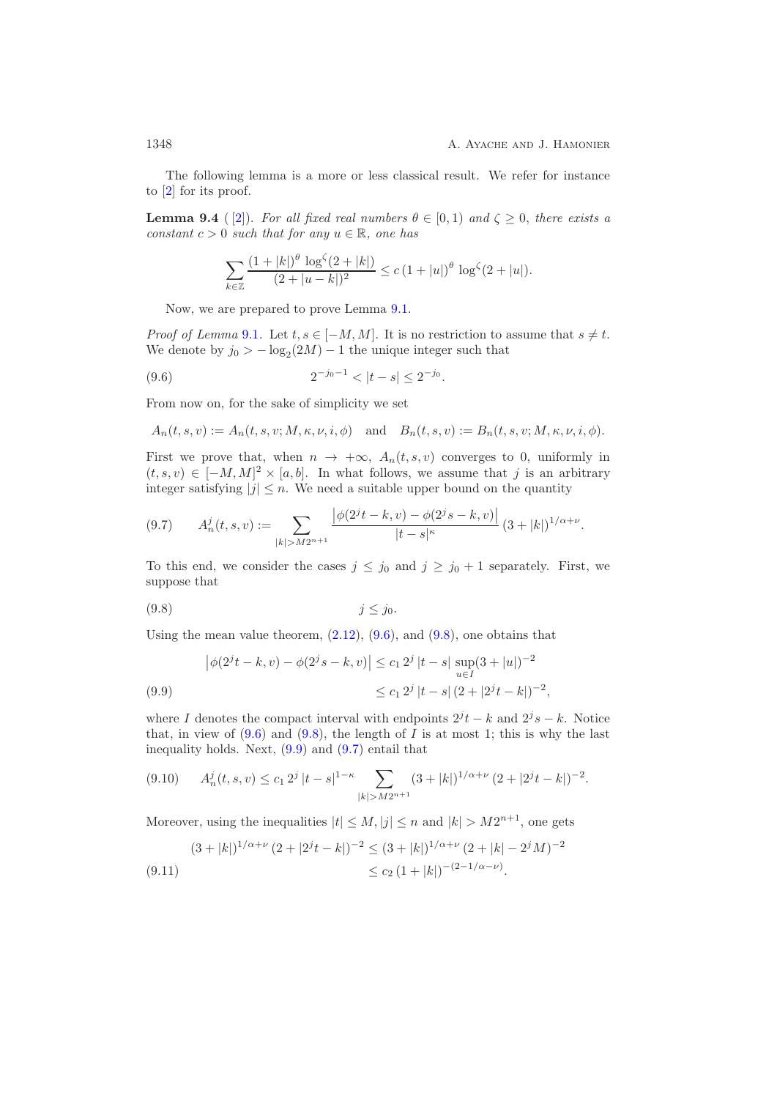<span id="page-47-0"></span>The following lemma is a more or less classical result. We refer for instance to [\[2\]](#page-51-0) for its proof.

**Lemma 9.4** ([\[2\]](#page-51-0)). *For all fixed real numbers*  $\theta \in [0,1)$  *and*  $\zeta \geq 0$ , *there exists a constant*  $c > 0$  *such that for any*  $u \in \mathbb{R}$ *, one has* 

<span id="page-47-1"></span>
$$
\sum_{k\in\mathbb{Z}}\frac{(1+|k|)^{\theta}\log^{\zeta}(2+|k|)}{(2+|u-k|)^2}\leq c\left(1+|u|\right)^{\theta}\log^{\zeta}(2+|u|).
$$

Now, we are prepared to prove Lemma [9.1.](#page-45-3)

*Proof of Lemma* [9.1](#page-45-3). Let  $t, s \in [-M, M]$ . It is no restriction to assume that  $s \neq t$ . We denote by  $j_0 > -\log_2(2M) - 1$  the unique integer such that

(9.6) 
$$
2^{-j_0-1} < |t-s| \le 2^{-j_0}.
$$

From now on, for the sake of simplicity we set

$$
A_n(t, s, v) := A_n(t, s, v; M, \kappa, \nu, i, \phi) \quad \text{and} \quad B_n(t, s, v) := B_n(t, s, v; M, \kappa, \nu, i, \phi).
$$

First we prove that, when  $n \to +\infty$ ,  $A_n(t, s, v)$  converges to 0, uniformly in  $(t, s, v) \in [-M, M]^2 \times [a, b]$ . In what follows, we assume that j is an arbitrary integer satisfying  $|j| \leq n$ . We need a suitable upper bound on the quantity

<span id="page-47-4"></span>
$$
(9.7) \qquad A_n^j(t,s,v) := \sum_{|k| > M2^{n+1}} \frac{\left| \phi(2^j t - k, v) - \phi(2^j s - k, v) \right|}{|t - s|^{\kappa}} (3 + |k|)^{1/\alpha + \nu}.
$$

To this end, we consider the cases  $j \leq j_0$  and  $j \geq j_0 + 1$  separately. First, we suppose that

<span id="page-47-2"></span>
$$
(9.8) \t\t j \le j_0.
$$

Using the mean value theorem,  $(2.12)$ ,  $(9.6)$ , and  $(9.8)$ , one obtains that

<span id="page-47-3"></span>
$$
\left|\phi(2^{j}t - k, v) - \phi(2^{j}s - k, v)\right| \le c_1 2^{j} |t - s| \sup_{u \in I} (3 + |u|)^{-2}
$$
  
(9.9)  

$$
\le c_1 2^{j} |t - s| (2 + |2^{j}t - k|)^{-2},
$$

where I denotes the compact interval with endpoints  $2^{j}t - k$  and  $2^{j}s - k$ . Notice that, in view of  $(9.6)$  and  $(9.8)$ , the length of I is at most 1; this is why the last inequality holds. Next,  $(9.9)$  and  $(9.7)$  entail that

<span id="page-47-5"></span>
$$
(9.10) \tA_n^j(t,s,v) \le c_1 2^j |t-s|^{1-\kappa} \sum_{|k|>M2^{n+1}} (3+|k|)^{1/\alpha+\nu} (2+|2^j t-k|)^{-2}.
$$

Moreover, using the inequalities  $|t| \leq M$ ,  $|j| \leq n$  and  $|k| > M2^{n+1}$ , one gets

<span id="page-47-6"></span>
$$
(3+|k|)^{1/\alpha+\nu} (2+|2^{j}t-k|)^{-2} \leq (3+|k|)^{1/\alpha+\nu} (2+|k|-2^{j}M)^{-2}
$$
  
(9.11)  

$$
\leq c_2 (1+|k|)^{-(2-1/\alpha-\nu)}.
$$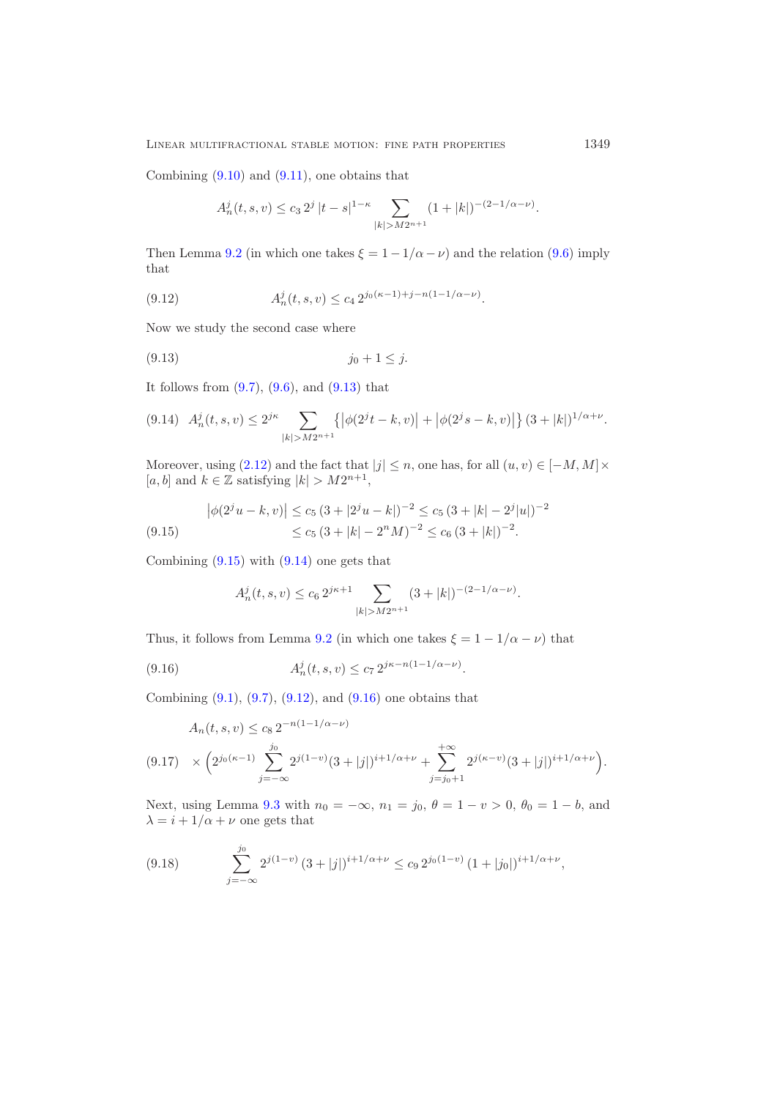Combining  $(9.10)$  and  $(9.11)$ , one obtains that

<span id="page-48-3"></span>
$$
A_n^j(t,s,v) \le c_3 2^j |t-s|^{1-\kappa} \sum_{|k| > M 2^{n+1}} (1+|k|)^{-(2-1/\alpha-\nu)}.
$$

Then Lemma [9.2](#page-45-6) (in which one takes  $\xi = 1 - 1/\alpha - \nu$ ) and the relation [\(9.6\)](#page-47-1) imply that

(9.12) 
$$
A_n^j(t,s,v) \le c_4 2^{j_0(\kappa-1)+j-n(1-1/\alpha-\nu)}.
$$

Now we study the second case where

<span id="page-48-0"></span>
$$
(9.13) \t j_0 + 1 \leq j.
$$

It follows from  $(9.7)$ ,  $(9.6)$ , and  $(9.13)$  that

<span id="page-48-2"></span>
$$
(9.14) \quad A_n^j(t,s,v) \le 2^{j\kappa} \sum_{|k| > M2^{n+1}} \left\{ \left| \phi(2^j t - k, v) \right| + \left| \phi(2^j s - k, v) \right| \right\} (3 + |k|)^{1/\alpha + \nu}.
$$

Moreover, using [\(2.12\)](#page-7-4) and the fact that  $|j| \leq n$ , one has, for all  $(u, v) \in [-M, M] \times$ [a, b] and  $k \in \mathbb{Z}$  satisfying  $|k| > M2^{n+1}$ ,

<span id="page-48-1"></span>
$$
\left| \phi(2^{j}u - k, v) \right| \le c_5 (3 + |2^{j}u - k|)^{-2} \le c_5 (3 + |k| - 2^{j}|u|)^{-2}
$$
  
(9.15) 
$$
\le c_5 (3 + |k| - 2^{n}M)^{-2} \le c_6 (3 + |k|)^{-2}.
$$

Combining  $(9.15)$  with  $(9.14)$  one gets that

<span id="page-48-4"></span>
$$
A_n^j(t,s,v) \le c_6 2^{js+1} \sum_{|k| > M2^{n+1}} (3+|k|)^{-(2-1/\alpha-\nu)}.
$$

Thus, it follows from Lemma [9.2](#page-45-6) (in which one takes  $\xi = 1 - 1/\alpha - \nu$ ) that

(9.16) 
$$
A_n^j(t,s,v) \le c_7 2^{j\kappa - n(1-1/\alpha - \nu)}.
$$

Combining  $(9.1)$ ,  $(9.7)$ ,  $(9.12)$ , and  $(9.16)$  one obtains that

<span id="page-48-5"></span>
$$
A_n(t,s,v) \le c_8 2^{-n(1-1/\alpha-\nu)}
$$
  
(9.17) 
$$
\times \left(2^{j_0(\kappa-1)}\sum_{j=-\infty}^{j_0} 2^{j(1-v)}(3+|j|)^{i+1/\alpha+\nu} + \sum_{j=j_0+1}^{+\infty} 2^{j(\kappa-v)}(3+|j|)^{i+1/\alpha+\nu}\right).
$$

Next, using Lemma [9.3](#page-45-4) with  $n_0 = -\infty$ ,  $n_1 = j_0$ ,  $\theta = 1 - v > 0$ ,  $\theta_0 = 1 - b$ , and  $\lambda = i + 1/\alpha + \nu$  one gets that

<span id="page-48-6"></span>(9.18) 
$$
\sum_{j=-\infty}^{j_0} 2^{j(1-v)} (3+|j|)^{i+1/\alpha+\nu} \leq c_9 2^{j_0(1-v)} (1+|j_0|)^{i+1/\alpha+\nu},
$$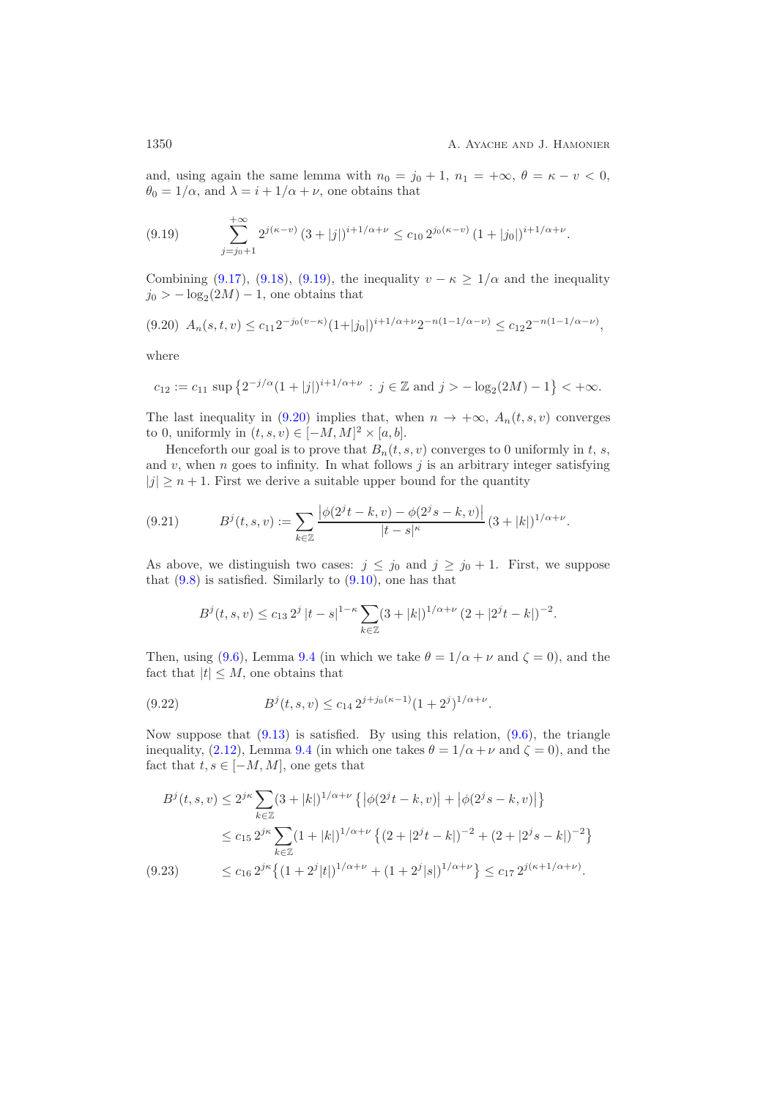and, using again the same lemma with  $n_0 = j_0 + 1$ ,  $n_1 = +\infty$ ,  $\theta = \kappa - v < 0$ ,  $\theta_0 = 1/\alpha$ , and  $\lambda = i + 1/\alpha + \nu$ , one obtains that

<span id="page-49-0"></span>
$$
(9.19) \qquad \sum_{j=j_0+1}^{+\infty} 2^{j(\kappa-\nu)} (3+|j|)^{i+1/\alpha+\nu} \le c_{10} 2^{j_0(\kappa-\nu)} (1+|j_0|)^{i+1/\alpha+\nu}.
$$

Combining [\(9.17\)](#page-48-5), [\(9.18\)](#page-48-6), [\(9.19\)](#page-49-0), the inequality  $v - \kappa \geq 1/\alpha$  and the inequality  $j_0 > -\log_2(2M) - 1$ , one obtains that

<span id="page-49-1"></span>
$$
(9.20) \ \ A_n(s,t,v) \le c_{11} 2^{-j_0(v-\kappa)} (1+|j_0|)^{i+1/\alpha+\nu} 2^{-n(1-1/\alpha-\nu)} \le c_{12} 2^{-n(1-1/\alpha-\nu)},
$$

where

$$
c_{12} := c_{11} \sup \left\{ 2^{-j/\alpha} (1+|j|)^{i+1/\alpha+\nu} \, : \, j \in \mathbb{Z} \text{ and } j > -\log_2(2M) - 1 \right\} < +\infty.
$$

The last inequality in [\(9.20\)](#page-49-1) implies that, when  $n \to +\infty$ ,  $A_n(t, s, v)$  converges to 0, uniformly in  $(t, s, v) \in [-M, M]^2 \times [a, b]$ .

Henceforth our goal is to prove that  $B_n(t, s, v)$  converges to 0 uniformly in t, s, and  $v$ , when  $n$  goes to infinity. In what follows  $j$  is an arbitrary integer satisfying  $|j| \geq n+1$ . First we derive a suitable upper bound for the quantity

<span id="page-49-4"></span>
$$
(9.21) \tBj(t,s,v) := \sum_{k \in \mathbb{Z}} \frac{\left| \phi(2^{j}t - k, v) - \phi(2^{j}s - k, v) \right|}{|t - s|^{\kappa}} (3 + |k|)^{1/\alpha + \nu}.
$$

As above, we distinguish two cases:  $j \leq j_0$  and  $j \geq j_0 + 1$ . First, we suppose that  $(9.8)$  is satisfied. Similarly to  $(9.10)$ , one has that

<span id="page-49-2"></span>
$$
B^{j}(t, s, v) \leq c_{13} 2^{j} |t - s|^{1 - \kappa} \sum_{k \in \mathbb{Z}} (3 + |k|)^{1/\alpha + \nu} (2 + |2^{j}t - k|)^{-2}.
$$

Then, using [\(9.6\)](#page-47-1), Lemma [9.4](#page-47-0) (in which we take  $\theta = 1/\alpha + \nu$  and  $\zeta = 0$ ), and the fact that  $|t| \leq M$ , one obtains that

(9.22) 
$$
B^{j}(t,s,v) \leq c_{14} 2^{j+j_0(\kappa-1)}(1+2^{j})^{1/\alpha+\nu}.
$$

Now suppose that  $(9.13)$  is satisfied. By using this relation,  $(9.6)$ , the triangle inequality, [\(2.12\)](#page-7-4), Lemma [9.4](#page-47-0) (in which one takes  $\theta = 1/\alpha + \nu$  and  $\zeta = 0$ ), and the fact that  $t, s \in [-M, M]$ , one gets that

<span id="page-49-3"></span>
$$
B^{j}(t,s,v) \le 2^{j\kappa} \sum_{k \in \mathbb{Z}} (3+|k|)^{1/\alpha+\nu} \left\{ \left| \phi(2^{j}t-k,v) \right| + \left| \phi(2^{j}s-k,v) \right| \right\}
$$
  

$$
\le c_{15} 2^{j\kappa} \sum_{k \in \mathbb{Z}} (1+|k|)^{1/\alpha+\nu} \left\{ (2+|2^{j}t-k|)^{-2} + (2+|2^{j}s-k|)^{-2} \right\}
$$
  
(9.23) 
$$
\le c_{16} 2^{j\kappa} \left\{ (1+2^{j}|t|)^{1/\alpha+\nu} + (1+2^{j}|s|)^{1/\alpha+\nu} \right\} \le c_{17} 2^{j(\kappa+1/\alpha+\nu)}.
$$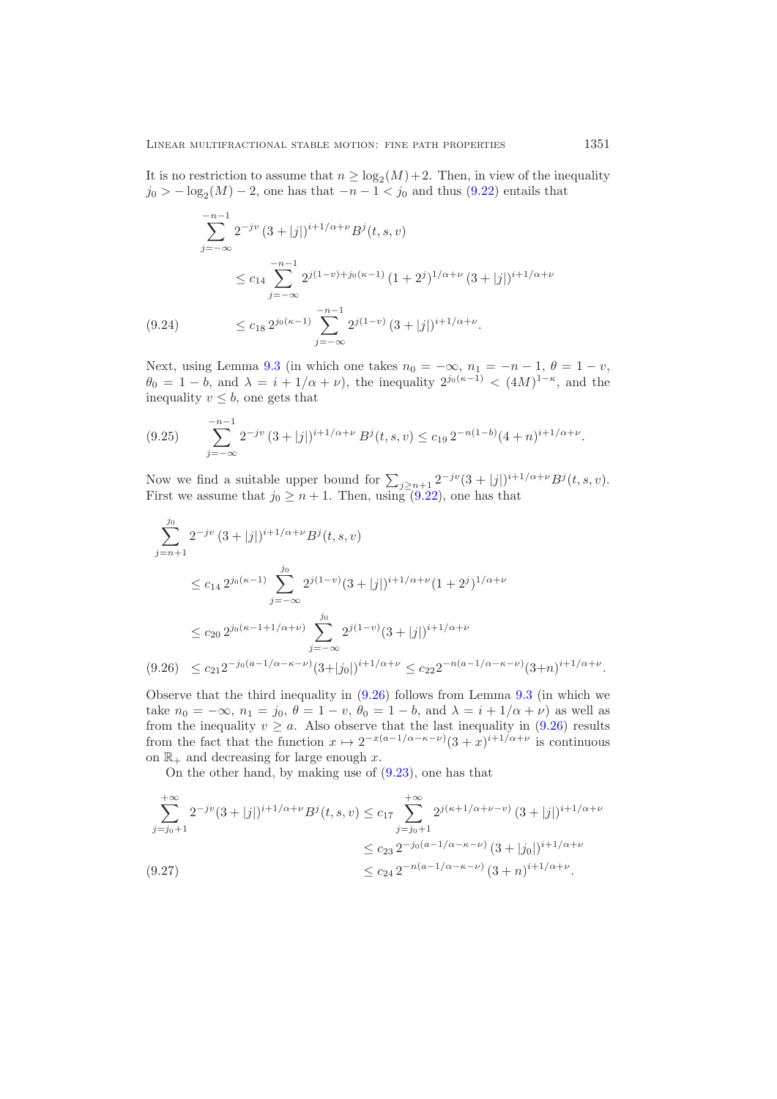It is no restriction to assume that  $n \geq \log_2(M) + 2$ . Then, in view of the inequality  $j_0 > -\log_2(M) - 2$ , one has that  $-n-1 < j_0$  and thus [\(9.22\)](#page-49-2) entails that

$$
\sum_{j=-\infty}^{-n-1} 2^{-jv} (3+|j|)^{i+1/\alpha+\nu} B^j(t,s,v)
$$
  
\n
$$
\leq c_{14} \sum_{j=-\infty}^{-n-1} 2^{j(1-v)+j_0(\kappa-1)} (1+2^j)^{1/\alpha+\nu} (3+|j|)^{i+1/\alpha+\nu}
$$
  
\n(9.24) 
$$
\leq c_{18} 2^{j_0(\kappa-1)} \sum_{j=-\infty}^{-n-1} 2^{j(1-v)} (3+|j|)^{i+1/\alpha+\nu}.
$$

Next, using Lemma [9.3](#page-45-4) (in which one takes  $n_0 = -\infty$ ,  $n_1 = -n - 1$ ,  $\theta = 1 - v$ ,  $\theta_0 = 1 - b$ , and  $\lambda = i + 1/\alpha + \nu$ , the inequality  $2^{j_0(\kappa-1)} < (4M)^{1-\kappa}$ , and the inequality  $v \leq b$ , one gets that

<span id="page-50-2"></span>
$$
(9.25) \qquad \sum_{j=-\infty}^{-n-1} 2^{-jv} (3+|j|)^{i+1/\alpha+\nu} B^j(t,s,v) \le c_{19} 2^{-n(1-b)} (4+n)^{i+1/\alpha+\nu}.
$$

Now we find a suitable upper bound for  $\sum_{j\geq n+1} 2^{-jv}(3+|j|)^{i+1/\alpha+\nu} B^j(t,s,v)$ .<br>First we assume that  $j_0 > n+1$ . Then using (9.22) one has that First we assume that  $j_0 \geq n+1$ . Then, using [\(9.22\)](#page-49-2), one has that

$$
\sum_{j=n+1}^{j_0} 2^{-jv} (3+|j|)^{i+1/\alpha+\nu} B^j(t,s,v)
$$
\n
$$
\leq c_{14} 2^{j_0(\kappa-1)} \sum_{j=-\infty}^{j_0} 2^{j(1-v)} (3+|j|)^{i+1/\alpha+\nu} (1+2^j)^{1/\alpha+\nu}
$$
\n
$$
\leq c_{20} 2^{j_0(\kappa-1+1/\alpha+\nu)} \sum_{j=-\infty}^{j_0} 2^{j(1-v)} (3+|j|)^{i+1/\alpha+\nu}
$$
\n
$$
(9.26) \leq c_{21} 2^{-j_0(a-1/\alpha-\kappa-\nu)} (3+|j_0|)^{i+1/\alpha+\nu} \leq c_{22} 2^{-n(a-1/\alpha-\kappa-\nu)} (3+n)^{i+1/\alpha+\nu}.
$$

<span id="page-50-0"></span>Observe that the third inequality in [\(9.26\)](#page-50-0) follows from Lemma [9.3](#page-45-4) (in which we take  $n_0 = -\infty$ ,  $n_1 = j_0$ ,  $\theta = 1 - v$ ,  $\theta_0 = 1 - b$ , and  $\lambda = i + 1/\alpha + \nu$  as well as from the inequality  $v \geq a$ . Also observe that the last inequality in [\(9.26\)](#page-50-0) results from the fact that the function  $x \mapsto 2^{-x(a-1/\alpha-\kappa-\nu)}(3+x)^{i+1/\alpha+\nu}$  is continuous on  $\mathbb{R}_+$  and decreasing for large enough x.

On the other hand, by making use of [\(9.23\)](#page-49-3), one has that

<span id="page-50-1"></span>
$$
\sum_{j=j_0+1}^{+\infty} 2^{-jv} (3+|j|)^{i+1/\alpha+\nu} B^j(t,s,v) \le c_{17} \sum_{j=j_0+1}^{+\infty} 2^{j(\kappa+1/\alpha+\nu-v)} (3+|j|)^{i+1/\alpha+\nu}
$$
  

$$
\le c_{23} 2^{-j_0(a-1/\alpha-\kappa-\nu)} (3+|j_0|)^{i+1/\alpha+\nu}
$$
  
(9.27)  

$$
\le c_{24} 2^{-n(a-1/\alpha-\kappa-\nu)} (3+n)^{i+1/\alpha+\nu}.
$$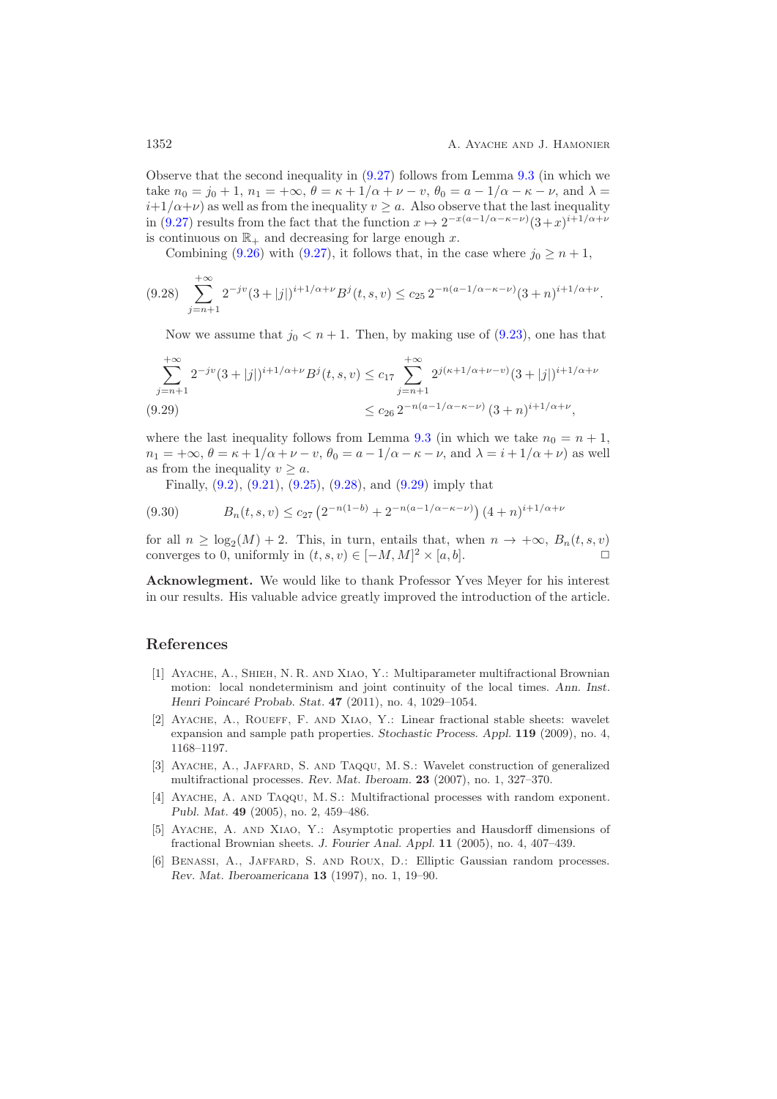Observe that the second inequality in [\(9.27\)](#page-50-1) follows from Lemma [9.3](#page-45-4) (in which we take  $n_0 = j_0 + 1$ ,  $n_1 = +\infty$ ,  $\theta = \kappa + 1/\alpha + \nu - \nu$ ,  $\theta_0 = \alpha - 1/\alpha - \kappa - \nu$ , and  $\lambda =$  $i+1/\alpha+\nu$  as well as from the inequality  $v \geq a$ . Also observe that the last inequality in [\(9.27\)](#page-50-1) results from the fact that the function  $x \mapsto 2^{-x(a-1/\alpha - \kappa - \nu)}(3+x)^{i+1/\alpha + \nu}$ is continuous on  $\mathbb{R}_+$  and decreasing for large enough x.

Combining [\(9.26\)](#page-50-0) with [\(9.27\)](#page-50-1), it follows that, in the case where  $j_0 \geq n+1$ ,

<span id="page-51-6"></span>
$$
(9.28)\sum_{j=n+1}^{+\infty} 2^{-jv} (3+|j|)^{i+1/\alpha+\nu} B^j(t,s,v) \le c_{25} 2^{-n(a-1/\alpha-\kappa-\nu)} (3+n)^{i+1/\alpha+\nu}.
$$

Now we assume that  $j_0 < n+1$ . Then, by making use of [\(9.23\)](#page-49-3), one has that

$$
\sum_{j=n+1}^{+\infty} 2^{-jv} (3+|j|)^{i+1/\alpha+\nu} B^j(t,s,v) \le c_{17} \sum_{j=n+1}^{+\infty} 2^{j(\kappa+1/\alpha+\nu-v)} (3+|j|)^{i+1/\alpha+\nu}
$$
  
(9.29)  

$$
\le c_{26} 2^{-n(a-1/\alpha-\kappa-\nu)} (3+n)^{i+1/\alpha+\nu},
$$

<span id="page-51-7"></span>where the last inequality follows from Lemma [9.3](#page-45-4) (in which we take  $n_0 = n + 1$ ,  $n_1 = +\infty$ ,  $\theta = \kappa + 1/\alpha + \nu - \nu$ ,  $\theta_0 = a - 1/\alpha - \kappa - \nu$ , and  $\lambda = i + 1/\alpha + \nu$ ) as well as from the inequality  $v \geq a$ .

Finally,  $(9.2)$ ,  $(9.21)$ ,  $(9.25)$ ,  $(9.28)$ , and  $(9.29)$  imply that

$$
(9.30) \t Bn(t,s,v) \le c_{27} \left(2^{-n(1-b)} + 2^{-n(a-1/\alpha - \kappa - \nu)}\right) \left(4+n\right)^{i+1/\alpha + \nu}
$$

for all  $n \geq \log_2(M) + 2$ . This, in turn, entails that, when  $n \to +\infty$ ,  $B_n(t, s, v)$ <br>converges to 0, uniformly in  $(t, s, v) \in [-M, M]^2 \times [a, b]$ converges to 0, uniformly in  $(t, s, v) \in [-M, M]^2 \times [a, b]$ .

**Acknowlegment.** We would like to thank Professor Yves Meyer for his interest in our results. His valuable advice greatly improved the introduction of the article.

#### <span id="page-51-4"></span>**References**

- [1] Ayache, A., Shieh, N. R. and Xiao, Y.: Multiparameter multifractional Brownian motion: local nondeterminism and joint continuity of the local times. *Ann. Inst. Henri Poincar´e Probab. Stat.* **47** (2011), no. 4, 1029–1054.
- <span id="page-51-0"></span>[2] Ayache, A., Roueff, F. and Xiao, Y.: Linear fractional stable sheets: wavelet expansion and sample path properties. *Stochastic Process. Appl.* **119** (2009), no. 4, 1168–1197.
- <span id="page-51-3"></span>[3] Ayache, A., Jaffard, S. and Taqqu, M. S.: Wavelet construction of generalized multifractional processes. *Rev. Mat. Iberoam.* **23** (2007), no. 1, 327–370.
- <span id="page-51-2"></span>[4] Ayache, A. and Taqqu, M. S.: Multifractional processes with random exponent. *Publ. Mat.* **49** (2005), no. 2, 459–486.
- <span id="page-51-1"></span>[5] Ayache, A. and Xiao, Y.: Asymptotic properties and Hausdorff dimensions of fractional Brownian sheets. *J. Fourier Anal. Appl.* **11** (2005), no. 4, 407–439.
- <span id="page-51-5"></span>[6] Benassi, A., Jaffard, S. and Roux, D.: Elliptic Gaussian random processes. *Rev. Mat. Iberoamericana* **13** (1997), no. 1, 19–90.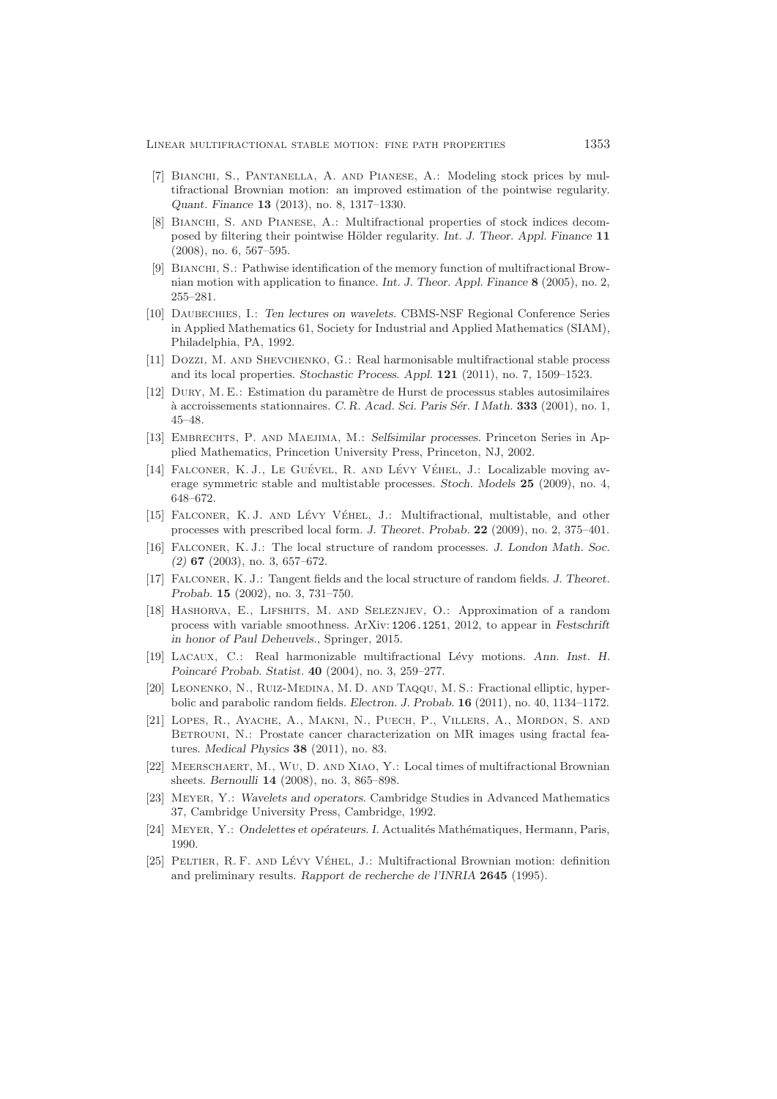- <span id="page-52-2"></span>[7] Bianchi, S., Pantanella, A. and Pianese, A.: Modeling stock prices by multifractional Brownian motion: an improved estimation of the pointwise regularity. *Quant. Finance* **13** (2013), no. 8, 1317–1330.
- <span id="page-52-1"></span>[8] BIANCHI, S. AND PIANESE, A.: Multifractional properties of stock indices decomposed by filtering their pointwise H¨older regularity. *Int. J. Theor. Appl. Finance* **11** (2008), no. 6, 567–595.
- <span id="page-52-0"></span>[9] BIANCHI, S.: Pathwise identification of the memory function of multifractional Brownian motion with application to finance. *Int. J. Theor. Appl. Finance* **8** (2005), no. 2, 255–281.
- <span id="page-52-16"></span>[10] Daubechies, I.: *Ten lectures on wavelets.* CBMS-NSF Regional Conference Series in Applied Mathematics 61, Society for Industrial and Applied Mathematics (SIAM), Philadelphia, PA, 1992.
- <span id="page-52-3"></span>[11] Dozzi, M. and Shevchenko, G.: Real harmonisable multifractional stable process and its local properties. *Stochastic Process. Appl.* **121** (2011), no. 7, 1509–1523.
- <span id="page-52-15"></span>[12] Dury, M. E.: Estimation du param`etre de Hurst de processus stables autosimilaires  $\alpha$  accroissements stationnaires. *C. R. Acad. Sci. Paris Sér. I Math.* **333** (2001), no. 1, 45–48.
- <span id="page-52-14"></span>[13] Embrechts, P. and Maejima, M.: *Selfsimilar processes.* Princeton Series in Applied Mathematics, Princetion University Press, Princeton, NJ, 2002.
- <span id="page-52-6"></span>[14] FALCONER, K. J., LE GUÉVEL, R. AND LÉVY VÉHEL, J.: Localizable moving average symmetric stable and multistable processes. *Stoch. Models* **25** (2009), no. 4, 648–672.
- <span id="page-52-7"></span>[15] FALCONER, K.J. AND LÉVY VÉHEL, J.: Multifractional, multistable, and other processes with prescribed local form. *J. Theoret. Probab.* **22** (2009), no. 2, 375–401.
- <span id="page-52-5"></span>[16] Falconer, K. J.: The local structure of random processes. *J. London Math. Soc. (2)* **67** (2003), no. 3, 657–672.
- <span id="page-52-4"></span>[17] Falconer, K. J.: Tangent fields and the local structure of random fields. *J. Theoret. Probab.* **15** (2002), no. 3, 731–750.
- <span id="page-52-8"></span>[18] Hashorva, E., Lifshits, M. and Seleznjev, O.: Approximation of a random process with variable smoothness. ArXiv: 1206.1251, 2012, to appear in *Festschrift in honor of Paul Deheuvels.*, Springer, 2015.
- <span id="page-52-9"></span>[19] Lacaux, C.: Real harmonizable multifractional L´evy motions. *Ann. Inst. H. Poincar´e Probab. Statist.* **40** (2004), no. 3, 259–277.
- <span id="page-52-11"></span>[20] Leonenko, N., Ruiz-Medina, M. D. and Taqqu, M. S.: Fractional elliptic, hyperbolic and parabolic random fields. *Electron. J. Probab.* **16** (2011), no. 40, 1134–1172.
- <span id="page-52-10"></span>[21] Lopes, R., Ayache, A., Makni, N., Puech, P., Villers, A., Mordon, S. and BETROUNI, N.: Prostate cancer characterization on MR images using fractal features. *Medical Physics* **38** (2011), no. 83.
- <span id="page-52-12"></span>[22] Meerschaert, M., Wu, D. and Xiao, Y.: Local times of multifractional Brownian sheets. *Bernoulli* **14** (2008), no. 3, 865–898.
- <span id="page-52-18"></span>[23] Meyer, Y.: *Wavelets and operators.* Cambridge Studies in Advanced Mathematics 37, Cambridge University Press, Cambridge, 1992.
- <span id="page-52-17"></span>[24] MEYER, Y.: *Ondelettes et opérateurs. I.* Actualités Mathématiques, Hermann, Paris, 1990.
- <span id="page-52-13"></span>[25] PELTIER, R. F. AND LÉVY VÉHEL, J.: Multifractional Brownian motion: definition and preliminary results. *Rapport de recherche de l'INRIA* **2645** (1995).